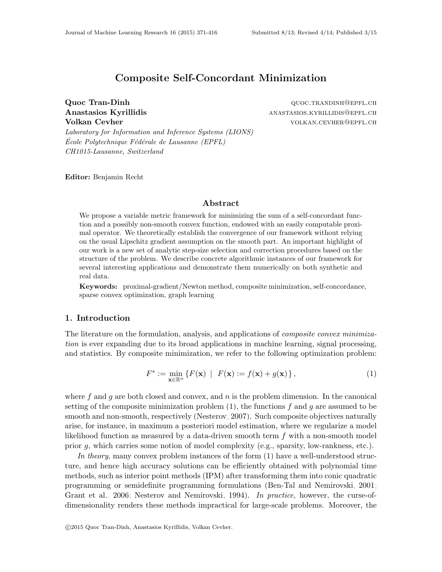## Composite Self-Concordant Minimization

Quoc Tran-Dinh quoc.trandinh@epfl.ch Anastasios Kyrillidis anastasios.kyrillidis anastasios.kyrillidis Volkan Cevher volkan.cevher volkan.cevher

Laboratory for Information and Inference Systems (LIONS)  $\acute{E}cole Polytechnique Fédérale de Lausanne (EPFL)$ CH1015-Lausanne, Switzerland

Editor: Benjamin Recht

### Abstract

We propose a variable metric framework for minimizing the sum of a self-concordant function and a possibly non-smooth convex function, endowed with an easily computable proximal operator. We theoretically establish the convergence of our framework without relying on the usual Lipschitz gradient assumption on the smooth part. An important highlight of our work is a new set of analytic step-size selection and correction procedures based on the structure of the problem. We describe concrete algorithmic instances of our framework for several interesting applications and demonstrate them numerically on both synthetic and real data.

Keywords: proximal-gradient/Newton method, composite minimization, self-concordance, sparse convex optimization, graph learning

### <span id="page-0-1"></span>1. Introduction

The literature on the formulation, analysis, and applications of *composite convex minimiza*tion is ever expanding due to its broad applications in machine learning, signal processing, and statistics. By composite minimization, we refer to the following optimization problem:

<span id="page-0-0"></span>
$$
F^* := \min_{\mathbf{x} \in \mathbb{R}^n} \left\{ F(\mathbf{x}) \mid F(\mathbf{x}) := f(\mathbf{x}) + g(\mathbf{x}) \right\},\tag{1}
$$

where f and g are both closed and convex, and  $n$  is the problem dimension. In the canonical setting of the composite minimization problem  $(1)$ , the functions f and g are assumed to be smooth and non-smooth, respectively [\(Nesterov, 2007\)](#page-44-0). Such composite objectives naturally arise, for instance, in maximum a posteriori model estimation, where we regularize a model likelihood function as measured by a data-driven smooth term f with a non-smooth model prior g, which carries some notion of model complexity (e.g., sparsity, low-rankness, etc.).

In theory, many convex problem instances of the form [\(1\)](#page-0-0) have a well-understood structure, and hence high accuracy solutions can be efficiently obtained with polynomial time methods, such as interior point methods (IPM) after transforming them into conic quadratic programming or semidefinite programming formulations [\(Ben-Tal and Nemirovski, 2001;](#page-41-0) [Grant et al., 2006;](#page-43-0) [Nesterov and Nemirovski, 1994\)](#page-44-1). In practice, however, the curse-ofdimensionality renders these methods impractical for large-scale problems. Moreover, the

c 2015 Quoc Tran-Dinh, Anastasios Kyrillidis, Volkan Cevher.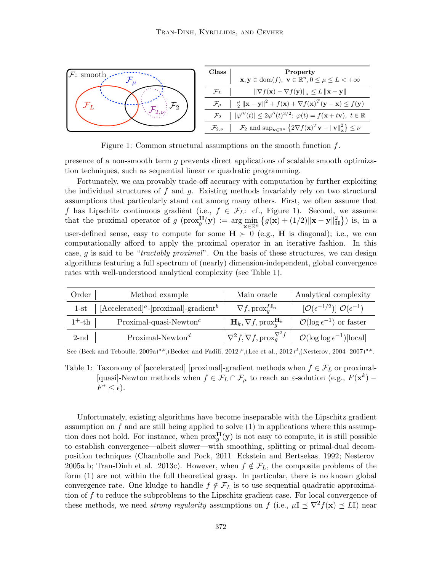<span id="page-1-0"></span>

Figure 1: Common structural assumptions on the smooth function f.

presence of a non-smooth term g prevents direct applications of scalable smooth optimization techniques, such as sequential linear or quadratic programming.

Fortunately, we can provably trade-off accuracy with computation by further exploiting the individual structures of  $f$  and  $g$ . Existing methods invariably rely on two structural assumptions that particularly stand out among many others. First, we often assume that f has Lipschitz continuous gradient (i.e.,  $f \in \mathcal{F}_L$ : cf., Figure [1\)](#page-1-0). Second, we assume that the proximal operator of g ( $\text{prox}_{g}^{\mathbf{H}}(\mathbf{y}) := \arg\min_{\mathbf{x} \in \mathbb{R}^{n}} \left\{ g(\mathbf{x}) + (1/2) \|\mathbf{x} - \mathbf{y}\|_{\mathbf{H}}^{2} \right\}$ ) is, in a user-defined sense, easy to compute for some  $H \succ 0$  (e.g., H is diagonal); i.e., we can computationally afford to apply the proximal operator in an iterative fashion. In this case, g is said to be "tractably proximal". On the basis of these structures, we can design algorithms featuring a full spectrum of (nearly) dimension-independent, global convergence rates with well-understood analytical complexity (see Table [1\)](#page-1-1).

<span id="page-1-1"></span>

| Order     | Method example                                                             | Main oracle                                              | Analytical complexity                                                                                                                             |
|-----------|----------------------------------------------------------------------------|----------------------------------------------------------|---------------------------------------------------------------------------------------------------------------------------------------------------|
| $1-st$    | [Accelerated] <sup><i>a</i></sup> -[proximal]-gradient <sup><i>b</i></sup> | $\nabla f$ , prox $_{a}^{L\mathbb{I}_{n}}$               | $[\mathcal{O}(\epsilon^{-1/2})] \mathcal{O}(\epsilon^{-1})$                                                                                       |
| $1^+$ -th | $Proximal-quasi-Newtonc$                                                   | $\mathbf{H}_k, \nabla f, \text{prox}_{q}^{\mathbf{H}_k}$ | $\mathcal{O}(\log \epsilon^{-1})$ or faster                                                                                                       |
| $2-nd$    | $Proximal-Newtond$                                                         |                                                          | $\begin{array}{ c c c c c c } \nabla^2 f, \nabla f, \text{prox}_q^{\nabla^2 f} & \mathcal{O}(\log \log \epsilon^{-1}) [\text{local}] \end{array}$ |

See [\(Beck and Teboulle, 2009a\)](#page-41-1)<sup>a,b</sup>,[\(Becker and Fadili, 2012\)](#page-41-2)<sup>c</sup>,[\(Lee et al., 2012\)](#page-43-1)<sup>d</sup>,[\(Nesterov, 2004,](#page-43-2) [2007\)](#page-44-0)<sup>a,b</sup>.

Table 1: Taxonomy of [accelerated] [proximal]-gradient methods when  $f \in \mathcal{F}_L$  or proximal-[quasi]-Newton methods when  $f \in \mathcal{F}_L \cap \mathcal{F}_\mu$  to reach an  $\varepsilon$ -solution (e.g.,  $F(\mathbf{x}^k)$  –  $F^* \leq \epsilon$ ).

Unfortunately, existing algorithms have become inseparable with the Lipschitz gradient assumption on  $f$  and are still being applied to solve  $(1)$  in applications where this assumption does not hold. For instance, when  $prox_g^{\mathbf{H}}(\mathbf{y})$  is not easy to compute, it is still possible to establish convergence—albeit slower—with smoothing, splitting or primal-dual decomposition techniques [\(Chambolle and Pock, 2011;](#page-42-0) [Eckstein and Bertsekas, 1992;](#page-42-1) [Nesterov,](#page-44-2) [2005a](#page-44-2)[,b;](#page-44-3) [Tran-Dinh et al., 2013c\)](#page-45-0). However, when  $f \notin \mathcal{F}_L$ , the composite problems of the form [\(1\)](#page-0-0) are not within the full theoretical grasp. In particular, there is no known global convergence rate. One kludge to handle  $f \notin \mathcal{F}_L$  is to use sequential quadratic approximation of f to reduce the subproblems to the Lipschitz gradient case. For local convergence of these methods, we need *strong regularity* assumptions on f (i.e.,  $\mu \mathbb{I} \preceq \nabla^2 f(\mathbf{x}) \preceq L \mathbb{I}$ ) near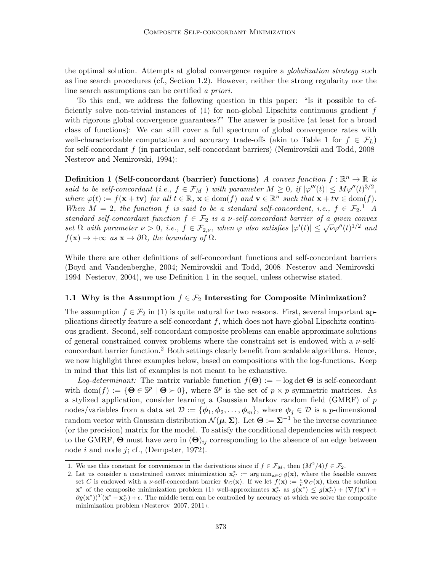the optimal solution. Attempts at global convergence require a *globalization strategy* such as line search procedures (cf., Section [1.2\)](#page-4-0). However, neither the strong regularity nor the line search assumptions can be certified a priori.

To this end, we address the following question in this paper: "Is it possible to efficiently solve non-trivial instances of  $(1)$  for non-global Lipschitz continuous gradient f with rigorous global convergence guarantees?" The answer is positive (at least for a broad class of functions): We can still cover a full spectrum of global convergence rates with well-characterizable computation and accuracy trade-offs (akin to Table [1](#page-1-1) for  $f \in \mathcal{F}_L$ ) for self-concordant f (in particular, self-concordant barriers) [\(Nemirovskii and Todd, 2008;](#page-43-3) [Nesterov and Nemirovski, 1994\)](#page-44-1):

<span id="page-2-1"></span>Definition 1 (Self-concordant (barrier) functions) A convex function  $f : \mathbb{R}^n \to \mathbb{R}$  is said to be self-concordant (i.e.,  $f \in \mathcal{F}_M$ ) with parameter  $M \geq 0$ , if  $|\varphi'''(t)| \leq M\varphi''(t)^{3/2}$ , where  $\varphi(t) := f(\mathbf{x} + t\mathbf{v})$  for all  $t \in \mathbb{R}$ ,  $\mathbf{x} \in \text{dom}(f)$  and  $\mathbf{v} \in \mathbb{R}^n$  such that  $\mathbf{x} + t\mathbf{v} \in \text{dom}(f)$ . When  $M = 2$ , the function f is said to be a standard self-concordant, i.e.,  $f \in \mathcal{F}_2$ .<sup>[1](#page-2-0)</sup> A standard self-concordant function  $f \in \mathcal{F}_2$  is a v-self-concordant barrier of a given convex set  $\Omega$  with parameter  $\nu > 0$ , i.e.,  $f \in \mathcal{F}_{2,\nu}$ , when  $\varphi$  also satisfies  $|\varphi'(t)| \leq \sqrt{\nu} \varphi''(t)^{1/2}$  and  $f(\mathbf{x}) \to +\infty$  as  $\mathbf{x} \to \partial\Omega$ , the boundary of  $\Omega$ .

While there are other definitions of self-concordant functions and self-concordant barriers [\(Boyd and Vandenberghe, 2004;](#page-42-2) [Nemirovskii and Todd, 2008;](#page-43-3) [Nesterov and Nemirovski,](#page-44-1) [1994;](#page-44-1) [Nesterov, 2004\)](#page-43-2), we use Definition [1](#page-2-1) in the sequel, unless otherwise stated.

### <span id="page-2-3"></span>1.1 Why is the Assumption  $f \in \mathcal{F}_2$  Interesting for Composite Minimization?

The assumption  $f \in \mathcal{F}_2$  in [\(1\)](#page-0-0) is quite natural for two reasons. First, several important applications directly feature a self-concordant  $f$ , which does not have global Lipschitz continuous gradient. Second, self-concordant composite problems can enable approximate solutions of general constrained convex problems where the constraint set is endowed with a  $\nu$ -selfconcordant barrier function.[2](#page-2-2) Both settings clearly benefit from scalable algorithms. Hence, we now highlight three examples below, based on compositions with the log-functions. Keep in mind that this list of examples is not meant to be exhaustive.

Log-determinant: The matrix variable function  $f(\Theta) := -\log \det \Theta$  is self-concordant with dom $(f) := \{ \Theta \in \mathbb{S}^p \mid \Theta \succ 0 \}$ , where  $\mathbb{S}^p$  is the set of  $p \times p$  symmetric matrices. As a stylized application, consider learning a Gaussian Markov random field (GMRF) of p nodes/variables from a data set  $\mathcal{D} := \{\phi_1, \phi_2, \ldots, \phi_m\}$ , where  $\phi_j \in \mathcal{D}$  is a *p*-dimensional random vector with Gaussian distribution  $\mathcal{N}(\mu, \Sigma)$ . Let  $\Theta := \Sigma^{-1}$  be the inverse covariance (or the precision) matrix for the model. To satisfy the conditional dependencies with respect to the GMRF,  $\Theta$  must have zero in  $(\Theta)_{ij}$  corresponding to the absence of an edge between node i and node j; cf., [\(Dempster, 1972\)](#page-42-3).

<span id="page-2-0"></span><sup>1.</sup> We use this constant for convenience in the derivations since if  $f \in \mathcal{F}_M$ , then  $(M^2/4)f \in \mathcal{F}_2$ .

<span id="page-2-2"></span><sup>2.</sup> Let us consider a constrained convex minimization  $\mathbf{x}_C^* := \arg \min_{\mathbf{x} \in C} g(\mathbf{x})$ , where the feasible convex set C is endowed with a v-self-concordant barrier  $\Psi_C(\mathbf{x})$ . If we let  $f(\mathbf{x}) := \frac{\epsilon}{\nu} \Psi_C(\mathbf{x})$ , then the solution  $\mathbf{x}^*$  of the composite minimization problem [\(1\)](#page-0-0) well-approximates  $\mathbf{x}_C^*$  as  $g(\mathbf{x}^*) \leq g(\mathbf{x}_C^*) + (\nabla f(\mathbf{x}^*) + \nabla f(\mathbf{x}^*))$  $\partial g(\mathbf{x}^*)^T(\mathbf{x}^* - \mathbf{x}_C^*) + \epsilon$ . The middle term can be controlled by accuracy at which we solve the composite minimization problem [\(Nesterov, 2007,](#page-44-0) [2011\)](#page-44-4).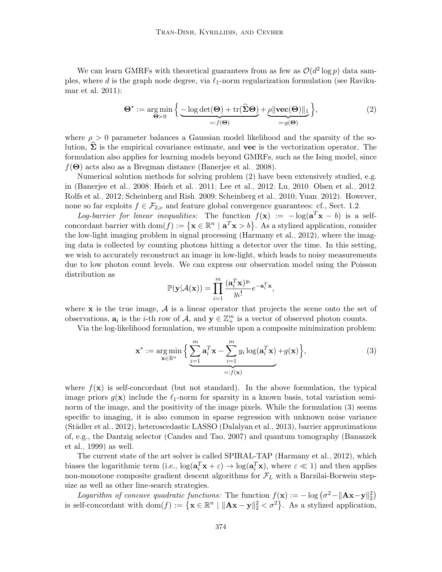We can learn GMRFs with theoretical guarantees from as few as  $\mathcal{O}(d^2 \log p)$  data samples, where d is the graph node degree, via  $\ell_1$ -norm regularization formulation (see [Raviku](#page-44-5)[mar et al. 2011\)](#page-44-5):

<span id="page-3-0"></span>
$$
\mathbf{\Theta}^* := \underset{\mathbf{\Theta} \succ 0}{\arg \min} \left\{ \underbrace{-\log \det(\mathbf{\Theta}) + \text{tr}(\widehat{\boldsymbol{\Sigma}} \mathbf{\Theta})}_{=:f(\mathbf{\Theta})} + \underbrace{\rho \|\text{vec}(\mathbf{\Theta})\|_1}_{=:g(\mathbf{\Theta})} \right\},\tag{2}
$$

where  $\rho > 0$  parameter balances a Gaussian model likelihood and the sparsity of the solution,  $\Sigma$  is the empirical covariance estimate, and vec is the vectorization operator. The formulation also applies for learning models beyond GMRFs, such as the Ising model, since  $f(\Theta)$  acts also as a Bregman distance [\(Banerjee et al., 2008\)](#page-41-3).

Numerical solution methods for solving problem [\(2\)](#page-3-0) have been extensively studied, e.g. in [\(Banerjee et al., 2008;](#page-41-3) [Hsieh et al., 2011;](#page-43-4) [Lee et al., 2012;](#page-43-1) [Lu, 2010;](#page-43-5) [Olsen et al., 2012;](#page-44-6) [Rolfs et al., 2012;](#page-44-7) [Scheinberg and Rish, 2009;](#page-44-8) [Scheinberg et al., 2010;](#page-44-9) [Yuan, 2012\)](#page-45-1). However, none so far exploits  $f \in \mathcal{F}_{2,\nu}$  and feature global convergence guarantees: cf., Sect. [1.2.](#page-4-0)

Log-barrier for linear inequalities: The function  $f(\mathbf{x}) := -\log(\mathbf{a}^T\mathbf{x} - b)$  is a selfconcordant barrier with  $dom(f) := \{ \mathbf{x} \in \mathbb{R}^n \mid \mathbf{a}^T\mathbf{x} > b \}$ . As a stylized application, consider the low-light imaging problem in signal processing [\(Harmany et al., 2012\)](#page-43-6), where the imaging data is collected by counting photons hitting a detector over the time. In this setting, we wish to accurately reconstruct an image in low-light, which leads to noisy measurements due to low photon count levels. We can express our observation model using the Poisson distribution as

$$
\mathbb{P}(\mathbf{y}|\mathcal{A}(\mathbf{x})) = \prod_{i=1}^{m} \frac{(\mathbf{a}_i^T \mathbf{x})^{y_i}}{y_i!} e^{-\mathbf{a}_i^T \mathbf{x}},
$$

where  $x$  is the true image,  $A$  is a linear operator that projects the scene onto the set of observations,  $\mathbf{a}_i$  is the *i*-th row of A, and  $\mathbf{y} \in \mathbb{Z}_+^m$  is a vector of observed photon counts.

Via the log-likelihood formulation, we stumble upon a composite minimization problem:

<span id="page-3-1"></span>
$$
\mathbf{x}^* := \underset{\mathbf{x} \in \mathbb{R}^n}{\arg \min} \Big\{ \underbrace{\sum_{i=1}^m \mathbf{a}_i^T \mathbf{x} - \sum_{i=1}^m y_i \log(\mathbf{a}_i^T \mathbf{x})}_{=:f(\mathbf{x})} + g(\mathbf{x}) \Big\},\tag{3}
$$

where  $f(\mathbf{x})$  is self-concordant (but not standard). In the above formulation, the typical image priors  $g(x)$  include the  $\ell_1$ -norm for sparsity in a known basis, total variation seminorm of the image, and the positivity of the image pixels. While the formulation [\(3\)](#page-3-1) seems specific to imaging, it is also common in sparse regression with unknown noise variance (Städler et al., 2012), heteroscedastic LASSO [\(Dalalyan et al., 2013\)](#page-42-4), barrier approximations of, e.g., the Dantzig selector [\(Candes and Tao, 2007\)](#page-42-5) and quantum tomography [\(Banaszek](#page-41-4) [et al., 1999\)](#page-41-4) as well.

The current state of the art solver is called SPIRAL-TAP [\(Harmany et al., 2012\)](#page-43-6), which biases the logarithmic term (i.e.,  $\log(a_i^T \mathbf{x} + \varepsilon) \to \log(a_i^T \mathbf{x})$ , where  $\varepsilon \ll 1$ ) and then applies non-monotone composite gradient descent algorithms for  $\mathcal{F}_L$  with a Barzilai-Borwein stepsize as well as other line-search strategies.

Logarithm of concave quadratic functions: The function  $f(\mathbf{x}) := -\log (\sigma^2 - \|\mathbf{A}\mathbf{x} - \mathbf{y}\|_2^2)$ is self-concordant with  $dom(f) := \{ \mathbf{x} \in \mathbb{R}^n \mid ||\mathbf{A}\mathbf{x} - \mathbf{y}||_2^2 < \sigma^2 \}$ . As a stylized application,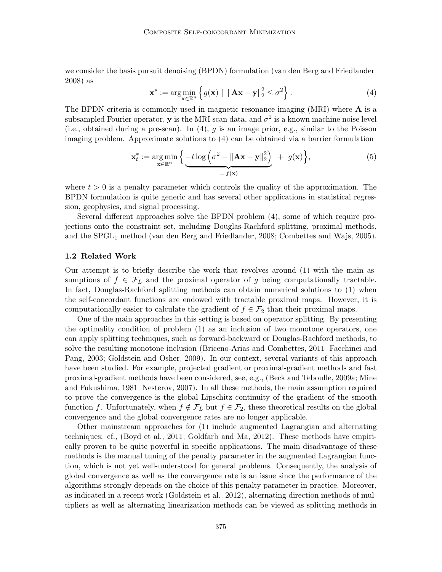we consider the basis pursuit denoising (BPDN) formulation [\(van den Berg and Friedlander,](#page-45-3) [2008\)](#page-45-3) as

<span id="page-4-1"></span>
$$
\mathbf{x}^* := \arg\min_{\mathbf{x} \in \mathbb{R}^n} \left\{ g(\mathbf{x}) \mid \|\mathbf{A}\mathbf{x} - \mathbf{y}\|_2^2 \le \sigma^2 \right\}.
$$
 (4)

The BPDN criteria is commonly used in magnetic resonance imaging  $(MRI)$  where  $\bf{A}$  is a subsampled Fourier operator, **y** is the MRI scan data, and  $\sigma^2$  is a known machine noise level (i.e., obtained during a pre-scan). In  $(4)$ , g is an image prior, e.g., similar to the Poisson imaging problem. Approximate solutions to [\(4\)](#page-4-1) can be obtained via a barrier formulation

$$
\mathbf{x}_{t}^{*} := \underset{\mathbf{x} \in \mathbb{R}^{n}}{\arg \min} \left\{ \underbrace{-t \log \left( \sigma^{2} - \|\mathbf{A}\mathbf{x} - \mathbf{y}\|_{2}^{2} \right)}_{=: f(\mathbf{x})} + g(\mathbf{x}) \right\},\tag{5}
$$

where  $t > 0$  is a penalty parameter which controls the quality of the approximation. The BPDN formulation is quite generic and has several other applications in statistical regression, geophysics, and signal processing.

Several different approaches solve the BPDN problem [\(4\)](#page-4-1), some of which require projections onto the constraint set, including Douglas-Rachford splitting, proximal methods, and the SPGL<sup>1</sup> method [\(van den Berg and Friedlander, 2008;](#page-45-3) [Combettes and Wajs, 2005\)](#page-42-6).

#### <span id="page-4-0"></span>1.2 Related Work

Our attempt is to briefly describe the work that revolves around [\(1\)](#page-0-0) with the main assumptions of  $f \in \mathcal{F}_L$  and the proximal operator of g being computationally tractable. In fact, Douglas-Rachford splitting methods can obtain numerical solutions to [\(1\)](#page-0-0) when the self-concordant functions are endowed with tractable proximal maps. However, it is computationally easier to calculate the gradient of  $f \in \mathcal{F}_2$  than their proximal maps.

One of the main approaches in this setting is based on operator splitting. By presenting the optimality condition of problem [\(1\)](#page-0-0) as an inclusion of two monotone operators, one can apply splitting techniques, such as forward-backward or Douglas-Rachford methods, to solve the resulting monotone inclusion [\(Briceno-Arias and Combettes, 2011;](#page-42-7) [Facchinei and](#page-42-8) [Pang, 2003;](#page-42-8) [Goldstein and Osher, 2009\)](#page-43-7). In our context, several variants of this approach have been studied. For example, projected gradient or proximal-gradient methods and fast proximal-gradient methods have been considered, see, e.g., [\(Beck and Teboulle, 2009a;](#page-41-1) [Mine](#page-43-8) [and Fukushima, 1981;](#page-43-8) [Nesterov, 2007\)](#page-44-0). In all these methods, the main assumption required to prove the convergence is the global Lipschitz continuity of the gradient of the smooth function f. Unfortunately, when  $f \notin \mathcal{F}_L$  but  $f \in \mathcal{F}_2$ , these theoretical results on the global convergence and the global convergence rates are no longer applicable.

Other mainstream approaches for [\(1\)](#page-0-0) include augmented Lagrangian and alternating techniques: cf., [\(Boyd et al., 2011;](#page-42-9) [Goldfarb and Ma, 2012\)](#page-42-10). These methods have empirically proven to be quite powerful in specific applications. The main disadvantage of these methods is the manual tuning of the penalty parameter in the augmented Lagrangian function, which is not yet well-understood for general problems. Consequently, the analysis of global convergence as well as the convergence rate is an issue since the performance of the algorithms strongly depends on the choice of this penalty parameter in practice. Moreover, as indicated in a recent work [\(Goldstein et al., 2012\)](#page-43-9), alternating direction methods of multipliers as well as alternating linearization methods can be viewed as splitting methods in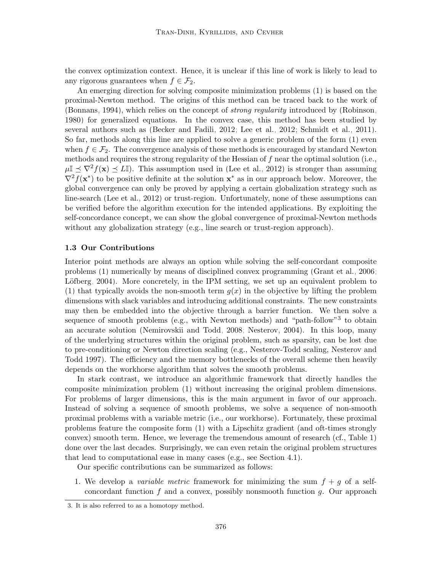the convex optimization context. Hence, it is unclear if this line of work is likely to lead to any rigorous guarantees when  $f \in \mathcal{F}_2$ .

An emerging direction for solving composite minimization problems [\(1\)](#page-0-0) is based on the proximal-Newton method. The origins of this method can be traced back to the work of [\(Bonnans, 1994\)](#page-42-11), which relies on the concept of strong regularity introduced by [\(Robinson,](#page-44-10) [1980\)](#page-44-10) for generalized equations. In the convex case, this method has been studied by several authors such as [\(Becker and Fadili, 2012;](#page-41-2) [Lee et al., 2012;](#page-43-1) [Schmidt et al., 2011\)](#page-44-11). So far, methods along this line are applied to solve a generic problem of the form [\(1\)](#page-0-0) even when  $f \in \mathcal{F}_2$ . The convergence analysis of these methods is encouraged by standard Newton methods and requires the strong regularity of the Hessian of f near the optimal solution (i.e.,  $\mu \mathbb{I} \leq \nabla^2 f(\mathbf{x}) \leq L\mathbb{I}$ . This assumption used in [\(Lee et al., 2012\)](#page-43-1) is stronger than assuming  $\nabla^2 f(\mathbf{x}^*)$  to be positive definite at the solution  $\mathbf{x}^*$  as in our approach below. Moreover, the global convergence can only be proved by applying a certain globalization strategy such as line-search [\(Lee et al., 2012\)](#page-43-1) or trust-region. Unfortunately, none of these assumptions can be verified before the algorithm execution for the intended applications. By exploiting the self-concordance concept, we can show the global convergence of proximal-Newton methods without any globalization strategy (e.g., line search or trust-region approach).

#### <span id="page-5-1"></span>1.3 Our Contributions

Interior point methods are always an option while solving the self-concordant composite problems [\(1\)](#page-0-0) numerically by means of disciplined convex programming [\(Grant et al., 2006;](#page-43-0) Löfberg, 2004). More concretely, in the IPM setting, we set up an equivalent problem to [\(1\)](#page-0-0) that typically avoids the non-smooth term  $q(x)$  in the objective by lifting the problem dimensions with slack variables and introducing additional constraints. The new constraints may then be embedded into the objective through a barrier function. We then solve a sequence of smooth problems (e.g., with Newton methods) and "path-follow"<sup>[3](#page-5-0)</sup> to obtain an accurate solution [\(Nemirovskii and Todd, 2008;](#page-43-3) [Nesterov, 2004\)](#page-43-2). In this loop, many of the underlying structures within the original problem, such as sparsity, can be lost due to pre-conditioning or Newton direction scaling (e.g., Nesterov-Todd scaling, [Nesterov and](#page-44-12) [Todd 1997\)](#page-44-12). The efficiency and the memory bottlenecks of the overall scheme then heavily depends on the workhorse algorithm that solves the smooth problems.

In stark contrast, we introduce an algorithmic framework that directly handles the composite minimization problem [\(1\)](#page-0-0) without increasing the original problem dimensions. For problems of larger dimensions, this is the main argument in favor of our approach. Instead of solving a sequence of smooth problems, we solve a sequence of non-smooth proximal problems with a variable metric (i.e., our workhorse). Fortunately, these proximal problems feature the composite form [\(1\)](#page-0-0) with a Lipschitz gradient (and oft-times strongly convex) smooth term. Hence, we leverage the tremendous amount of research (cf., Table [1\)](#page-1-1) done over the last decades. Surprisingly, we can even retain the original problem structures that lead to computational ease in many cases (e.g., see Section [4.1\)](#page-19-0).

Our specific contributions can be summarized as follows:

1. We develop a *variable metric* framework for minimizing the sum  $f + q$  of a selfconcordant function f and a convex, possibly nonsmooth function  $g$ . Our approach

<span id="page-5-0"></span><sup>3.</sup> It is also referred to as a homotopy method.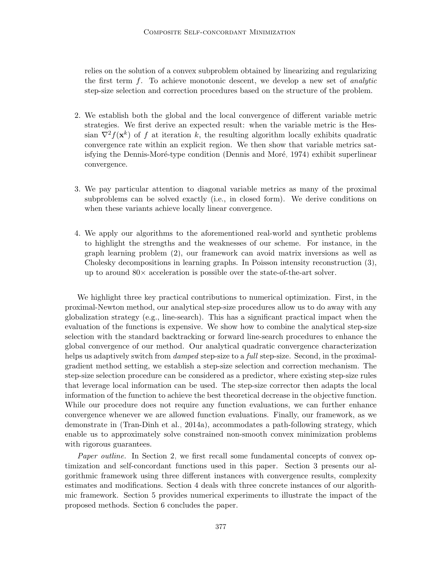relies on the solution of a convex subproblem obtained by linearizing and regularizing the first term f. To achieve monotonic descent, we develop a new set of analytic step-size selection and correction procedures based on the structure of the problem.

- 2. We establish both the global and the local convergence of different variable metric strategies. We first derive an expected result: when the variable metric is the Hessian  $\nabla^2 f(\mathbf{x}^k)$  of f at iteration k, the resulting algorithm locally exhibits quadratic convergence rate within an explicit region. We then show that variable metrics satisfying the Dennis-Moré-type condition (Dennis and Moré, 1974) exhibit superlinear convergence.
- 3. We pay particular attention to diagonal variable metrics as many of the proximal subproblems can be solved exactly (i.e., in closed form). We derive conditions on when these variants achieve locally linear convergence.
- 4. We apply our algorithms to the aforementioned real-world and synthetic problems to highlight the strengths and the weaknesses of our scheme. For instance, in the graph learning problem [\(2\)](#page-3-0), our framework can avoid matrix inversions as well as Cholesky decompositions in learning graphs. In Poisson intensity reconstruction [\(3\)](#page-3-1), up to around  $80\times$  acceleration is possible over the state-of-the-art solver.

We highlight three key practical contributions to numerical optimization. First, in the proximal-Newton method, our analytical step-size procedures allow us to do away with any globalization strategy (e.g., line-search). This has a significant practical impact when the evaluation of the functions is expensive. We show how to combine the analytical step-size selection with the standard backtracking or forward line-search procedures to enhance the global convergence of our method. Our analytical quadratic convergence characterization helps us adaptively switch from *damped* step-size to a *full* step-size. Second, in the proximalgradient method setting, we establish a step-size selection and correction mechanism. The step-size selection procedure can be considered as a predictor, where existing step-size rules that leverage local information can be used. The step-size corrector then adapts the local information of the function to achieve the best theoretical decrease in the objective function. While our procedure does not require any function evaluations, we can further enhance convergence whenever we are allowed function evaluations. Finally, our framework, as we demonstrate in [\(Tran-Dinh et al., 2014a\)](#page-45-4), accommodates a path-following strategy, which enable us to approximately solve constrained non-smooth convex minimization problems with rigorous guarantees.

Paper outline. In Section [2,](#page-7-0) we first recall some fundamental concepts of convex optimization and self-concordant functions used in this paper. Section [3](#page-8-0) presents our algorithmic framework using three different instances with convergence results, complexity estimates and modifications. Section [4](#page-19-1) deals with three concrete instances of our algorithmic framework. Section [5](#page-24-0) provides numerical experiments to illustrate the impact of the proposed methods. Section [6](#page-31-0) concludes the paper.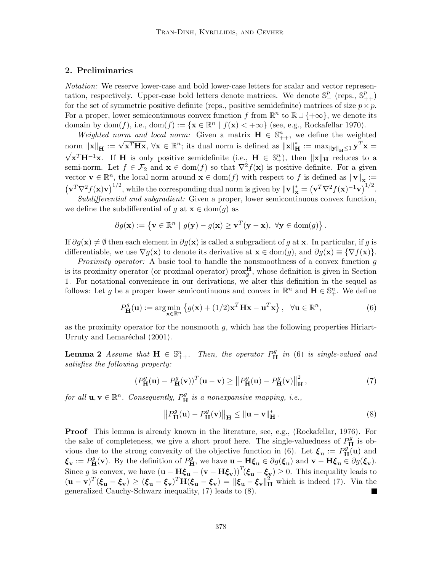### <span id="page-7-0"></span>2. Preliminaries

Notation: We reserve lower-case and bold lower-case letters for scalar and vector representation, respectively. Upper-case bold letters denote matrices. We denote  $\mathbb{S}^p_+$  (reps.,  $\mathbb{S}^p_{++}$ ) for the set of symmetric positive definite (reps., positive semidefinite) matrices of size  $p \times p$ . For a proper, lower semicontinuous convex function f from  $\mathbb{R}^n$  to  $\mathbb{R} \cup \{+\infty\}$ , we denote its domain by  $dom(f)$ , i.e.,  $dom(f) := \{ \mathbf{x} \in \mathbb{R}^n \mid f(\mathbf{x}) < +\infty \}$  (see, e.g., [Rockafellar 1970\)](#page-44-13).

Weighted norm and local norm: Given a matrix  $\mathbf{H} \in \mathbb{S}_{++}^n$ , we define the weighted norm  $\|\mathbf{x}\|_{\mathbf{H}} := \sqrt{\mathbf{x}^T \mathbf{H} \mathbf{x}}, \forall \mathbf{x} \in \mathbb{R}^n$ ; its dual norm is defined as  $\|\mathbf{x}\|_{\mathbf{H}}^* := \max_{\|\mathbf{y}\|_{\mathbf{H}} \leq 1} \mathbf{y}^T \mathbf{x} =$  $\overline{\mathbf{x}^T \mathbf{H}^{-1} \mathbf{x}}$ . If **H** is only positive semidefinite (i.e., **H**  $\in \mathbb{S}_{+}^{n}$ ), then  $\|\mathbf{x}\|_{\mathbf{H}}$  reduces to a semi-norm. Let  $f \in \mathcal{F}_2$  and  $\mathbf{x} \in \text{dom}(f)$  so that  $\nabla^2 f(\mathbf{x})$  is positive definite. For a given vector  $\mathbf{v} \in \mathbb{R}^n$ , the local norm around  $\mathbf{x} \in \text{dom}(f)$  with respect to f is defined as  $\|\mathbf{v}\|_{\mathbf{x}} :=$  $(\mathbf{v}^T \nabla^2 f(\mathbf{x}) \mathbf{v})^{1/2}$ , while the corresponding dual norm is given by  $\|\mathbf{v}\|_{\mathbf{x}}^* = (\mathbf{v}^T \nabla^2 f(\mathbf{x})^{-1} \mathbf{v})^{1/2}$ .

Subdifferential and subgradient: Given a proper, lower semicontinuous convex function, we define the subdifferential of g at  $\mathbf{x} \in \text{dom}(g)$  as

$$
\partial g(\mathbf{x}) := \left\{ \mathbf{v} \in \mathbb{R}^n \mid g(\mathbf{y}) - g(\mathbf{x}) \geq \mathbf{v}^T(\mathbf{y} - \mathbf{x}), \ \forall \mathbf{y} \in \text{dom}(g) \right\}.
$$

If  $\partial g(x) \neq \emptyset$  then each element in  $\partial g(x)$  is called a subgradient of g at x. In particular, if g is differentiable, we use  $\nabla g(\mathbf{x})$  to denote its derivative at  $\mathbf{x} \in \text{dom}(g)$ , and  $\partial g(\mathbf{x}) \equiv \{\nabla f(\mathbf{x})\}.$ 

Proximity operator: A basic tool to handle the nonsmoothness of a convex function g is its proximity operator (or proximal operator)  $\text{prox}_{g}^{\mathbf{H}}$ , whose definition is given in Section [1.](#page-0-1) For notational convenience in our derivations, we alter this definition in the sequel as follows: Let g be a proper lower semicontinuous and convex in  $\mathbb{R}^n$  and  $\mathbf{H} \in \mathbb{S}^n_+$ . We define

<span id="page-7-1"></span>
$$
P_{\mathbf{H}}^{g}(\mathbf{u}) := \underset{\mathbf{x} \in \mathbb{R}^{n}}{\arg \min} \left\{ g(\mathbf{x}) + (1/2)\mathbf{x}^{T} \mathbf{H}\mathbf{x} - \mathbf{u}^{T}\mathbf{x} \right\}, \quad \forall \mathbf{u} \in \mathbb{R}^{n}, \tag{6}
$$

as the proximity operator for the nonsmooth  $g$ , which has the following properties [Hiriart-](#page-43-11)Urruty and Lemaréchal [\(2001\)](#page-43-11).

<span id="page-7-4"></span>**Lemma 2** Assume that  $\mathbf{H} \in \mathbb{S}_{++}^n$ . Then, the operator  $P_{\mathbf{H}}^g$  in [\(6\)](#page-7-1) is single-valued and satisfies the following property:

<span id="page-7-2"></span>
$$
(P_{\mathbf{H}}^{g}(\mathbf{u}) - P_{\mathbf{H}}^{g}(\mathbf{v}))^{T}(\mathbf{u} - \mathbf{v}) \geq \left\| P_{\mathbf{H}}^{g}(\mathbf{u}) - P_{\mathbf{H}}^{g}(\mathbf{v}) \right\|_{\mathbf{H}}^{2},\tag{7}
$$

for all  $\mathbf{u}, \mathbf{v} \in \mathbb{R}^n$ . Consequently,  $P_{\mathbf{H}}^g$  is a nonexpansive mapping, i.e.,

<span id="page-7-3"></span>
$$
\left\|P_{\mathbf{H}}^{g}(\mathbf{u}) - P_{\mathbf{H}}^{g}(\mathbf{v})\right\|_{\mathbf{H}} \leq \left\|\mathbf{u} - \mathbf{v}\right\|_{\mathbf{H}}^{*}.
$$
\n(8)

Proof This lemma is already known in the literature, see, e.g., [\(Rockafellar, 1976\)](#page-44-14). For the sake of completeness, we give a short proof here. The single-valuedness of  $P_{\mathbf{H}}^{g}$  is ob-vious due to the strong convexity of the objective function in [\(6\)](#page-7-1). Let  $\xi_{\mathbf{u}} := P_{\mathbf{H}}^{\mathbf{g}}(\mathbf{u})$  and  $\boldsymbol{\xi}_{\mathbf{v}} := P_{\mathbf{H}}^{g}(\mathbf{v})$ . By the definition of  $P_{\mathbf{H}}^{g}$ , we have  $\mathbf{u} - \mathbf{H}\boldsymbol{\xi}_{\mathbf{u}} \in \partial g(\boldsymbol{\xi}_{\mathbf{u}})$  and  $\mathbf{v} - \mathbf{H}\boldsymbol{\xi}_{\mathbf{u}} \in \partial g(\boldsymbol{\xi}_{\mathbf{v}})$ . Since g is convex, we have  $(\mathbf{u} - \mathbf{H}\boldsymbol{\xi}_{\mathbf{u}} - (\mathbf{v} - \mathbf{H}\boldsymbol{\xi}_{\mathbf{v}}))^T (\boldsymbol{\xi}_{\mathbf{u}} - \boldsymbol{\xi}_{\mathbf{v}}) \geq 0$ . This inequality leads to  $(\mathbf{u}-\mathbf{v})^T(\boldsymbol{\xi}_{\mathbf{u}}-\boldsymbol{\xi}_{\mathbf{v}}) \geq (\boldsymbol{\xi}_{\mathbf{u}}-\boldsymbol{\xi}_{\mathbf{v}})^T \mathbf{H}(\boldsymbol{\xi}_{\mathbf{u}}-\boldsymbol{\xi}_{\mathbf{v}}) = ||\boldsymbol{\xi}_{\mathbf{u}}-\boldsymbol{\xi}_{\mathbf{v}}||^2_{\mathbf{H}}$  which is indeed [\(7\)](#page-7-2). Via the generalized Cauchy-Schwarz inequality, [\(7\)](#page-7-2) leads to [\(8\)](#page-7-3).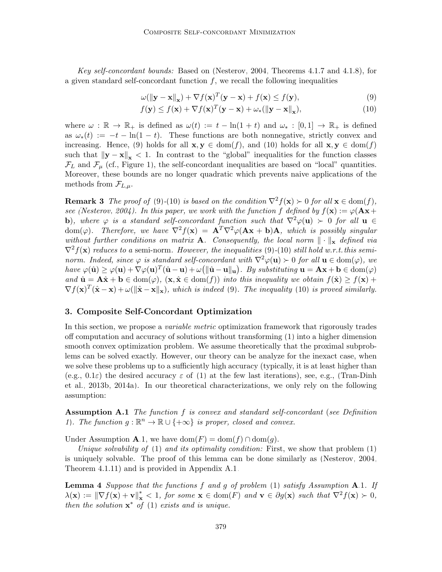Key self-concordant bounds: Based on [\(Nesterov, 2004,](#page-43-2) Theorems 4.1.7 and 4.1.8), for a given standard self-concordant function  $f$ , we recall the following inequalities

<span id="page-8-1"></span>
$$
\omega(||\mathbf{y} - \mathbf{x}||_{\mathbf{x}}) + \nabla f(\mathbf{x})^T (\mathbf{y} - \mathbf{x}) + f(\mathbf{x}) \le f(\mathbf{y}),
$$
\n(9)

$$
f(\mathbf{y}) \le f(\mathbf{x}) + \nabla f(\mathbf{x})^T (\mathbf{y} - \mathbf{x}) + \omega_* (\|\mathbf{y} - \mathbf{x}\|_{\mathbf{x}}),
$$
\n(10)

where  $\omega : \mathbb{R} \to \mathbb{R}_+$  is defined as  $\omega(t) := t - \ln(1+t)$  and  $\omega_* : [0,1] \to \mathbb{R}_+$  is defined as  $\omega_*(t) := -t - \ln(1-t)$ . These functions are both nonnegative, strictly convex and increasing. Hence, [\(9\)](#page-8-1) holds for all  $\mathbf{x}, \mathbf{y} \in \text{dom}(f)$ , and [\(10\)](#page-8-1) holds for all  $\mathbf{x}, \mathbf{y} \in \text{dom}(f)$ such that  $\|\mathbf{y} - \mathbf{x}\|_{\mathbf{x}} < 1$ . In contrast to the "global" inequalities for the function classes  $\mathcal{F}_L$  and  $\mathcal{F}_{\mu}$  (cf., Figure [1\)](#page-1-0), the self-concordant inequalities are based on "local" quantities. Moreover, these bounds are no longer quadratic which prevents naive applications of the methods from  $\mathcal{F}_{L,\mu}$ .

<span id="page-8-4"></span>**Remark 3** The proof of [\(9\)](#page-8-1)-[\(10\)](#page-8-1) is based on the condition  $\nabla^2 f(\mathbf{x}) \succ 0$  for all  $\mathbf{x} \in \text{dom}(f)$ , see [\(Nesterov, 2004\)](#page-43-2). In this paper, we work with the function f defined by  $f(\mathbf{x}) := \varphi(\mathbf{A}\mathbf{x} + \varphi)$ b), where  $\varphi$  is a standard self-concordant function such that  $\nabla^2 \varphi(\mathbf{u}) \succ 0$  for all  $\mathbf{u} \in$ dom( $\varphi$ ). Therefore, we have  $\nabla^2 f(x) = A^T \nabla^2 \varphi(Ax + b)A$ , which is possibly singular without further conditions on matrix **A**. Consequently, the local norm  $\|\cdot\|_{\mathbf{x}}$  defined via  $\nabla^2 f(\mathbf{x})$  reduces to a semi-norm. However, the inequalities [\(9\)](#page-8-1)-[\(10\)](#page-8-1) still hold w.r.t. this seminorm. Indeed, since  $\varphi$  is standard self-concordant with  $\nabla^2 \varphi(\mathbf{u}) \succ 0$  for all  $\mathbf{u} \in \text{dom}(\varphi)$ , we have  $\varphi(\hat{\mathbf{u}}) \geq \varphi(\mathbf{u}) + \nabla \varphi(\mathbf{u})^T (\hat{\mathbf{u}} - \mathbf{u}) + \omega(\|\hat{\mathbf{u}} - \mathbf{u}\|_{\mathbf{u}})$ . By substituting  $\mathbf{u} = \mathbf{A}\mathbf{x} + \mathbf{b} \in \text{dom}(\varphi)$ and  $\hat{\mathbf{u}} = \mathbf{A}\hat{\mathbf{x}} + \mathbf{b} \in \text{dom}(\varphi)$ ,  $(\mathbf{x}, \hat{\mathbf{x}} \in \text{dom}(f))$  into this inequality we obtain  $f(\hat{\mathbf{x}}) \geq f(\mathbf{x}) + f(\hat{\mathbf{x}})$  $\nabla f(\mathbf{x})^T(\hat{\mathbf{x}} - \mathbf{x}) + \omega(||\hat{\mathbf{x}} - \mathbf{x}||_{\mathbf{x}})$ , which is indeed [\(9\)](#page-8-1). The inequality [\(10\)](#page-8-1) is proved similarly.

### <span id="page-8-0"></span>3. Composite Self-Concordant Optimization

In this section, we propose a *variable metric* optimization framework that rigorously trades off computation and accuracy of solutions without transforming [\(1\)](#page-0-0) into a higher dimension smooth convex optimization problem. We assume theoretically that the proximal subproblems can be solved exactly. However, our theory can be analyze for the inexact case, when we solve these problems up to a sufficiently high accuracy (typically, it is at least higher than (e.g.,  $0.1\varepsilon$ ) the desired accuracy  $\varepsilon$  of [\(1\)](#page-0-0) at the few last iterations), see, e.g., [\(Tran-Dinh](#page-45-5) [et al., 2013b,](#page-45-5) [2014a\)](#page-45-4). In our theoretical characterizations, we only rely on the following assumption:

<span id="page-8-2"></span>Assumption A.1 The function f is convex and standard self-concordant (see Definition [1](#page-2-1)). The function  $g : \mathbb{R}^n \to \mathbb{R} \cup \{+\infty\}$  is proper, closed and convex.

Under Assumption A.[1,](#page-8-2) we have  $\text{dom}(F) = \text{dom}(f) \cap \text{dom}(q)$ .

Unique solvability of  $(1)$  and its optimality condition: First, we show that problem  $(1)$ is uniquely solvable. The proof of this lemma can be done similarly as [\(Nesterov, 2004,](#page-43-2) Theorem 4.1.11) and is provided in Appendix [A.1.](#page-2-3)

<span id="page-8-3"></span>**Lemma 4** Suppose that the functions f and g of problem  $(1)$  satisfy Assumption A.[1](#page-8-2). If  $\lambda(\mathbf{x}) := \|\nabla f(\mathbf{x}) + \mathbf{v}\|_{\mathbf{x}}^* \leq 1$ , for some  $\mathbf{x} \in \text{dom}(F)$  and  $\mathbf{v} \in \partial g(\mathbf{x})$  such that  $\nabla^2 f(\mathbf{x}) \succ 0$ , then the solution  $\mathbf{x}^*$  of [\(1\)](#page-0-0) exists and is unique.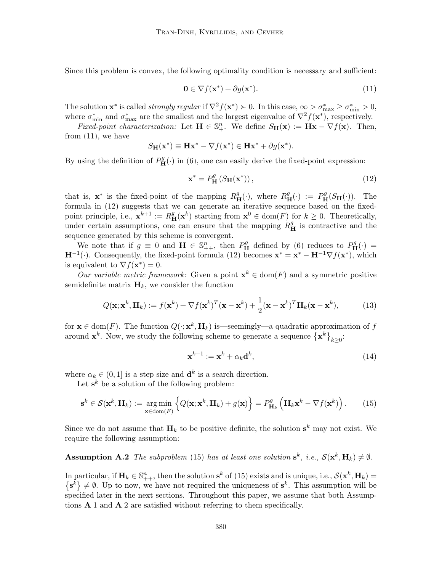Since this problem is convex, the following optimality condition is necessary and sufficient:

<span id="page-9-0"></span>
$$
\mathbf{0} \in \nabla f(\mathbf{x}^*) + \partial g(\mathbf{x}^*). \tag{11}
$$

The solution  $\mathbf{x}^*$  is called *strongly regular* if  $\nabla^2 f(\mathbf{x}^*) \succ 0$ . In this case,  $\infty > \sigma_{\max}^* \ge \sigma_{\min}^* > 0$ , where  $\sigma_{\min}^*$  and  $\sigma_{\max}^*$  are the smallest and the largest eigenvalue of  $\nabla^2 f(\mathbf{x}^*)$ , respectively.

Fixed-point characterization: Let  $\mathbf{H} \in \mathbb{S}_{+}^{n}$ . We define  $S_{\mathbf{H}}(\mathbf{x}) := \mathbf{H}\mathbf{x} - \nabla f(\mathbf{x})$ . Then, from [\(11\)](#page-9-0), we have

$$
S_{\mathbf{H}}(\mathbf{x}^*) \equiv \mathbf{H}\mathbf{x}^* - \nabla f(\mathbf{x}^*) \in \mathbf{H}\mathbf{x}^* + \partial g(\mathbf{x}^*).
$$

By using the definition of  $P_{\mathbf{H}}^{g}(\cdot)$  in [\(6\)](#page-7-1), one can easily derive the fixed-point expression:

<span id="page-9-1"></span>
$$
\mathbf{x}^* = P_\mathbf{H}^g \left( S_\mathbf{H}(\mathbf{x}^*) \right),\tag{12}
$$

that is,  $\mathbf{x}^*$  is the fixed-point of the mapping  $R^g_{\mathbf{H}}(\cdot)$ , where  $R^g_{\mathbf{H}}(\cdot) := P^g_{\mathbf{H}}(S_{\mathbf{H}}(\cdot))$ . The formula in [\(12\)](#page-9-1) suggests that we can generate an iterative sequence based on the fixedpoint principle, i.e.,  $\mathbf{x}^{k+1} := R^g_{\mathbf{H}}(\mathbf{x}^k)$  starting from  $\mathbf{x}^0 \in \text{dom}(F)$  for  $k \geq 0$ . Theoretically, under certain assumptions, one can ensure that the mapping  $R_{\rm H}^g$  is contractive and the sequence generated by this scheme is convergent.

We note that if  $g \equiv 0$  and  $\mathbf{H} \in \mathbb{S}_{++}^n$ , then  $P_{\mathbf{H}}^g$  defined by [\(6\)](#page-7-1) reduces to  $P_{\mathbf{H}}^g(\cdot)$  $\mathbf{H}^{-1}(\cdot)$ . Consequently, the fixed-point formula [\(12\)](#page-9-1) becomes  $\mathbf{x}^* = \mathbf{x}^* - \mathbf{H}^{-1} \nabla f(\mathbf{x}^*)$ , which is equivalent to  $\nabla f(\mathbf{x}^*) = 0$ .

Our variable metric framework: Given a point  $\mathbf{x}^k \in \text{dom}(F)$  and a symmetric positive semidefinite matrix  $\mathbf{H}_k$ , we consider the function

$$
Q(\mathbf{x}; \mathbf{x}^k, \mathbf{H}_k) := f(\mathbf{x}^k) + \nabla f(\mathbf{x}^k)^T (\mathbf{x} - \mathbf{x}^k) + \frac{1}{2} (\mathbf{x} - \mathbf{x}^k)^T \mathbf{H}_k (\mathbf{x} - \mathbf{x}^k),
$$
(13)

for  $\mathbf{x} \in \text{dom}(F)$ . The function  $Q(\cdot; \mathbf{x}^k, \mathbf{H}_k)$  is—seemingly—a quadratic approximation of f around  $\mathbf{x}^k$ . Now, we study the following scheme to generate a sequence  $\{\mathbf{x}^k\}_{k\geq 0}$ :

<span id="page-9-4"></span>
$$
\mathbf{x}^{k+1} := \mathbf{x}^k + \alpha_k \mathbf{d}^k,\tag{14}
$$

where  $\alpha_k \in (0,1]$  is a step size and  $\mathbf{d}^k$  is a search direction.

Let  $s^k$  be a solution of the following problem:

<span id="page-9-2"></span>
$$
\mathbf{s}^k \in \mathcal{S}(\mathbf{x}^k, \mathbf{H}_k) := \underset{\mathbf{x} \in \text{dom}(F)}{\arg \min} \left\{ Q(\mathbf{x}; \mathbf{x}^k, \mathbf{H}_k) + g(\mathbf{x}) \right\} = P_{\mathbf{H}_k}^g \left( \mathbf{H}_k \mathbf{x}^k - \nabla f(\mathbf{x}^k) \right). \tag{15}
$$

Since we do not assume that  $\mathbf{H}_k$  to be positive definite, the solution  $\mathbf{s}^k$  may not exist. We require the following assumption:

<span id="page-9-3"></span>**Assumption A.2** The subproblem [\(15\)](#page-9-2) has at least one solution  $\mathbf{s}^k$ , i.e.,  $\mathcal{S}(\mathbf{x}^k, \mathbf{H}_k) \neq \emptyset$ .

In particular, if  $\mathbf{H}_k \in \mathbb{S}_{++}^n$ , then the solution  $\mathbf{s}^k$  of [\(15\)](#page-9-2) exists and is unique, i.e.,  $\mathcal{S}(\mathbf{x}^k, \mathbf{H}_k) =$  $\{\mathbf s^k\}\neq\emptyset$ . Up to now, we have not required the uniqueness of  $\mathbf s^k$ . This assumption will be specified later in the next sections. Throughout this paper, we assume that both Assumptions  $\mathbf{A}.1$  $\mathbf{A}.1$  and  $\mathbf{A}.2$  $\mathbf{A}.2$  are satisfied without referring to them specifically.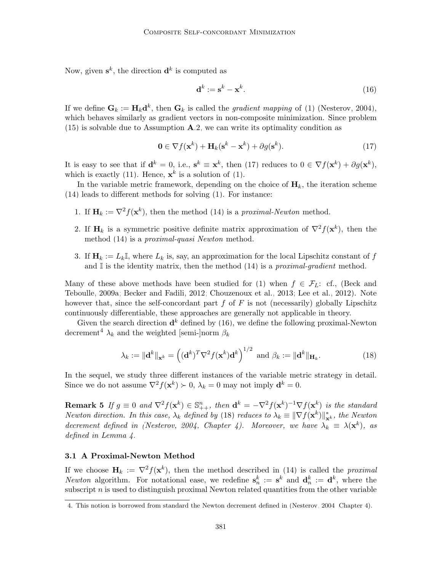Now, given  $\mathbf{s}^k$ , the direction  $\mathbf{d}^k$  is computed as

<span id="page-10-1"></span>
$$
\mathbf{d}^k := \mathbf{s}^k - \mathbf{x}^k. \tag{16}
$$

If we define  $G_k := H_k d^k$ , then  $G_k$  is called the *gradient mapping* of [\(1\)](#page-0-0) [\(Nesterov, 2004\)](#page-43-2), which behaves similarly as gradient vectors in non-composite minimization. Since problem  $(15)$  is solvable due to Assumption A.[2,](#page-9-3) we can write its optimality condition as

<span id="page-10-0"></span>
$$
\mathbf{0} \in \nabla f(\mathbf{x}^k) + \mathbf{H}_k(\mathbf{s}^k - \mathbf{x}^k) + \partial g(\mathbf{s}^k). \tag{17}
$$

It is easy to see that if  $\mathbf{d}^k = 0$ , i.e.,  $\mathbf{s}^k \equiv \mathbf{x}^k$ , then [\(17\)](#page-10-0) reduces to  $0 \in \nabla f(\mathbf{x}^k) + \partial g(\mathbf{x}^k)$ , which is exactly [\(11\)](#page-9-0). Hence,  $\mathbf{x}^k$  is a solution of [\(1\)](#page-0-0).

In the variable metric framework, depending on the choice of  $H_k$ , the iteration scheme [\(14\)](#page-9-4) leads to different methods for solving [\(1\)](#page-0-0). For instance:

- 1. If  $\mathbf{H}_k := \nabla^2 f(\mathbf{x}^k)$ , then the method [\(14\)](#page-9-4) is a *proximal-Newton* method.
- 2. If  $\mathbf{H}_k$  is a symmetric positive definite matrix approximation of  $\nabla^2 f(\mathbf{x}^k)$ , then the method [\(14\)](#page-9-4) is a proximal-quasi Newton method.
- 3. If  $\mathbf{H}_k := L_k \mathbb{I}$ , where  $L_k$  is, say, an approximation for the local Lipschitz constant of f and  $\mathbb I$  is the identity matrix, then the method [\(14\)](#page-9-4) is a *proximal-gradient* method.

Many of these above methods have been studied for [\(1\)](#page-0-0) when  $f \in \mathcal{F}_L$ : cf., [\(Beck and](#page-41-1) [Teboulle, 2009a;](#page-41-1) [Becker and Fadili, 2012;](#page-41-2) [Chouzenoux et al., 2013;](#page-42-13) [Lee et al., 2012\)](#page-43-1). Note however that, since the self-concordant part f of F is not (necessarily) globally Lipschitz continuously differentiable, these approaches are generally not applicable in theory.

Given the search direction  $\mathbf{d}^k$  defined by [\(16\)](#page-10-1), we define the following proximal-Newton decrement<sup>[4](#page-10-2)</sup>  $\lambda_k$  and the weighted [semi-]norm  $\beta_k$ 

<span id="page-10-3"></span>
$$
\lambda_k := \|\mathbf{d}^k\|_{\mathbf{x}^k} = \left( (\mathbf{d}^k)^T \nabla^2 f(\mathbf{x}^k) \mathbf{d}^k \right)^{1/2} \text{ and } \beta_k := \|\mathbf{d}^k\|_{\mathbf{H}_k}.
$$
 (18)

In the sequel, we study three different instances of the variable metric strategy in detail. Since we do not assume  $\nabla^2 f(\mathbf{x}^k) \succ 0$ ,  $\lambda_k = 0$  may not imply  $\mathbf{d}^k = 0$ .

**Remark 5** If  $g \equiv 0$  and  $\nabla^2 f(\mathbf{x}^k) \in \mathbb{S}_{++}^n$ , then  $\mathbf{d}^k = -\nabla^2 f(\mathbf{x}^k)^{-1} \nabla f(\mathbf{x}^k)$  is the standard Newton direction. In this case,  $\lambda_k$  defined by [\(18\)](#page-10-3) reduces to  $\lambda_k \equiv \|\nabla f(\mathbf{x}^k)\|_{\mathbf{x}^k}^*$ , the Newton decrement defined in [\(Nesterov, 2004,](#page-43-2) Chapter 4). Moreover, we have  $\lambda_k \equiv \lambda(\mathbf{x}^k)$ , as defined in Lemma [4.](#page-8-3)

#### <span id="page-10-4"></span>3.1 A Proximal-Newton Method

If we choose  $\mathbf{H}_k := \nabla^2 f(\mathbf{x}^k)$ , then the method described in [\(14\)](#page-9-4) is called the proximal Newton algorithm. For notational ease, we redefine  $s_n^k := s^k$  and  $d_n^k := d^k$ , where the subscript  $n$  is used to distinguish proximal Newton related quantities from the other variable

<span id="page-10-2"></span><sup>4.</sup> This notion is borrowed from standard the Newton decrement defined in [\(Nesterov, 2004,](#page-43-2) Chapter 4).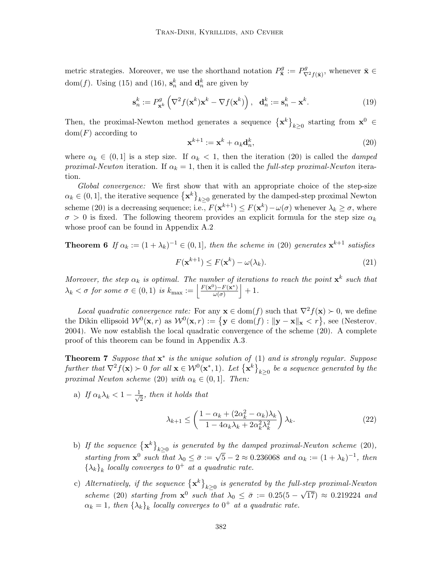metric strategies. Moreover, we use the shorthand notation  $P_{\bar{\mathbf{x}}}^g := P_{\bar{\nabla}}^g$  $\mathcal{L}_{\nabla^2 f(\bar{\mathbf{x}})}$ , whenever  $\bar{\mathbf{x}} \in$ dom(f). Using [\(15\)](#page-9-2) and [\(16\)](#page-10-1),  $\mathbf{s}_n^k$  and  $\mathbf{d}_n^k$  are given by

<span id="page-11-1"></span>
$$
\mathbf{s}_n^k := P_{\mathbf{x}^k}^g \left( \nabla^2 f(\mathbf{x}^k) \mathbf{x}^k - \nabla f(\mathbf{x}^k) \right), \quad \mathbf{d}_n^k := \mathbf{s}_n^k - \mathbf{x}^k. \tag{19}
$$

Then, the proximal-Newton method generates a sequence  $\{\mathbf x^k\}_{k\geq 0}$  starting from  $\mathbf x^0$   $\in$  $dom(F)$  according to

<span id="page-11-0"></span>
$$
\mathbf{x}^{k+1} := \mathbf{x}^k + \alpha_k \mathbf{d}_n^k,\tag{20}
$$

where  $\alpha_k \in (0,1]$  is a step size. If  $\alpha_k < 1$ , then the iteration [\(20\)](#page-11-0) is called the *damped* proximal-Newton iteration. If  $\alpha_k = 1$ , then it is called the full-step proximal-Newton iteration.

Global convergence: We first show that with an appropriate choice of the step-size  $\alpha_k \in (0,1]$ , the iterative sequence  $\{\mathbf x^k\}_{k\geq 0}$  generated by the damped-step proximal Newton scheme [\(20\)](#page-11-0) is a decreasing sequence; i.e.,  $F(\mathbf{x}^{k+1}) \leq F(\mathbf{x}^k) - \omega(\sigma)$  whenever  $\lambda_k \geq \sigma$ , where  $\sigma > 0$  is fixed. The following theorem provides an explicit formula for the step size  $\alpha_k$ whose proof can be found in Appendix [A.2.](#page-4-0)

<span id="page-11-4"></span>**Theorem 6** If  $\alpha_k := (1 + \lambda_k)^{-1} \in (0, 1]$ , then the scheme in [\(20\)](#page-11-0) generates  $\mathbf{x}^{k+1}$  satisfies

<span id="page-11-5"></span>
$$
F(\mathbf{x}^{k+1}) \le F(\mathbf{x}^k) - \omega(\lambda_k). \tag{21}
$$

Moreover, the step  $\alpha_k$  is optimal. The number of iterations to reach the point  $\mathbf{x}^k$  such that  $\lambda_k < \sigma$  for some  $\sigma \in (0,1)$  is  $k_{\max} := \left| \frac{F(\mathbf{x}^0) - F(\mathbf{x}^*)}{\omega(\sigma)} \right|$  $\frac{\partial (-F(\mathbf{x}^*))}{\omega(\sigma)}$  + 1.

Local quadratic convergence rate: For any  $\mathbf{x} \in \text{dom}(f)$  such that  $\nabla^2 f(\mathbf{x}) \succ 0$ , we define the Dikin ellipsoid  $\mathcal{W}^0(\mathbf{x}, r)$  as  $\mathcal{W}^0(\mathbf{x}, r) := \{ \mathbf{y} \in \text{dom}(f) : ||\mathbf{y} - \mathbf{x}||_{\mathbf{x}} < r \},\$ see [\(Nesterov,](#page-43-2) [2004\)](#page-43-2). We now establish the local quadratic convergence of the scheme [\(20\)](#page-11-0). A complete proof of this theorem can be found in Appendix [A.3.](#page-5-1)

<span id="page-11-3"></span>**Theorem 7** Suppose that  $x^*$  is the unique solution of [\(1\)](#page-0-0) and is strongly regular. Suppose further that  $\nabla^2 f(\mathbf{x}) \succ 0$  for all  $\mathbf{x} \in \mathcal{W}^0(\mathbf{x}^*, 1)$ . Let  $\{\mathbf{x}^k\}_{k \geq 0}$  be a sequence generated by the proximal Newton scheme [\(20\)](#page-11-0) with  $\alpha_k \in (0,1]$ . Then:

a) If  $\alpha_k \lambda_k < 1 - \frac{1}{\sqrt{2}}$  $\frac{1}{2}$ , then it holds that

<span id="page-11-2"></span>
$$
\lambda_{k+1} \le \left(\frac{1 - \alpha_k + (2\alpha_k^2 - \alpha_k)\lambda_k}{1 - 4\alpha_k\lambda_k + 2\alpha_k^2\lambda_k^2}\right)\lambda_k.
$$
\n(22)

- b) If the sequence  $\{x^k\}_{k\geq 0}$  is generated by the damped proximal-Newton scheme [\(20\)](#page-11-0), starting from  $\mathbf{x}^0$  such that  $\lambda_0 \leq \bar{\sigma} := \sqrt{5} - 2 \approx 0.236068$  and  $\alpha_k := (1 + \lambda_k)^{-1}$ , then  $\{\lambda_k\}_k$  locally converges to  $0^+$  at a quadratic rate.
- c) Alternatively, if the sequence  $\{x^k\}_{k\geq 0}$  is generated by the full-step proximal-Newton scheme [\(20\)](#page-11-0) starting from  $\mathbf{x}^0$  such that  $\lambda_0 \leq \bar{\sigma} := 0.25(5 - \sqrt{17}) \approx 0.219224$  and  $\alpha_k = 1$ , then  $\{\lambda_k\}_k$  locally converges to  $0^+$  at a quadratic rate.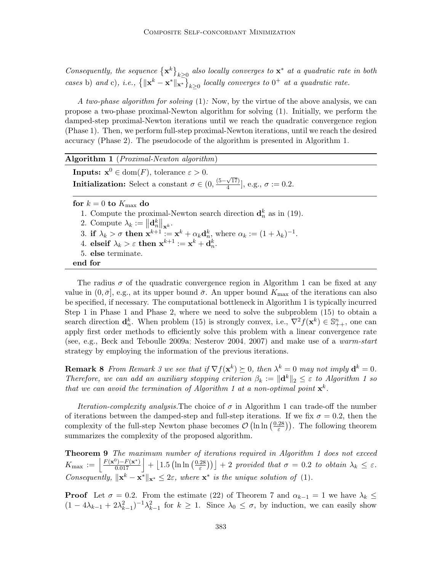Consequently, the sequence  $\{x^k\}_{k\geq 0}$  also locally converges to  $x^*$  at a quadratic rate in both cases b) and c), i.e.,  $\left\{\|\mathbf{x}^k - \mathbf{x}^*\|_{\mathbf{x}^*}\right\}_{k\geq 0}$  locally converges to  $0^+$  at a quadratic rate.

A two-phase algorithm for solving  $(1)$ : Now, by the virtue of the above analysis, we can propose a two-phase proximal-Newton algorithm for solving [\(1\)](#page-0-0). Initially, we perform the damped-step proximal-Newton iterations until we reach the quadratic convergence region (Phase 1). Then, we perform full-step proximal-Newton iterations, until we reach the desired accuracy (Phase 2). The pseudocode of the algorithm is presented in Algorithm [1.](#page-12-0)

<span id="page-12-0"></span>

| Algorithm 1 ( <i>Proximal-Newton algorithm</i> )                                                                                                                                                           |
|------------------------------------------------------------------------------------------------------------------------------------------------------------------------------------------------------------|
| <b>Inputs:</b> $x^0 \in \text{dom}(F)$ , tolerance $\varepsilon > 0$ .                                                                                                                                     |
| <b>Initialization:</b> Select a constant $\sigma \in (0, \frac{(5-\sqrt{17})}{4}]$ , e.g., $\sigma := 0.2$ .                                                                                               |
| for $k = 0$ to $K_{\text{max}}$ do                                                                                                                                                                         |
| 1. Compute the proximal-Newton search direction $\mathbf{d}_n^k$ as in (19).                                                                                                                               |
| 2. Compute $\lambda_k :=   \mathbf{d}_n^k  _{\mathbf{x}^k}$ .<br>3. if $\lambda_k > \sigma$ then $\mathbf{x}^{k+1} := \mathbf{x}^k + \alpha_k \mathbf{d}_n^k$ , where $\alpha_k := (1 + \lambda_k)^{-1}$ . |
| 4. elseif $\lambda_k > \varepsilon$ then $x^{k+1} := x^k + d_n^k$ .                                                                                                                                        |
| 5. else terminate.                                                                                                                                                                                         |
| end for                                                                                                                                                                                                    |

The radius  $\sigma$  of the quadratic convergence region in Algorithm [1](#page-12-0) can be fixed at any value in  $(0, \bar{\sigma})$ , e.g., at its upper bound  $\bar{\sigma}$ . An upper bound  $K_{\text{max}}$  of the iterations can also be specified, if necessary. The computational bottleneck in Algorithm [1](#page-12-0) is typically incurred Step 1 in Phase 1 and Phase 2, where we need to solve the subproblem [\(15\)](#page-9-2) to obtain a search direction  $\mathbf{d}_n^k$ . When problem [\(15\)](#page-9-2) is strongly convex, i.e.,  $\nabla^2 f(\mathbf{x}^k) \in \mathbb{S}_{++}^n$ , one can apply first order methods to efficiently solve this problem with a linear convergence rate (see, e.g., [Beck and Teboulle 2009a;](#page-41-1) [Nesterov 2004,](#page-43-2) [2007\)](#page-44-0) and make use of a warm-start strategy by employing the information of the previous iterations.

**Remark 8** From Remark [3](#page-8-4) we see that if  $\nabla f(\mathbf{x}^k) \geq 0$ , then  $\lambda^k = 0$  may not imply  $\mathbf{d}^k = 0$ . Therefore, we can add an auxiliary stopping criterion  $\beta_k := ||\mathbf{d}^k||_2 \leq \varepsilon$  to Algorithm [1](#page-12-0) so that we can avoid the termination of Algorithm [1](#page-12-0) at a non-optimal point  $\mathbf{x}^k$ .

*Iteration-complexity analysis.*The choice of  $\sigma$  in Algorithm [1](#page-12-0) can trade-off the number of iterations between the damped-step and full-step iterations. If we fix  $\sigma = 0.2$ , then the complexity of the full-step Newton phase becomes  $\mathcal{O}\left(\ln\ln\left(\frac{0.28}{\varepsilon}\right)\right.$  $(\frac{28}{\varepsilon})$ ). The following theorem summarizes the complexity of the proposed algorithm.

<span id="page-12-1"></span>**Theorem 9** The maximum number of iterations required in Algorithm 1 does not exceed  $K_{\text{max}} := \left| \frac{F(\mathbf{x}^0) - F(\mathbf{x}^*)}{0.017} \right| + \left[ 1.5 \left( \ln \ln \left( \frac{0.28}{\varepsilon} \right) \right] \right|$  $\left\lfloor\frac{28}{\varepsilon}\right\rfloor\right)\left\lfloor\ +2\ \text{provided that } \sigma\ =\ 0.2\ \text{to obtain }\lambda_k\leq\varepsilon.$ Consequently,  $\|\mathbf{x}^k - \mathbf{x}^*\|_{\mathbf{x}^*} \leq 2\varepsilon$ , where  $\mathbf{x}^*$  is the unique solution of [\(1\)](#page-0-0).

**Proof** Let  $\sigma = 0.2$ . From the estimate [\(22\)](#page-11-2) of Theorem [7](#page-11-3) and  $\alpha_{k-1} = 1$  we have  $\lambda_k \leq$  $(1-4\lambda_{k-1}+2\lambda_{k-1}^2)^{-1}\lambda_{k-1}^2$  for  $k\geq 1$ . Since  $\lambda_0 \leq \sigma$ , by induction, we can easily show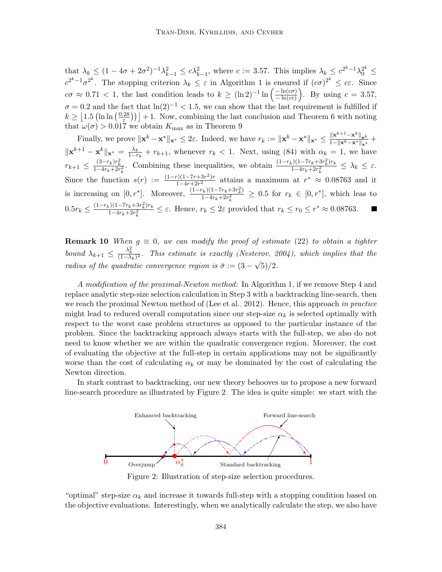that  $\lambda_k \leq (1 - 4\sigma + 2\sigma^2)^{-1} \lambda_{k-1}^2 \leq c\lambda_{k-1}^2$ , where  $c := 3.57$ . This implies  $\lambda_k \leq c^{2^k-1} \lambda_0^{2^k} \leq$  $c^{2^k-1}\sigma^{2^k}$ . The stopping criterion  $\lambda_k \leq \varepsilon$  in Algorithm [1](#page-12-0) is ensured if  $(c\sigma)^{2^k} \leq c\varepsilon$ . Since  $c\sigma \approx 0.71 < 1$ , the last condition leads to  $k \geq (\ln 2)^{-1} \ln \left( \frac{-\ln(c\sigma)}{-\ln(c\varepsilon)} \right)$  $\frac{-\ln(c\sigma)}{-\ln(c\varepsilon)}$ . By using  $c = 3.57$ ,  $\sigma = 0.2$  and the fact that  $\ln(2)^{-1} < 1.5$ , we can show that the last requirement is fulfilled if  $k \geq \left\lfloor 1.5 \left( \ln \ln \left( \frac{0.28}{\varepsilon} \right) \right. \right.$  $(\frac{28}{\varepsilon})$ ) + 1. Now, combining the last conclusion and Theorem [6](#page-11-4) with noting that  $\omega(\sigma) > 0.017$  we obtain  $K_{\text{max}}$  as in Theorem [9.](#page-12-1)

Finally, we prove  $\|\mathbf{x}^k - \mathbf{x}^*\|_{\mathbf{x}^*} \leq 2\varepsilon$ . Indeed, we have  $r_k := \|\mathbf{x}^k - \mathbf{x}^*\|_{\mathbf{x}^*} \leq \frac{\|\mathbf{x}^{k+1} - \mathbf{x}^k\|_{\mathbf{x}^k}}{1 - \|\mathbf{x}^k - \mathbf{x}^*\|_{\mathbf{x}^*}}$  $\frac{\mathbf{x} - \mathbf{x} - \mathbf{x}}{1 - \|\mathbf{x}^k - \mathbf{x}^*\|_{\mathbf{x}^*}} +$  $\|\mathbf{x}^{k+1}-\mathbf{x}^{k}\|_{\mathbf{x}^*} = \frac{\lambda_k}{1-\tau}$  $\frac{\lambda_k}{1-r_k} + r_{k+1}$ , whenever  $r_k < 1$ . Next, using [\(84\)](#page-39-0) with  $\alpha_k = 1$ , we have  $r_{k+1} \leq \frac{(3-r_k)r_k^2}{1-4r_k+2r_k^2}$ . Combining these inequalities, we obtain  $\frac{(1-r_k)(1-7r_k+3r_k^2)r_k}{1-4r_k+2r_k^2}$  $\frac{1-4r_k+3r_k^2}{1-4r_k+2r_k^2} \leq \lambda_k \leq \varepsilon.$ Since the function  $s(r) := \frac{(1-r)(1-7r+3r^2)r}{1-4r+2r^2}$  $\frac{r(1-7r+3r^2)r}{1-4r+2r^2}$  attains a maximum at  $r^* \approx 0.08763$  and it is increasing on [0, r<sup>\*</sup>]. Moreover,  $\frac{(1-r_k)(1-7r_k+3r_k^2)}{1-4r_k+2r_k^2}$  $\frac{r_k(1-(r_k+3r_k^2)}{1-4r_k+2r_k^2}$  ≥ 0.5 for  $r_k \in [0,r^*]$ , which leas to  $0.5r_k \leq \frac{(1-r_k)(1-7r_k+3r_k^2)r_k}{1-4r_k+2r_k^2}$  $\frac{f_k(1-i r_k+3r_k^2)r_k}{1-4r_k+2r_k^2} \leq \varepsilon$ . Hence,  $r_k \leq 2\varepsilon$  provided that  $r_k \leq r_0 \leq r^* \approx 0.08763$ .

**Remark 10** When  $g \equiv 0$ , we can modify the proof of estimate [\(22\)](#page-11-2) to obtain a tighter bound  $\lambda_{k+1} \leq \frac{\lambda_k^2}{(1-\lambda_k)^2}$ . This estimate is exactly [\(Nesterov, 2004\)](#page-43-2), which implies that the radius of the quadratic convergence region is  $\bar{\sigma} := (3 - \sqrt{5})/2$ .

A modification of the proximal-Newton method: In Algorithm [1,](#page-12-0) if we remove Step 4 and replace analytic step-size selection calculation in Step 3 with a backtracking line-search, then we reach the proximal Newton method of [\(Lee et al., 2012\)](#page-43-1). Hence, this approach in practice might lead to reduced overall computation since our step-size  $\alpha_k$  is selected optimally with respect to the worst case problem structures as opposed to the particular instance of the problem. Since the backtracking approach always starts with the full-step, we also do not need to know whether we are within the quadratic convergence region. Moreover, the cost of evaluating the objective at the full-step in certain applications may not be significantly worse than the cost of calculating  $\alpha_k$  or may be dominated by the cost of calculating the Newton direction.

<span id="page-13-0"></span>In stark contrast to backtracking, our new theory behooves us to propose a new forward line-search procedure as illustrated by Figure [2.](#page-13-0) The idea is quite simple: we start with the



Figure 2: Illustration of step-size selection procedures.

"optimal" step-size  $\alpha_k$  and increase it towards full-step with a stopping condition based on the objective evaluations. Interestingly, when we analytically calculate the step, we also have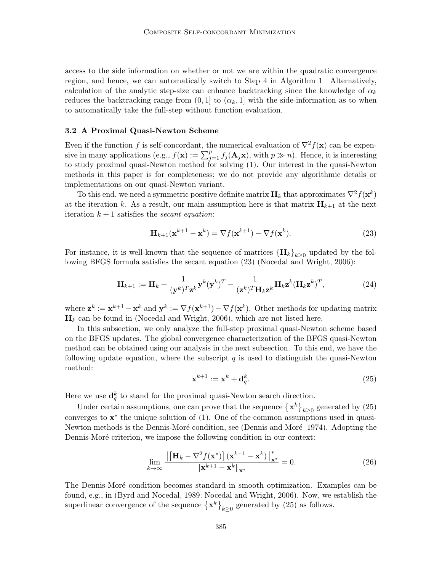access to the side information on whether or not we are within the quadratic convergence region, and hence, we can automatically switch to Step 4 in Algorithm [1.](#page-12-0) Alternatively, calculation of the analytic step-size can enhance backtracking since the knowledge of  $\alpha_k$ reduces the backtracking range from  $(0, 1]$  to  $(\alpha_k, 1]$  with the side-information as to when to automatically take the full-step without function evaluation.

#### 3.2 A Proximal Quasi-Newton Scheme

Even if the function f is self-concordant, the numerical evaluation of  $\nabla^2 f(\mathbf{x})$  can be expensive in many applications (e.g.,  $f(\mathbf{x}) := \sum_{j=1}^p f_j(\mathbf{A}_j \mathbf{x})$ , with  $p \gg n$ ). Hence, it is interesting to study proximal quasi-Newton method for solving [\(1\)](#page-0-0). Our interest in the quasi-Newton methods in this paper is for completeness; we do not provide any algorithmic details or implementations on our quasi-Newton variant.

To this end, we need a symmetric positive definite matrix  $\mathbf{H}_k$  that approximates  $\nabla^2 f(\mathbf{x}^k)$ at the iteration k. As a result, our main assumption here is that matrix  $\mathbf{H}_{k+1}$  at the next iteration  $k + 1$  satisfies the *secant equation*:

<span id="page-14-0"></span>
$$
\mathbf{H}_{k+1}(\mathbf{x}^{k+1} - \mathbf{x}^k) = \nabla f(\mathbf{x}^{k+1}) - \nabla f(\mathbf{x}^k).
$$
 (23)

For instance, it is well-known that the sequence of matrices  ${H_k}_{k\geq 0}$  updated by the fol-lowing BFGS formula satisfies the secant equation [\(23\)](#page-14-0) [\(Nocedal and Wright, 2006\)](#page-44-15):

<span id="page-14-3"></span>
$$
\mathbf{H}_{k+1} := \mathbf{H}_k + \frac{1}{(\mathbf{y}^k)^T \mathbf{z}^k} \mathbf{y}^k (\mathbf{y}^k)^T - \frac{1}{(\mathbf{z}^k)^T \mathbf{H}_k \mathbf{z}^k} \mathbf{H}_k \mathbf{z}^k (\mathbf{H}_k \mathbf{z}^k)^T,
$$
(24)

where  $\mathbf{z}^k := \mathbf{x}^{k+1} - \mathbf{x}^k$  and  $\mathbf{y}^k := \nabla f(\mathbf{x}^{k+1}) - \nabla f(\mathbf{x}^k)$ . Other methods for updating matrix  $\mathbf{H}_k$  can be found in [\(Nocedal and Wright, 2006\)](#page-44-15), which are not listed here.

In this subsection, we only analyze the full-step proximal quasi-Newton scheme based on the BFGS updates. The global convergence characterization of the BFGS quasi-Newton method can be obtained using our analysis in the next subsection. To this end, we have the following update equation, where the subscript  $q$  is used to distinguish the quasi-Newton method:

<span id="page-14-1"></span>
$$
\mathbf{x}^{k+1} := \mathbf{x}^k + \mathbf{d}_q^k. \tag{25}
$$

Here we use  $\mathbf{d}_q^k$  to stand for the proximal quasi-Newton search direction.

Under certain assumptions, one can prove that the sequence  $\{\mathbf x^k\}_{k\geq 0}$  generated by [\(25\)](#page-14-1) converges to  $x^*$  the unique solution of [\(1\)](#page-0-0). One of the common assumptions used in quasi-Newton methods is the Dennis-Moré condition, see (Dennis and Moré, 1974). Adopting the Dennis-Moré criterion, we impose the following condition in our context:

<span id="page-14-2"></span>
$$
\lim_{k \to \infty} \frac{\left\| \left[ \mathbf{H}_k - \nabla^2 f(\mathbf{x}^*) \right] (\mathbf{x}^{k+1} - \mathbf{x}^k) \right\|_{\mathbf{x}^*}^*}{\left\| \mathbf{x}^{k+1} - \mathbf{x}^k \right\|_{\mathbf{x}^*}} = 0.
$$
\n(26)

<span id="page-14-4"></span>The Dennis-Moré condition becomes standard in smooth optimization. Examples can be found, e.g., in [\(Byrd and Nocedal, 1989;](#page-42-14) [Nocedal and Wright, 2006\)](#page-44-15). Now, we establish the superlinear convergence of the sequence  $\{\mathbf x^k\}_{k\geq 0}$  generated by [\(25\)](#page-14-1) as follows.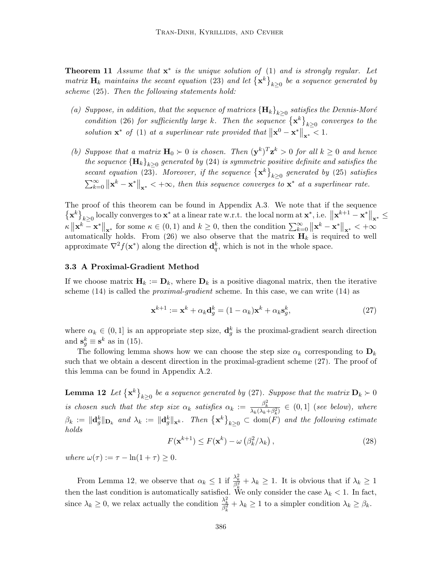**Theorem 11** Assume that  $x^*$  is the unique solution of [\(1\)](#page-0-0) and is strongly regular. Let  $\emph{matrix} \; \mathbf{H}_k \; \emph{maintains the secant equation (23) and let} \; \left\{ \mathbf{x}^k \right\}_{k \geq 0} \; \emph{be a sequence generated by}$  $\emph{matrix} \; \mathbf{H}_k \; \emph{maintains the secant equation (23) and let} \; \left\{ \mathbf{x}^k \right\}_{k \geq 0} \; \emph{be a sequence generated by}$  $\emph{matrix} \; \mathbf{H}_k \; \emph{maintains the secant equation (23) and let} \; \left\{ \mathbf{x}^k \right\}_{k \geq 0} \; \emph{be a sequence generated by}$ scheme [\(25\)](#page-14-1). Then the following statements hold:

- (a) Suppose, in addition, that the sequence of matrices  ${H_k}_{k\geq 0}$  satisfies the Dennis-Moré condition [\(26\)](#page-14-2) for sufficiently large k. Then the sequence  $\{x^k\}_{k\geq 0}$  converges to the solution  $\mathbf{x}^*$  of [\(1\)](#page-0-0) at a superlinear rate provided that  $\|\mathbf{x}^0 - \mathbf{x}^*\|_{\mathbf{x}^*} < 1$ .
- (b) Suppose that a matrix  $\mathbf{H}_0 \succ 0$  is chosen. Then  $(\mathbf{y}^k)^T \mathbf{z}^k > 0$  for all  $k \geq 0$  and hence the sequence  $\left\{\mathbf{H}_{k}\right\}_{k\geq0}$  generated by [\(24\)](#page-14-3) is symmetric positive definite and satisfies the secant equation [\(23\)](#page-14-0). Moreover, if the sequence  $\{x^k\}_{k\geq 0}$  generated by [\(25\)](#page-14-1) satisfies  $\sum_{k=0}^{\infty} ||\mathbf{x}^k - \mathbf{x}^*||_{\mathbf{x}^*} < +\infty$ , then this sequence converges to  $\mathbf{x}^*$  at a superlinear rate.

The proof of this theorem can be found in Appendix [A.3.](#page-5-1) We note that if the sequence  $\{\mathbf x^k\}_{k\geq 0}$  locally converges to  $\mathbf x^*$  at a linear rate w.r.t. the local norm at  $\mathbf x^*$ , i.e.  $\|\mathbf x^{k+1} - \mathbf x^*\|_{\mathbf x^*} \leq$  $\kappa \|\mathbf{x}^k - \mathbf{x}^*\|_{\mathbf{x}^*}$  for some  $\kappa \in (0, 1)$  and  $k \geq 0$ , then the condition  $\sum_{k=0}^{\infty} \|\mathbf{x}^k - \mathbf{x}^*\|_{\mathbf{x}^*} < +\infty$ automatically holds. From [\(26\)](#page-14-2) we also observe that the matrix  $H_k$  is required to well approximate  $\nabla^2 f(\mathbf{x}^*)$  along the direction  $\mathbf{d}_q^k$ , which is not in the whole space.

#### <span id="page-15-2"></span>3.3 A Proximal-Gradient Method

If we choose matrix  $\mathbf{H}_k := \mathbf{D}_k$ , where  $\mathbf{D}_k$  is a positive diagonal matrix, then the iterative scheme  $(14)$  is called the *proximal-gradient* scheme. In this case, we can write  $(14)$  as

<span id="page-15-0"></span>
$$
\mathbf{x}^{k+1} := \mathbf{x}^k + \alpha_k \mathbf{d}_g^k = (1 - \alpha_k) \mathbf{x}^k + \alpha_k \mathbf{s}_g^k,
$$
 (27)

where  $\alpha_k \in (0,1]$  is an appropriate step size,  $\mathbf{d}_g^k$  is the proximal-gradient search direction and  $\mathbf{s}_g^k \equiv \mathbf{s}^k$  as in [\(15\)](#page-9-2).

The following lemma shows how we can choose the step size  $\alpha_k$  corresponding to  $\mathbf{D}_k$ such that we obtain a descent direction in the proximal-gradient scheme [\(27\)](#page-15-0). The proof of this lemma can be found in Appendix [A.2.](#page-4-0)

<span id="page-15-1"></span>**Lemma 12** Let  $\{x^k\}_{k\geq 0}$  be a sequence generated by [\(27\)](#page-15-0). Suppose that the matrix  $D_k \succ 0$ is chosen such that the step size  $\alpha_k$  satisfies  $\alpha_k := \frac{\beta_k^2}{\lambda_k(\lambda_k+\beta_k^2)} \in (0,1]$  (see below), where  $\beta_k \ := \ \|\mathbf{d}_g^k\|_{\mathbf{D}_k} \ \ \textit{and} \ \ \lambda_k \ := \ \|\mathbf{d}_g^k\|_{\mathbf{x}^k}. \ \ \textit{Then} \ \left\{\mathbf{x}^k\right\}_{k\geq 0} \subset \textit{dom}(F) \ \ \textit{and the following estimate}$ holds

$$
F(\mathbf{x}^{k+1}) \le F(\mathbf{x}^k) - \omega \left(\beta_k^2 / \lambda_k\right),\tag{28}
$$

where  $\omega(\tau) := \tau - \ln(1 + \tau) > 0$ .

From Lemma [12,](#page-15-1) we observe that  $\alpha_k \leq 1$  if  $\frac{\lambda_k^2}{\beta_k^2} + \lambda_k \geq 1$ . It is obvious that if  $\lambda_k \geq 1$ then the last condition is automatically satisfied. We only consider the case  $\lambda_k < 1$ . In fact, since  $\lambda_k \geq 0$ , we relax actually the condition  $\frac{\lambda_k^2}{\beta_k^2} + \lambda_k \geq 1$  to a simpler condition  $\lambda_k \geq \beta_k$ .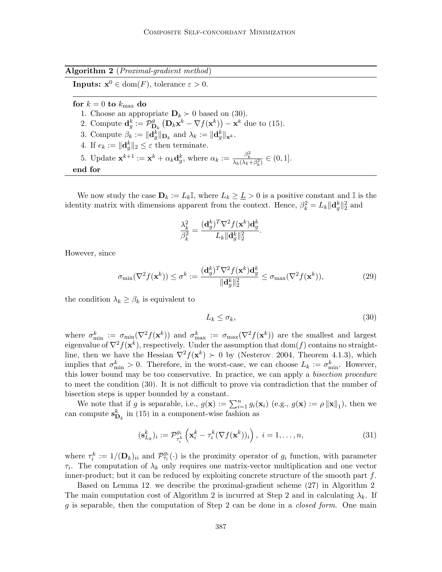<span id="page-16-1"></span>

|  | Algorithm 2 ( <i>Proximal-gradient method</i> ) |  |
|--|-------------------------------------------------|--|
|--|-------------------------------------------------|--|

**Inputs:**  $x^0 \in \text{dom}(F)$ , tolerance  $\varepsilon > 0$ .

for  $k = 0$  to  $k_{\text{max}}$  do 1. Choose an appropriate  $\mathbf{D}_k \succ 0$  based on [\(30\)](#page-16-0). 2. Compute  $\mathbf{d}_{g}^{k} := \mathcal{P}_{\mathbf{L}}^{g}$  $\mathbf{D}_k \left( \mathbf{D}_k \mathbf{x}^k - \nabla f(\mathbf{x}^k) \right) - \mathbf{x}^k$  due to [\(15\)](#page-9-2). 3. Compute  $\beta_k := \|\mathbf{d}_g^k\|_{\mathbf{D}_k}$  and  $\lambda_k := \|\mathbf{d}_g^k\|_{\mathbf{x}^k}$ . 4. If  $e_k := \|\mathbf{d}_g^k\|_2 \leq \varepsilon$  then terminate. 5. Update  $\mathbf{x}^{k+1} := \mathbf{x}^k + \alpha_k \mathbf{d}_g^k$ , where  $\alpha_k := \frac{\beta_k^2}{\lambda_k(\lambda_k + \beta_k^2)} \in (0, 1]$ . end for

We now study the case  $\mathbf{D}_k := L_k \mathbb{I}$ , where  $L_k \geq \underline{L} > 0$  is a positive constant and  $\mathbb{I}$  is the identity matrix with dimensions apparent from the context. Hence,  $\beta_k^2 = L_k ||\mathbf{d}_g^k||_2^2$  and

$$
\frac{\lambda_k^2}{\beta_k^2} = \frac{(\mathbf{d}_g^k)^T \nabla^2 f(\mathbf{x}^k) \mathbf{d}_g^k}{L_k \|\mathbf{d}_g^k\|_2^2}.
$$

However, since

$$
\sigma_{\min}(\nabla^2 f(\mathbf{x}^k)) \le \sigma^k := \frac{(\mathbf{d}_g^k)^T \nabla^2 f(\mathbf{x}^k) \mathbf{d}_g^k}{\|\mathbf{d}_g^k\|_2^2} \le \sigma_{\max}(\nabla^2 f(\mathbf{x}^k)),\tag{29}
$$

the condition  $\lambda_k \geq \beta_k$  is equivalent to

<span id="page-16-0"></span>
$$
L_k \le \sigma_k,\tag{30}
$$

where  $\sigma_{\min}^k := \sigma_{\min}(\nabla^2 f(\mathbf{x}^k))$  and  $\sigma_{\max}^k := \sigma_{\max}(\nabla^2 f(\mathbf{x}^k))$  are the smallest and largest eigenvalue of  $\nabla^2 f(\mathbf{x}^k)$ , respectively. Under the assumption that dom(f) contains no straightline, then we have the Hessian  $\nabla^2 f(\mathbf{x}^k) \succ 0$  by [\(Nesterov, 2004,](#page-43-2) Theorem 4.1.3), which implies that  $\sigma_{\min}^k > 0$ . Therefore, in the worst-case, we can choose  $L_k := \sigma_{\min}^k$ . However, this lower bound may be too conservative. In practice, we can apply a *bisection procedure* to meet the condition [\(30\)](#page-16-0). It is not difficult to prove via contradiction that the number of bisection steps is upper bounded by a constant.

We note that if g is separable, i.e.,  $g(\mathbf{x}) := \sum_{i=1}^n g_i(\mathbf{x}_i)$  (e.g.,  $g(\mathbf{x}) := \rho ||\mathbf{x}||_1$ ), then we can compute  $\mathbf{s}_{\mathbf{D}_k}^k$  in [\(15\)](#page-9-2) in a component-wise fashion as

$$
(\mathbf{s}_{L_k}^k)_i := \mathcal{P}_{\tau_i^k}^{g_i} \left( \mathbf{x}_i^k - \tau_i^k (\nabla f(\mathbf{x}^k))_i \right), \ i = 1, \dots, n,
$$
\n(31)

where  $\tau_i^k := 1/(\mathbf{D}_k)_{ii}$  and  $\mathcal{P}_{\tau_i}^{g_i}(\cdot)$  is the proximity operator of  $g_i$  function, with parameter  $\tau_i$ . The computation of  $\lambda_k$  only requires one matrix-vector multiplication and one vector inner-product; but it can be reduced by exploiting concrete structure of the smooth part  $f$ .

Based on Lemma [12,](#page-15-1) we describe the proximal-gradient scheme [\(27\)](#page-15-0) in Algorithm [2.](#page-16-1) The main computation cost of Algorithm [2](#page-16-1) is incurred at Step 2 and in calculating  $\lambda_k$ . If g is separable, then the computation of Step 2 can be done in a closed form. One main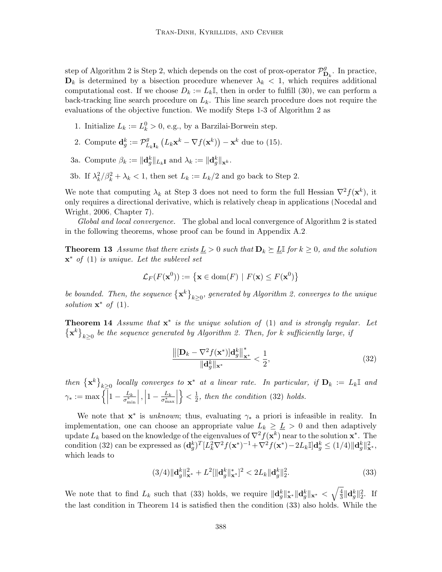step of Algorithm [2](#page-16-1) is Step 2, which depends on the cost of prox-operator  $\mathcal{P}_{\mathbf{L}}^{g}$  $\mathbf{D}_k$ . In practice,  $\mathbf{D}_k$  is determined by a bisection procedure whenever  $\lambda_k < 1$ , which requires additional computational cost. If we choose  $D_k := L_k \mathbb{I}$ , then in order to fulfill [\(30\)](#page-16-0), we can perform a back-tracking line search procedure on  $L_k$ . This line search procedure does not require the evaluations of the objective function. We modify Steps 1-3 of Algorithm [2](#page-16-1) as

- 1. Initialize  $L_k := L_k^0 > 0$ , e.g., by a Barzilai-Borwein step.
- 2. Compute  $\mathbf{d}_{g}^{k} := \mathcal{P}_{L}^{g}$  $L_{k}$ **I**<sub>k</sub>  $(L_{k}$ **x**<sup>k</sup>  $-\nabla f(\mathbf{x}^{k})$  $)-\mathbf{x}^{k}$  due to [\(15\)](#page-9-2).
- 3a. Compute  $\beta_k := \|\mathbf{d}_g^k\|_{L_k}$  and  $\lambda_k := \|\mathbf{d}_g^k\|_{\mathbf{x}^k}$ .
- 3b. If  $\lambda_k^2/\beta_k^2 + \lambda_k < 1$ , then set  $L_k := L_k/2$  and go back to Step 2.

We note that computing  $\lambda_k$  at Step 3 does not need to form the full Hessian  $\nabla^2 f(\mathbf{x}^k)$ , it only requires a directional derivative, which is relatively cheap in applications [\(Nocedal and](#page-44-15) [Wright, 2006,](#page-44-15) Chapter 7).

Global and local convergence. The global and local convergence of Algorithm [2](#page-16-1) is stated in the following theorems, whose proof can be found in Appendix [A.2.](#page-4-0)

<span id="page-17-3"></span>**Theorem 13** Assume that there exists  $\underline{L} > 0$  such that  $\mathbf{D}_k \succeq \underline{L} \mathbb{I}$  for  $k \geq 0$ , and the solution  $\mathbf{x}^*$  of [\(1\)](#page-0-0) is unique. Let the sublevel set

$$
\mathcal{L}_F(F(\mathbf{x}^0)) := \{ \mathbf{x} \in \text{dom}(F) \mid F(\mathbf{x}) \le F(\mathbf{x}^0) \}
$$

be bounded. Then, the sequence  $\left\{ \mathbf{x}^{k}\right\} _{k\geq0}$ , generated by Algorithm [2,](#page-16-1) converges to the unique solution  $\mathbf{x}^*$  of  $(1)$ .

<span id="page-17-2"></span>**Theorem 14** Assume that  $x^*$  is the unique solution of [\(1\)](#page-0-0) and is strongly regular. Let  $\{ {\mathbf x}^{k} \}_{k \geq 0}$  be the sequence generated by Algorithm [2.](#page-16-1) Then, for k sufficiently large, if

<span id="page-17-0"></span>
$$
\frac{\left\| \left[\mathbf{D}_k - \nabla^2 f(\mathbf{x}^*) \right] \mathbf{d}_g^k \right\|_{\mathbf{x}^*}^*}{\|\mathbf{d}_g^k\|_{\mathbf{x}^*}} < \frac{1}{2},\tag{32}
$$

then  $\{x^k\}_{k\geq 0}$  locally converges to  $x^*$  at a linear rate. In particular, if  $D_k := L_k \mathbb{I}$  and  $\gamma_* := \max\Big\{\Big|1 - \frac{L_k}{\sigma^*_{\min}}\Big\}$  $\Big\vert\,,\Big\vert1-\frac{L_k}{\sigma^*_{\max}}$  $\begin{array}{c} \begin{array}{c} \begin{array}{c} \end{array} \\ \begin{array}{c} \end{array} \end{array} \end{array}$  $\left\{ \frac{1}{2} \right\}$  $\frac{1}{2}$ , then the condition [\(32\)](#page-17-0) holds.

We note that  $\mathbf{x}^*$  is *unknown*; thus, evaluating  $\gamma_*$  a priori is infeasible in reality. In implementation, one can choose an appropriate value  $L_k \geq L > 0$  and then adaptively update  $L_k$  based on the knowledge of the eigenvalues of  $\nabla^2 f(\mathbf{x}^k)$  near to the solution  $\mathbf{x}^*$ . The condition [\(32\)](#page-17-0) can be expressed as  $(\mathbf{d}_g^k)^T [L_k^2 \nabla^2 f(\mathbf{x}^*)^{-1} + \nabla^2 f(\mathbf{x}^*) - 2L_k \mathbb{I}] \mathbf{d}_g^k \le (1/4) ||\mathbf{d}_g^k||_{\mathbf{x}^*}^2$ which leads to

<span id="page-17-1"></span>
$$
(3/4) \|\mathbf{d}_g^k\|_{\mathbf{x}^*}^2 + L^2[\|\mathbf{d}_g^k\|_{\mathbf{x}^*}^2]^2 < 2L_k \|\mathbf{d}_g^k\|_2^2. \tag{33}
$$

We note that to find  $L_k$  such that [\(33\)](#page-17-1) holds, we require  $\|\mathbf{d}_g^k\|_{\mathbf{x}^*}^* \|\mathbf{d}_g^k\|_{\mathbf{x}^*} < \sqrt{\frac{4}{3}}$  $\frac{4}{3} \|\mathbf{d}_{g}^{k}\|_{2}^{2}$ . If the last condition in Theorem [14](#page-17-2) is satisfied then the condition [\(33\)](#page-17-1) also holds. While the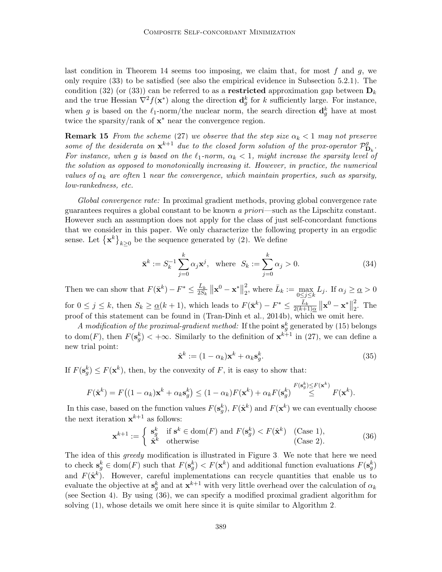last condition in Theorem [14](#page-17-2) seems too imposing, we claim that, for most  $f$  and  $g$ , we only require [\(33\)](#page-17-1) to be satisfied (see also the empirical evidence in Subsection [5.2.1\)](#page-27-0). The condition [\(32\)](#page-17-0) (or [\(33\)](#page-17-1)) can be referred to as a **restricted** approximation gap between  $D_k$ and the true Hessian  $\nabla^2 f(\mathbf{x}^*)$  along the direction  $\mathbf{d}_g^k$  for k sufficiently large. For instance, when g is based on the  $\ell_1$ -norm/the nuclear norm, the search direction  $\mathbf{d}_g^k$  have at most twice the sparsity/rank of  $\mathbf{x}^*$  near the convergence region.

**Remark 15** From the scheme [\(27\)](#page-15-0) we observe that the step size  $\alpha_k < 1$  may not preserve some of the desiderata on  $x^{k+1}$  due to the closed form solution of the prox-operator  $\mathcal{P}_{\mathbf{L}}^g$  $\overset{g}{\mathbf{D}}_k$  . For instance, when g is based on the  $\ell_1$ -norm,  $\alpha_k < 1$ , might increase the sparsity level of the solution as opposed to monotonically increasing it. However, in practice, the numerical values of  $\alpha_k$  are often 1 near the convergence, which maintain properties, such as sparsity, low-rankedness, etc.

Global convergence rate: In proximal gradient methods, proving global convergence rate guarantees requires a global constant to be known a priori—such as the Lipschitz constant. However such an assumption does not apply for the class of just self-concordant functions that we consider in this paper. We only characterize the following property in an ergodic sense. Let  $\{\mathbf x^k\}_{k\geq 0}$  be the sequence generated by [\(2\)](#page-16-1). We define

$$
\bar{\mathbf{x}}^k := S_k^{-1} \sum_{j=0}^k \alpha_j \mathbf{x}^j, \quad \text{where} \quad S_k := \sum_{j=0}^k \alpha_j > 0. \tag{34}
$$

Then we can show that  $F(\bar{\mathbf{x}}^k) - F^* \leq \frac{\bar{L}_k}{2S_k} ||\mathbf{x}^0 - \mathbf{x}^*||$ 2 <sup>2</sup>, where  $\bar{L}_k := \max_{0 \le j \le k} L_j$ . If  $\alpha_j \ge \underline{\alpha} > 0$ for  $0 \leq j \leq k$ , then  $S_k \geq \underline{\alpha}(k+1)$ , which leads to  $F(\bar{\mathbf{x}}^k) - F^* \leq \frac{\bar{L}_k}{2(k+1)\underline{\alpha}} \|\mathbf{x}^0 - \mathbf{x}^*\|$ 2  $\frac{2}{2}$ . The proof of this statement can be found in [\(Tran-Dinh et al., 2014b\)](#page-45-6), which we omit here.

A modification of the proximal-gradient method: If the point  $\mathbf{s}_g^k$  generated by [\(15\)](#page-9-2) belongs to dom(*F*), then  $F(s_g^k) < +\infty$ . Similarly to the definition of  $x^{k+1}$  in [\(27\)](#page-15-0), we can define a new trial point:

$$
\hat{\mathbf{x}}^k := (1 - \alpha_k)\mathbf{x}^k + \alpha_k \mathbf{s}_g^k.
$$
\n(35)

If  $F(\mathbf{s}_g^k) \le F(\mathbf{x}^k)$ , then, by the convexity of F, it is easy to show that:

$$
F(\hat{\mathbf{x}}^k) = F\big((1-\alpha_k)\mathbf{x}^k + \alpha_k \mathbf{s}_g^k\big) \le (1-\alpha_k)F(\mathbf{x}^k) + \alpha_k F(\mathbf{s}_g^k) \stackrel{F(\mathbf{s}_g^k) \le F(\mathbf{x}^k)}{\le} F(\mathbf{x}^k).
$$

In this case, based on the function values  $F(s_g^k)$ ,  $F(\hat{\mathbf{x}}^k)$  and  $F(\mathbf{x}^k)$  we can eventually choose the next iteration  $\mathbf{x}^{k+1}$  as follows:

<span id="page-18-0"></span>
$$
\mathbf{x}^{k+1} := \begin{cases} \mathbf{s}_g^k & \text{if } \mathbf{s}^k \in \text{dom}(F) \text{ and } F(\mathbf{s}_g^k) < F(\hat{\mathbf{x}}^k) \quad \text{(Case 1)},\\ \hat{\mathbf{x}}^k & \text{otherwise} \end{cases} \tag{36}
$$

The idea of this *greedy* modification is illustrated in Figure [3.](#page-19-2) We note that here we need to check  $s_g^k \in \text{dom}(F)$  such that  $F(s_g^k) < F(\mathbf{x}^k)$  and additional function evaluations  $F(s_g^k)$ and  $F(\hat{\mathbf{x}}^k)$ . However, careful implementations can recycle quantities that enable us to evaluate the objective at  $\mathbf{s}_g^k$  and at  $\mathbf{x}^{k+1}$  with very little overhead over the calculation of  $\alpha_k$ (see Section [4\)](#page-19-1). By using [\(36\)](#page-18-0), we can specify a modified proximal gradient algorithm for solving [\(1\)](#page-0-0), whose details we omit here since it is quite similar to Algorithm [2.](#page-16-1)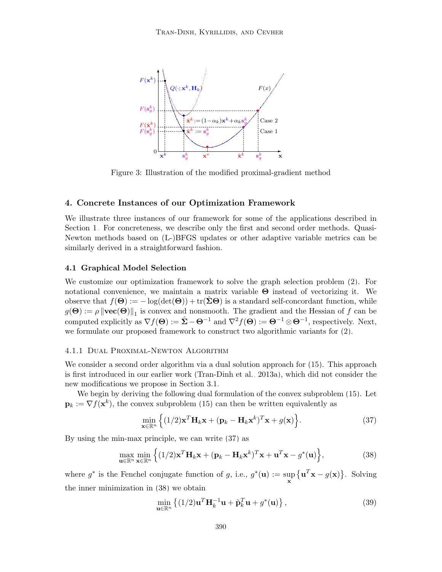<span id="page-19-2"></span>

Figure 3: Illustration of the modified proximal-gradient method

### <span id="page-19-1"></span>4. Concrete Instances of our Optimization Framework

We illustrate three instances of our framework for some of the applications described in Section [1.](#page-0-1) For concreteness, we describe only the first and second order methods. Quasi-Newton methods based on (L-)BFGS updates or other adaptive variable metrics can be similarly derived in a straightforward fashion.

#### <span id="page-19-0"></span>4.1 Graphical Model Selection

We customize our optimization framework to solve the graph selection problem [\(2\)](#page-3-0). For notational convenience, we maintain a matrix variable  $\Theta$  instead of vectorizing it. We observe that  $f(\Theta) := -\log(\det(\Theta)) + \text{tr}(\Sigma \Theta)$  is a standard self-concordant function, while  $g(\mathbf{\Theta}) := \rho \|\mathbf{vec}(\mathbf{\Theta})\|_1$  is convex and nonsmooth. The gradient and the Hessian of f can be computed explicitly as  $\nabla f(\mathbf{\Theta}) := \hat{\mathbf{\Sigma}} - \mathbf{\Theta}^{-1}$  and  $\nabla^2 f(\mathbf{\Theta}) := \mathbf{\Theta}^{-1} \otimes \mathbf{\Theta}^{-1}$ , respectively. Next, we formulate our proposed framework to construct two algorithmic variants for [\(2\)](#page-3-0).

#### 4.1.1 Dual Proximal-Newton Algorithm

We consider a second order algorithm via a dual solution approach for  $(15)$ . This approach is first introduced in our earlier work [\(Tran-Dinh et al., 2013a\)](#page-45-7), which did not consider the new modifications we propose in Section [3.1.](#page-10-4)

We begin by deriving the following dual formulation of the convex subproblem [\(15\)](#page-9-2). Let  $\mathbf{p}_k := \nabla f(\mathbf{x}^k)$ , the convex subproblem [\(15\)](#page-9-2) can then be written equivalently as

<span id="page-19-3"></span>
$$
\min_{\mathbf{x} \in \mathbb{R}^n} \left\{ (1/2)\mathbf{x}^T \mathbf{H}_k \mathbf{x} + (\mathbf{p}_k - \mathbf{H}_k \mathbf{x}^k)^T \mathbf{x} + g(\mathbf{x}) \right\}.
$$
 (37)

By using the min-max principle, we can write [\(37\)](#page-19-3) as

<span id="page-19-4"></span>
$$
\max_{\mathbf{u}\in\mathbb{R}^n} \min_{\mathbf{x}\in\mathbb{R}^n} \left\{ (1/2)\mathbf{x}^T \mathbf{H}_k \mathbf{x} + (\mathbf{p}_k - \mathbf{H}_k \mathbf{x}^k)^T \mathbf{x} + \mathbf{u}^T \mathbf{x} - g^*(\mathbf{u}) \right\},\tag{38}
$$

where  $g^*$  is the Fenchel conjugate function of  $g$ , i.e.,  $g^*(\mathbf{u}) := \sup_{\mathbf{x}}$  $\{ \mathbf{u}^T\mathbf{x} - g(\mathbf{x})\}.$  Solving the inner minimization in [\(38\)](#page-19-4) we obtain

<span id="page-19-5"></span>
$$
\min_{\mathbf{u}\in\mathbb{R}^n} \left\{ (1/2)\mathbf{u}^T \mathbf{H}_k^{-1} \mathbf{u} + \tilde{\mathbf{p}}_k^T \mathbf{u} + g^*(\mathbf{u}) \right\},\tag{39}
$$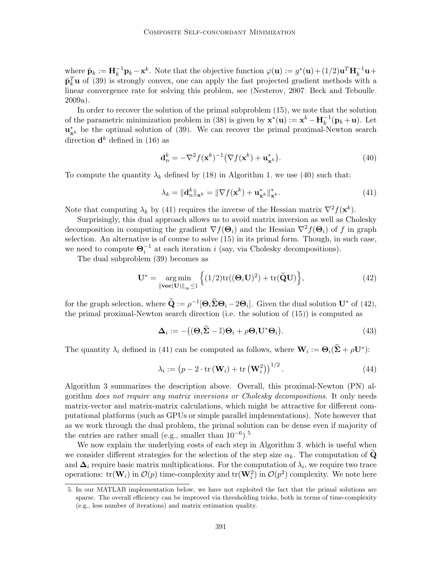where  $\tilde{\mathbf{p}}_k := \mathbf{H}_k^{-1} \mathbf{p}_k - \mathbf{x}^k$ . Note that the objective function  $\varphi(\mathbf{u}) := g^*(\mathbf{u}) + (1/2)\mathbf{u}^T \mathbf{H}_k^{-1} \mathbf{u} +$  $\tilde{\mathbf{p}}_k^T \mathbf{u}$  of [\(39\)](#page-19-5) is strongly convex, one can apply the fast projected gradient methods with a linear convergence rate for solving this problem, see [\(Nesterov, 2007;](#page-44-0) [Beck and Teboulle,](#page-41-1) [2009a\)](#page-41-1).

In order to recover the solution of the primal subproblem [\(15\)](#page-9-2), we note that the solution of the parametric minimization problem in [\(38\)](#page-19-4) is given by  $\mathbf{x}^*(\mathbf{u}) := \mathbf{x}^k - \mathbf{H}_k^{-1}(\mathbf{p}_k + \mathbf{u})$ . Let  $\mathbf{u}_{\mathbf{x}^k}^*$  be the optimal solution of [\(39\)](#page-19-5). We can recover the primal proximal-Newton search direction  $\mathbf{d}^k$  defined in [\(16\)](#page-10-1) as

<span id="page-20-0"></span>
$$
\mathbf{d}_n^k = -\nabla^2 f(\mathbf{x}^k)^{-1} \big( \nabla f(\mathbf{x}^k) + \mathbf{u}_{\mathbf{x}^k}^* \big). \tag{40}
$$

To compute the quantity  $\lambda_k$  defined by [\(18\)](#page-10-3) in Algorithm [1,](#page-12-0) we use [\(40\)](#page-20-0) such that:

<span id="page-20-1"></span>
$$
\lambda_k = \|\mathbf{d}_n^k\|_{\mathbf{x}^k} = \|\nabla f(\mathbf{x}^k) + \mathbf{u}_{\mathbf{x}^k}^*\|_{\mathbf{x}^k}^*.
$$
\n(41)

Note that computing  $\lambda_k$  by [\(41\)](#page-20-1) requires the inverse of the Hessian matrix  $\nabla^2 f(\mathbf{x}^k)$ .

Surprisingly, this dual approach allows us to avoid matrix inversion as well as Cholesky decomposition in computing the gradient  $\nabla f(\mathbf{\Theta}_i)$  and the Hessian  $\nabla^2 f(\mathbf{\Theta}_i)$  of f in graph selection. An alternative is of course to solve [\(15\)](#page-9-2) in its primal form. Though, in such case, we need to compute  $\mathbf{\Theta}_i^{-1}$  at each iteration i (say, via Cholesky decompositions).

The dual subproblem [\(39\)](#page-19-5) becomes as

<span id="page-20-2"></span>
$$
\mathbf{U}^* = \underset{\|\mathbf{vec}(\mathbf{U})\|_{\infty} \le 1}{\arg \min} \left\{ (1/2) \text{tr}((\mathbf{\Theta}_i \mathbf{U})^2) + \text{tr}(\widetilde{\mathbf{Q}} \mathbf{U}) \right\},\tag{42}
$$

for the graph selection, where  $\widetilde{\mathbf{Q}} := \rho^{-1}[\mathbf{\Theta}_i\widehat{\boldsymbol{\Sigma}}\mathbf{\Theta}_i - 2\mathbf{\Theta}_i]$ . Given the dual solution  $\mathbf{U}^*$  of [\(42\)](#page-20-2), the primal proximal-Newton search direction (i.e. the solution of [\(15\)](#page-9-2)) is computed as

$$
\Delta_i := -((\Theta_i \widehat{\Sigma} - \mathbb{I})\Theta_i + \rho \Theta_i \mathbf{U}^* \Theta_i). \tag{43}
$$

The quantity  $\lambda_i$  defined in [\(41\)](#page-20-1) can be computed as follows, where  $\mathbf{W}_i := \mathbf{\Theta}_i(\hat{\Sigma} + \rho \mathbf{U}^*)$ :

<span id="page-20-4"></span>
$$
\lambda_i := \left(p - 2 \cdot \text{tr}(\mathbf{W}_i) + \text{tr}(\mathbf{W}_i^2)\right)^{1/2}.
$$
 (44)

Algorithm [3](#page-21-0) summarizes the description above. Overall, this proximal-Newton (PN) algorithm does not require any matrix inversions or Cholesky decompositions. It only needs matrix-vector and matrix-matrix calculations, which might be attractive for different computational platforms (such as GPUs or simple parallel implementations). Note however that as we work through the dual problem, the primal solution can be dense even if majority of the entries are rather small (e.g., smaller than  $10^{-6}$ ).<sup>[5](#page-20-3)</sup>

We now explain the underlying costs of each step in Algorithm [3,](#page-21-0) which is useful when we consider different strategies for the selection of the step size  $\alpha_k$ . The computation of Q and  $\Delta_i$  require basic matrix multiplications. For the computation of  $\lambda_i$ , we require two trace operations:  $tr(\mathbf{W}_i)$  in  $\mathcal{O}(p)$  time-complexity and  $tr(\mathbf{W}_i^2)$  in  $\mathcal{O}(p^2)$  complexity. We note here

<span id="page-20-3"></span><sup>5.</sup> In our MATLAB implementation below, we have not exploited the fact that the primal solutions are sparse. The overall efficiency can be improved via thresholding tricks, both in terms of time-complexity (e.g., less number of iterations) and matrix estimation quality.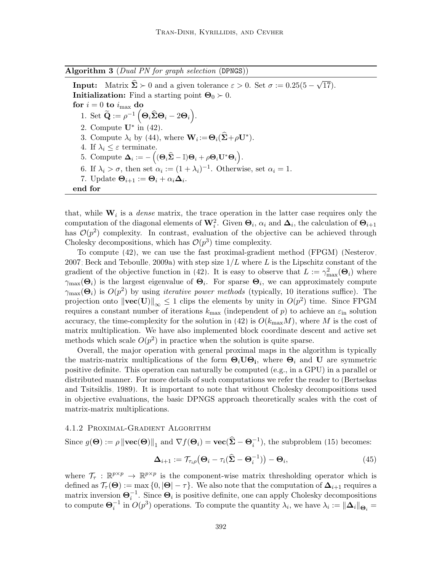<span id="page-21-0"></span>Algorithm 3 (Dual PN for graph selection (DPNGS))

**Input:** Matrix  $\hat{\Sigma} \succ 0$  and a given tolerance  $\varepsilon > 0$ . Set  $\sigma := 0.25(5 - \sqrt{17})$ . **Initialization:** Find a starting point  $\Theta_0 \succ 0$ . for  $i = 0$  to  $i_{\text{max}}$  do 1. Set  $\widetilde{\mathbf{Q}} := \rho^{-1} \left( \mathbf{\Theta}_i \widehat{\boldsymbol{\Sigma}} \mathbf{\Theta}_i - 2 \mathbf{\Theta}_i \right)$ . 2. Compute  $\mathbf{U}^*$  in [\(42\)](#page-20-2). 3. Compute  $\lambda_i$  by [\(44\)](#page-20-4), where  $\mathbf{W}_i := \mathbf{\Theta}_i(\widehat{\mathbf{\Sigma}} + \rho \mathbf{U}^*)$ . 4. If  $\lambda_i \leq \varepsilon$  terminate. 5. Compute  $\Delta_i := -\left( (\mathbf{\Theta}_i \widehat{\mathbf{\Sigma}} - \mathbb{I}) \mathbf{\Theta}_i + \rho \mathbf{\Theta}_i \mathbf{U}^* \mathbf{\Theta}_i \right)$ . 6. If  $\lambda_i > \sigma$ , then set  $\alpha_i := (1 + \lambda_i)^{-1}$ . Otherwise, set  $\alpha_i = 1$ . 7. Update  $\mathbf{\Theta}_{i+1} := \mathbf{\Theta}_i + \alpha_i \mathbf{\Delta}_i$ . end for

that, while  $W_i$  is a *dense* matrix, the trace operation in the latter case requires only the computation of the diagonal elements of  $\mathbf{W}_i^2$ . Given  $\mathbf{\Theta}_i$ ,  $\alpha_i$  and  $\mathbf{\Delta}_i$ , the calculation of  $\mathbf{\Theta}_{i+1}$ has  $\mathcal{O}(p^2)$  complexity. In contrast, evaluation of the objective can be achieved through Cholesky decompositions, which has  $\mathcal{O}(p^3)$  time complexity.

To compute [\(42\)](#page-20-2), we can use the fast proximal-gradient method (FPGM) [\(Nesterov,](#page-44-0) [2007;](#page-44-0) [Beck and Teboulle, 2009a\)](#page-41-1) with step size  $1/L$  where L is the Lipschitz constant of the gradient of the objective function in [\(42\)](#page-20-2). It is easy to observe that  $L := \gamma_{\max}^2(\Theta_i)$  where  $\gamma_{\max}(\mathbf{\Theta}_i)$  is the largest eigenvalue of  $\mathbf{\Theta}_i$ . For sparse  $\mathbf{\Theta}_i$ , we can approximately compute  $\gamma_{\text{max}}(\mathbf{\Theta}_i)$  is  $O(p^2)$  by using *iterative power methods* (typically, 10 iterations suffice). The projection onto  $\|\textbf{vec}(\mathbf{U})\|_{\infty} \leq 1$  clips the elements by unity in  $O(p^2)$  time. Since FPGM requires a constant number of iterations  $k_{\text{max}}$  (independent of p) to achieve an  $\varepsilon_{\text{in}}$  solution accuracy, the time-complexity for the solution in [\(42\)](#page-20-2) is  $O(k_{\text{max}}M)$ , where M is the cost of matrix multiplication. We have also implemented block coordinate descent and active set methods which scale  $O(p^2)$  in practice when the solution is quite sparse.

Overall, the major operation with general proximal maps in the algorithm is typically the matrix-matrix multiplications of the form  $\Theta_i U \Theta_i$ , where  $\Theta_i$  and U are symmetric positive definite. This operation can naturally be computed (e.g., in a GPU) in a parallel or distributed manner. For more details of such computations we refer the reader to [\(Bertsekas](#page-42-15) [and Tsitsiklis, 1989\)](#page-42-15). It is important to note that without Cholesky decompositions used in objective evaluations, the basic DPNGS approach theoretically scales with the cost of matrix-matrix multiplications.

#### 4.1.2 Proximal-Gradient Algorithm

Since  $g(\mathbf{\Theta}) := \rho \|\mathbf{vec}(\mathbf{\Theta})\|_1$  and  $\nabla f(\mathbf{\Theta}_i) = \mathbf{vec}(\hat{\mathbf{\Sigma}} - \mathbf{\Theta}_i^{-1})$ , the subproblem [\(15\)](#page-9-2) becomes:

<span id="page-21-1"></span>
$$
\Delta_{i+1} := \mathcal{T}_{\tau_i \rho} \big( \Theta_i - \tau_i (\widehat{\Sigma} - \Theta_i^{-1}) \big) - \Theta_i,
$$
\n(45)

where  $\mathcal{T}_{\tau}: \mathbb{R}^{p \times p} \to \mathbb{R}^{p \times p}$  is the component-wise matrix thresholding operator which is defined as  $\mathcal{T}_{\tau}(\Theta) := \max\{0, |\Theta| - \tau\}$ . We also note that the computation of  $\Delta_{i+1}$  requires a matrix inversion  $\Theta_i^{-1}$ . Since  $\Theta_i$  is positive definite, one can apply Cholesky decompositions to compute  $\Theta_i^{-1}$  in  $O(p^3)$  operations. To compute the quantity  $\lambda_i$ , we have  $\lambda_i := \|\mathbf{\Delta}_i\|_{\Theta_i} =$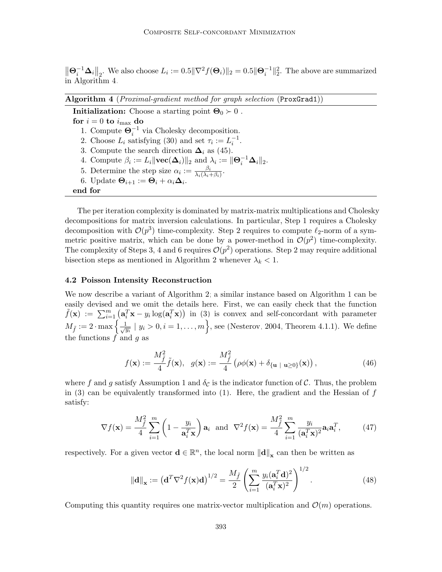$\|\mathbf{\Theta}_i^{-1}\mathbf{\Delta}_i\|_2$ . We also choose  $L_i := 0.5\|\nabla^2 f(\mathbf{\Theta}_i)\|_2 = 0.5\|\mathbf{\Theta}_i^{-1}\|_2^2$ . The above are summarized in Algorithm [4.](#page-22-0)

<span id="page-22-0"></span>

| <b>Algorithm 4</b> ( <i>Proximal-gradient method for graph selection</i> ( $ProxGrad1$ ))                                                         |
|---------------------------------------------------------------------------------------------------------------------------------------------------|
| <b>Initialization:</b> Choose a starting point $\mathbf{\Theta}_0 \succ 0$ .                                                                      |
| for $i = 0$ to $i_{\text{max}}$ do                                                                                                                |
| 1. Compute $\Theta_i^{-1}$ via Cholesky decomposition.                                                                                            |
| 2. Choose $L_i$ satisfying (30) and set $\tau_i := L_i^{-1}$ .                                                                                    |
| 3. Compute the search direction $\Delta_i$ as (45).                                                                                               |
| 4. Compute $\beta_i := L_i \ \textbf{vec}(\boldsymbol{\Delta}_i)\ _2$ and $\lambda_i := \ \boldsymbol{\Theta}_i^{-1} \boldsymbol{\Delta}_i\ _2$ . |
| 5. Determine the step size $\alpha_i := \frac{\beta_i}{\lambda_i(\lambda_i + \beta_i)}$ .                                                         |
| 6. Update $\mathbf{\Theta}_{i+1} := \mathbf{\Theta}_i + \alpha_i \mathbf{\Delta}_i$ .                                                             |
| end for                                                                                                                                           |

The per iteration complexity is dominated by matrix-matrix multiplications and Cholesky decompositions for matrix inversion calculations. In particular, Step 1 requires a Cholesky decomposition with  $\mathcal{O}(p^3)$  time-complexity. Step 2 requires to compute  $\ell_2$ -norm of a symmetric positive matrix, which can be done by a power-method in  $\mathcal{O}(p^2)$  time-complexity. The complexity of Steps 3, 4 and 6 requires  $\mathcal{O}(p^2)$  operations. Step 2 may require additional bisection steps as mentioned in Algorithm [2](#page-16-1) whenever  $\lambda_k < 1$ .

#### 4.2 Poisson Intensity Reconstruction

We now describe a variant of Algorithm [2;](#page-16-1) a similar instance based on Algorithm [1](#page-12-0) can be easily devised and we omit the details here. First, we can easily check that the function  $\tilde{f}(\mathbf{x}) := \sum_{i=1}^m \left( \mathbf{a}_i^T \mathbf{x} - y_i \log(\mathbf{a}_i^T \mathbf{x}) \right)$  in [\(3\)](#page-3-1) is convex and self-concordant with parameter  $M_{\tilde{f}}:=2\cdot \max\left\{\frac{1}{\sqrt{q}}\right\}$  $\frac{1}{\overline{y_i}} | y_i > 0, i = 1, \ldots, m$ , see [\(Nesterov, 2004,](#page-43-2) Theorem 4.1.1). We define the functions  $f$  and  $g$  as

$$
f(\mathbf{x}) := \frac{M_{\tilde{f}}^2}{4} \tilde{f}(\mathbf{x}), \quad g(\mathbf{x}) := \frac{M_{\tilde{f}}^2}{4} \left( \rho \phi(\mathbf{x}) + \delta_{\{\mathbf{u} \mid \mathbf{u} \ge 0\}}(\mathbf{x}) \right), \tag{46}
$$

where f and g satisfy Assumption [1](#page-8-2) and  $\delta_{\mathcal{C}}$  is the indicator function of C. Thus, the problem in  $(3)$  can be equivalently transformed into  $(1)$ . Here, the gradient and the Hessian of f satisfy:

<span id="page-22-1"></span>
$$
\nabla f(\mathbf{x}) = \frac{M_f^2}{4} \sum_{i=1}^m \left( 1 - \frac{y_i}{\mathbf{a}_i^T \mathbf{x}} \right) \mathbf{a}_i \text{ and } \nabla^2 f(\mathbf{x}) = \frac{M_f^2}{4} \sum_{i=1}^m \frac{y_i}{(\mathbf{a}_i^T \mathbf{x})^2} \mathbf{a}_i \mathbf{a}_i^T,
$$
(47)

respectively. For a given vector  $\mathbf{d} \in \mathbb{R}^n$ , the local norm  $\|\mathbf{d}\|_{\mathbf{x}}$  can then be written as

<span id="page-22-2"></span>
$$
\|\mathbf{d}\|_{\mathbf{x}} := \left(\mathbf{d}^T \nabla^2 f(\mathbf{x}) \mathbf{d}\right)^{1/2} = \frac{M_{\tilde{f}}}{2} \left(\sum_{i=1}^m \frac{y_i(\mathbf{a}_i^T \mathbf{d})^2}{(\mathbf{a}_i^T \mathbf{x})^2}\right)^{1/2}.
$$
 (48)

Computing this quantity requires one matrix-vector multiplication and  $\mathcal{O}(m)$  operations.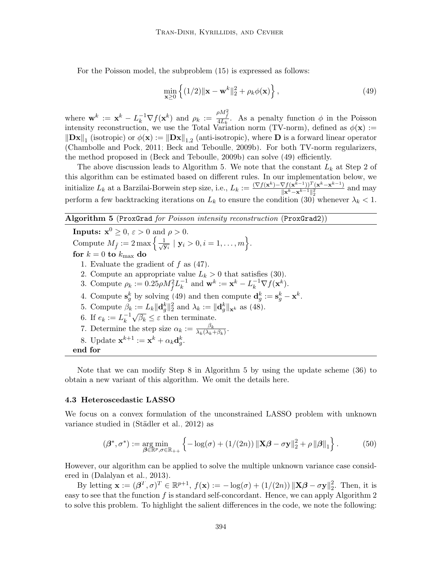For the Poisson model, the subproblem [\(15\)](#page-9-2) is expressed as follows:

<span id="page-23-0"></span>
$$
\min_{\mathbf{x}\geq 0} \left\{ (1/2) \|\mathbf{x} - \mathbf{w}^k\|_2^2 + \rho_k \phi(\mathbf{x}) \right\},\tag{49}
$$

where  $\mathbf{w}^k := \mathbf{x}^k - L_k^{-1} \nabla f(\mathbf{x}^k)$  and  $\rho_k := \frac{\rho M_{\tilde{f}}^2}{4L_k}$  $\frac{f}{4L_k}$ . As a penalty function  $\phi$  in the Poisson intensity reconstruction, we use the Total Variation norm (TV-norm), defined as  $\phi(\mathbf{x}) :=$  $\|\mathbf{Dx}\|_1$  (isotropic) or  $\phi(\mathbf{x}) := \|\mathbf{Dx}\|_{1,2}$  (anti-isotropic), where  $\mathbf{D}$  is a forward linear operator [\(Chambolle and Pock, 2011;](#page-42-0) [Beck and Teboulle, 2009b\)](#page-41-5). For both TV-norm regularizers, the method proposed in [\(Beck and Teboulle, 2009b\)](#page-41-5) can solve [\(49\)](#page-23-0) efficiently.

The above discussion leads to Algorithm [5.](#page-23-1) We note that the constant  $L_k$  at Step 2 of this algorithm can be estimated based on different rules. In our implementation below, we initialize  $L_k$  at a Barzilai-Borwein step size, i.e.,  $L_k := \frac{(\nabla f(\mathbf{x}^k) - \nabla f(\mathbf{x}^{k-1}))^T(\mathbf{x}^k - \mathbf{x}^{k-1})}{\|\mathbf{x}^k - \mathbf{x}^{k-1}\|^2}$  $\frac{\mathbf{x}^{(k)}(x^{k-1}) - (\mathbf{x}^{k-1} - \mathbf{x}^{k-1})}{\|\mathbf{x}^{k} - \mathbf{x}^{k-1}\|_2^2}$  and may perform a few backtracking iterations on  $L_k$  to ensure the condition  $(30)$  whenever  $\lambda_k < 1$ .

### <span id="page-23-1"></span>Algorithm 5 (ProxGrad for Poisson intensity reconstruction (ProxGrad2))

**Inputs:**  $x^0 \ge 0$ ,  $\varepsilon > 0$  and  $\rho > 0$ . Compute  $M_{\tilde{f}} := 2 \max \left\{ \frac{1}{\sqrt{3}} \right\}$  $\frac{1}{\overline{\mathbf{y}_i}} \mid \mathbf{y}_i > 0, i = 1, \ldots, m$ . for  $k = 0$  to  $k_{\text{max}}$  do 1. Evaluate the gradient of  $f$  as  $(47)$ . 2. Compute an appropriate value  $L_k > 0$  that satisfies [\(30\)](#page-16-0). 3. Compute  $\rho_k := 0.25 \rho M_{\tilde{f}}^2 L_k^{-1}$  $k_k^{-1}$  and  $\mathbf{w}^k := \mathbf{x}^k - L_k^{-1} \nabla f(\mathbf{x}^k)$ . 4. Compute  $\mathbf{s}_g^k$  by solving [\(49\)](#page-23-0) and then compute  $\mathbf{d}_g^k := \mathbf{s}_g^k - \mathbf{x}^k$ . 5. Compute  $\beta_k := L_k ||\mathbf{d}_g^k||_2^2$  and  $\lambda_k := ||\mathbf{d}_g^k||_{\mathbf{x}^k}$  as [\(48\)](#page-22-2). 6. If  $e_k := L_k^{-1}$  $\frac{1}{k} \sqrt{\beta_k} \leq \varepsilon$  then terminate. 7. Determine the step size  $\alpha_k := \frac{\beta_k}{\lambda_k (\lambda_k)}$  $\frac{\rho_k}{\lambda_k(\lambda_k+\beta_k)}$ . 8. Update  $\mathbf{x}^{k+1} := \mathbf{x}^k + \alpha_k \mathbf{d}_g^k$ . end for

Note that we can modify Step 8 in Algorithm [5](#page-23-1) by using the update scheme [\(36\)](#page-18-0) to obtain a new variant of this algorithm. We omit the details here.

#### 4.3 Heteroscedastic LASSO

We focus on a convex formulation of the unconstrained LASSO problem with unknown variance studied in (Städler et al., 2012) as

<span id="page-23-2"></span>
$$
(\boldsymbol{\beta}^*, \sigma^*) := \underset{\boldsymbol{\beta} \in \mathbb{R}^p, \sigma \in \mathbb{R}_{++}}{\arg \min} \left\{ -\log(\sigma) + (1/(2n)) \left\| \mathbf{X}\boldsymbol{\beta} - \sigma \mathbf{y} \right\|_2^2 + \rho \left\| \boldsymbol{\beta} \right\|_1 \right\}.
$$
 (50)

However, our algorithm can be applied to solve the multiple unknown variance case considered in [\(Dalalyan et al., 2013\)](#page-42-4).

By letting  $\mathbf{x} := (\boldsymbol{\beta}^T, \sigma)^T \in \mathbb{R}^{p+1}$ ,  $f(\mathbf{x}) := -\log(\sigma) + (1/(2n)) \|\mathbf{X}\boldsymbol{\beta} - \sigma\mathbf{y}\|_2^2$  $2<sup>2</sup>$ . Then, it is easy to see that the function  $f$  is standard self-concordant. Hence, we can apply Algorithm [2](#page-16-1) to solve this problem. To highlight the salient differences in the code, we note the following: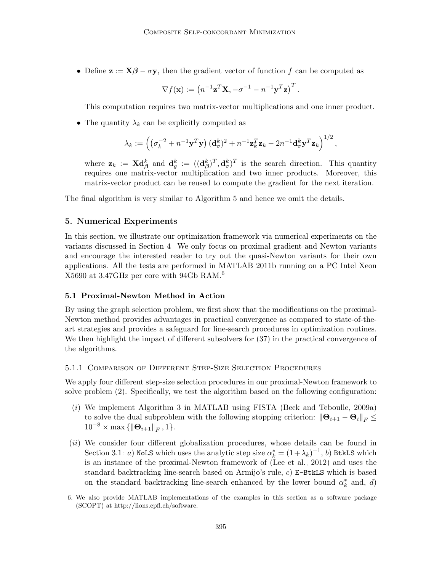• Define  $z := X\beta - \sigma y$ , then the gradient vector of function f can be computed as

$$
\nabla f(\mathbf{x}) := \left( n^{-1} \mathbf{z}^T \mathbf{X}, -\sigma^{-1} - n^{-1} \mathbf{y}^T \mathbf{z} \right)^T.
$$

This computation requires two matrix-vector multiplications and one inner product.

• The quantity  $\lambda_k$  can be explicitly computed as

$$
\lambda_k := \left( \left( \sigma_k^{-2} + n^{-1} \mathbf{y}^T \mathbf{y} \right) (\mathbf{d}_{\sigma}^k)^2 + n^{-1} \mathbf{z}_k^T \mathbf{z}_k - 2n^{-1} \mathbf{d}_{\sigma}^k \mathbf{y}^T \mathbf{z}_k \right)^{1/2},
$$

where  $\mathbf{z}_k := \mathbf{X} \mathbf{d}_{\boldsymbol{\beta}}^k$  and  $\mathbf{d}_{g}^k := ((\mathbf{d}_{\boldsymbol{\beta}}^k)^T, \mathbf{d}_{\boldsymbol{\sigma}}^k)^T$  is the search direction. This quantity requires one matrix-vector multiplication and two inner products. Moreover, this matrix-vector product can be reused to compute the gradient for the next iteration.

The final algorithm is very similar to Algorithm [5](#page-23-1) and hence we omit the details.

### <span id="page-24-0"></span>5. Numerical Experiments

In this section, we illustrate our optimization framework via numerical experiments on the variants discussed in Section [4.](#page-19-1) We only focus on proximal gradient and Newton variants and encourage the interested reader to try out the quasi-Newton variants for their own applications. All the tests are performed in MATLAB 2011b running on a PC Intel Xeon  $X5690$  $X5690$  $X5690$  at 3.47GHz per core with 94Gb RAM.<sup>6</sup>

### 5.1 Proximal-Newton Method in Action

By using the graph selection problem, we first show that the modifications on the proximal-Newton method provides advantages in practical convergence as compared to state-of-theart strategies and provides a safeguard for line-search procedures in optimization routines. We then highlight the impact of different subsolvers for  $(37)$  in the practical convergence of the algorithms.

### 5.1.1 Comparison of Different Step-Size Selection Procedures

We apply four different step-size selection procedures in our proximal-Newton framework to solve problem [\(2\)](#page-3-0). Specifically, we test the algorithm based on the following configuration:

- (i) We implement Algorithm [3](#page-21-0) in MATLAB using FISTA [\(Beck and Teboulle, 2009a\)](#page-41-1) to solve the dual subproblem with the following stopping criterion:  $\|\Theta_{i+1} - \Theta_i\|_F \leq$  $10^{-8} \times \max\{\|\mathbf{\Theta}_{i+1}\|_F, 1\}.$
- (ii) We consider four different globalization procedures, whose details can be found in Section [3.1:](#page-10-4) *a*) NoLS which uses the analytic step size  $\alpha_k^* = (1 + \lambda_k)^{-1}$ , *b*) BtkLS which is an instance of the proximal-Newton framework of [\(Lee et al., 2012\)](#page-43-1) and uses the standard backtracking line-search based on Armijo's rule, c) E-BtkLS which is based on the standard backtracking line-search enhanced by the lower bound  $\alpha_k^*$  and, d)

<span id="page-24-1"></span><sup>6.</sup> We also provide MATLAB implementations of the examples in this section as a software package (SCOPT) at http://lions.epfl.ch/software.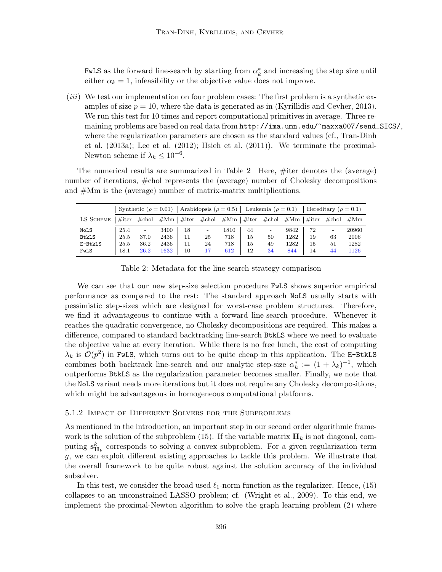FwLS as the forward line-search by starting from  $\alpha_k^*$  and increasing the step size until either  $\alpha_k = 1$ , infeasibility or the objective value does not improve.

 $(iii)$  We test our implementation on four problem cases: The first problem is a synthetic examples of size  $p = 10$ , where the data is generated as in [\(Kyrillidis and Cevher, 2013\)](#page-43-12). We run this test for 10 times and report computational primitives in average. Three remaining problems are based on real data from http://ima.umn.edu/~maxxa007/send\_SICS/, where the regularization parameters are chosen as the standard values (cf., [Tran-Dinh](#page-45-7) [et al.](#page-45-7) [\(2013a\)](#page-45-7); [Lee et al.](#page-43-1) [\(2012\)](#page-43-1); [Hsieh et al.](#page-43-4) [\(2011\)](#page-43-4)). We terminate the proximal-Newton scheme if  $\lambda_k \leq 10^{-6}$ .

The numerical results are summarized in Table [2.](#page-25-0) Here, #iter denotes the (average) number of iterations, #chol represents the (average) number of Cholesky decompositions and #Mm is the (average) number of matrix-matrix multiplications.

<span id="page-25-0"></span>

|              | Synthetic ( $\rho = 0.01$ )   Arabidopsis ( $\rho = 0.5$ )   Leukemia ( $\rho = 0.1$ )   Hereditary ( $\rho = 0.1$ ) |                          |                                                                 |    |                          |      |    |    |      |    |                          |       |
|--------------|----------------------------------------------------------------------------------------------------------------------|--------------------------|-----------------------------------------------------------------|----|--------------------------|------|----|----|------|----|--------------------------|-------|
| LS SCHEME    | $\#$ iter                                                                                                            |                          | #chol #Mm   #iter #chol #Mm   #iter #chol #Mm   #iter #chol #Mm |    |                          |      |    |    |      |    |                          |       |
| NoLS         | 25.4                                                                                                                 | $\overline{\phantom{a}}$ | 3400                                                            | 18 | $\overline{\phantom{a}}$ | 1810 | 44 | -  | 9842 | 72 | $\overline{\phantom{a}}$ | 20960 |
| <b>BtkLS</b> | 25.5                                                                                                                 | 37.0                     | 2436                                                            | 11 | 25                       | 718  | 15 | 50 | 1282 | 19 | 63                       | 2006  |
| E-BtkLS      | 25.5                                                                                                                 | 36.2                     | 2436                                                            | 11 | 24                       | 718  | 15 | 49 | 1282 | 15 | 51                       | 1282  |
| FwLS         | 18.1                                                                                                                 | 26.2                     | 1632                                                            | 10 | 17                       | 612  | 12 | 34 | 844  | 14 | 44                       | 1126  |

Table 2: Metadata for the line search strategy comparison

We can see that our new step-size selection procedure **FwLS** shows superior empirical performance as compared to the rest: The standard approach NoLS usually starts with pessimistic step-sizes which are designed for worst-case problem structures. Therefore, we find it advantageous to continue with a forward line-search procedure. Whenever it reaches the quadratic convergence, no Cholesky decompositions are required. This makes a difference, compared to standard backtracking line-search BtkLS where we need to evaluate the objective value at every iteration. While there is no free lunch, the cost of computing  $\lambda_k$  is  $\mathcal{O}(p^2)$  in FwLS, which turns out to be quite cheap in this application. The E-BtkLS combines both backtrack line-search and our analytic step-size  $\alpha_k^* := (1 + \lambda_k)^{-1}$ , which outperforms BtkLS as the regularization parameter becomes smaller. Finally, we note that the NoLS variant needs more iterations but it does not require any Cholesky decompositions, which might be advantageous in homogeneous computational platforms.

### 5.1.2 Impact of Different Solvers for the Subproblems

As mentioned in the introduction, an important step in our second order algorithmic frame-work is the solution of the subproblem [\(15\)](#page-9-2). If the variable matrix  $\mathbf{H}_k$  is not diagonal, computing  $\mathbf{s}_{\mathbf{H}_k}^k$  corresponds to solving a convex subproblem. For a given regularization term g, we can exploit different existing approaches to tackle this problem. We illustrate that the overall framework to be quite robust against the solution accuracy of the individual subsolver.

In this test, we consider the broad used  $\ell_1$ -norm function as the regularizer. Hence, [\(15\)](#page-9-2) collapses to an unconstrained LASSO problem; cf. [\(Wright et al., 2009\)](#page-45-8). To this end, we implement the proximal-Newton algorithm to solve the graph learning problem [\(2\)](#page-3-0) where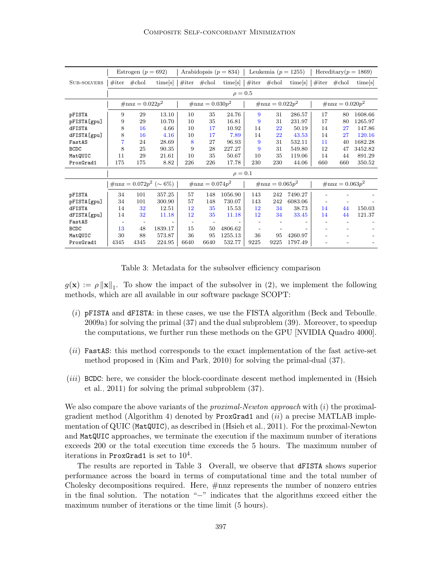<span id="page-26-0"></span>

|               |                          | Estrogen $(p = 692)$         |                                 |                          | Arabidopsis $(p = 834)$<br>Leukemia ( $p = 1255$ )<br>Hereditary $(p = 1869)$ |              |       |                    |                                     |                    |          |         |
|---------------|--------------------------|------------------------------|---------------------------------|--------------------------|-------------------------------------------------------------------------------|--------------|-------|--------------------|-------------------------------------|--------------------|----------|---------|
| SUB-SOLVERS   | #iter                    | $#$ chol                     | time[s]                         | #iter                    | $#$ chol                                                                      | time[s]      | #iter | $#$ chol           | time[s]<br>$\overline{\phantom{a}}$ | #iter              | $#$ chol | times   |
|               |                          |                              |                                 |                          |                                                                               | $\rho = 0.5$ |       |                    |                                     |                    |          |         |
|               |                          | $\#nnz = 0.022p^2$           |                                 | $\#nnz = 0.030p^2$       |                                                                               |              |       | $\#nnz = 0.022p^2$ |                                     | $\#nnz = 0.020p^2$ |          |         |
| pFISTA        | 9                        | 29                           | 13.10                           | 10                       | 35                                                                            | 24.76        | 9     | 31                 | 286.57                              | 17                 | 80       | 1608.66 |
| pFISTA[gpu]   | 9                        | 29                           | 10.70                           | 10                       | 35                                                                            | 16.81        | 9     | 31                 | 231.97                              | 17                 | 80       | 1265.97 |
| dFISTA        | 8                        | 16                           | 4.66                            | 10                       | 17                                                                            | 10.92        | 14    | 22                 | 50.19                               | 14                 | 27       | 147.86  |
| dFISTA [gpu]  | 8                        | 16                           | 4.16                            | 10                       | 17                                                                            | 7.89         | 14    | 22                 | 43.53                               | 14                 | 27       | 120.16  |
| FastAS        | 7                        | 24                           | 28.69                           | 8                        | 27                                                                            | 96.93        | 9     | 31                 | 532.11                              | 11                 | 40       | 1682.28 |
| <b>BCDC</b>   | 8                        | 25                           | 90.35                           | 9                        | 28                                                                            | 227.27       | 9     | 31                 | 549.80                              | 12                 | 47       | 3452.82 |
| MatQUIC       | 11                       | 29                           | 21.61                           | 10                       | 35                                                                            | 50.67        | 10    | 35                 | 119.06                              | 14                 | 44       | 891.29  |
| ProxGrad1     | 175                      | 175                          | 8.82                            | 226                      | 226                                                                           | 17.78        | 230   | 230                | 44.06                               | 660                | 660      | 350.52  |
|               |                          |                              |                                 |                          |                                                                               | $\rho = 0.1$ |       |                    |                                     |                    |          |         |
|               |                          |                              | $\#nnz = 0.072p^2 \ (\sim 6\%)$ | $\#nnz = 0.074p^2$       |                                                                               |              |       | $\#nnz = 0.065p^2$ |                                     | $\#nnz = 0.063p^2$ |          |         |
| pFISTA        | 34                       | 101                          | 357.25                          | 57                       | 148                                                                           | 1056.90      | 143   | 242                | 7490.27                             |                    |          |         |
| pFISTA[gpu]   | 34                       | 101                          | 300.90                          | 57                       | 148                                                                           | 730.07       | 143   | 242                | 6083.06                             |                    |          |         |
| <b>dFISTA</b> | 14                       | 32                           | 12.51                           | 12                       | 35                                                                            | 15.53        | 12    | 34                 | 38.73                               | 14                 | 44       | 150.03  |
| dFISTA [gpu]  | 14                       | 32                           | 11.18                           | 12                       | 35                                                                            | 11.18        | 12    | 34                 | 33.45                               | 14                 | 44       | 121.37  |
| FastAS        | $\overline{\phantom{a}}$ | $\qquad \qquad \blacksquare$ |                                 | $\overline{\phantom{0}}$ | $\overline{a}$                                                                |              |       |                    |                                     |                    |          |         |
| <b>BCDC</b>   | 13                       | 48                           | 1839.17                         | 15                       | 50                                                                            | 4806.62      |       |                    |                                     |                    |          |         |
| MatQUIC       | 30                       | 88                           | 573.87                          | 36                       | 95                                                                            | 1255.13      | 36    | 95                 | 4260.97                             |                    |          |         |
| ProxGrad1     | 4345                     | 4345                         | 224.95                          | 6640                     | 6640                                                                          | 532.77       | 9225  | 9225               | 1797.49                             |                    |          |         |

Table 3: Metadata for the subsolver efficiency comparison

 $g(\mathbf{x}) := \rho \|\mathbf{x}\|_1$ . To show the impact of the subsolver in [\(2\)](#page-3-0), we implement the following methods, which are all available in our software package SCOPT:

- $(i)$  pFISTA and dFISTA: in these cases, we use the FISTA algorithm [\(Beck and Teboulle,](#page-41-1) [2009a\)](#page-41-1) for solving the primal [\(37\)](#page-19-3) and the dual subproblem [\(39\)](#page-19-5). Moreover, to speedup the computations, we further run these methods on the GPU [NVIDIA Quadro 4000].
- $(ii)$  FastAS: this method corresponds to the exact implementation of the fast active-set method proposed in [\(Kim and Park, 2010\)](#page-43-13) for solving the primal-dual [\(37\)](#page-19-3).
- $(iii)$  BCDC: here, we consider the block-coordinate descent method implemented in [\(Hsieh](#page-43-4) [et al., 2011\)](#page-43-4) for solving the primal subproblem [\(37\)](#page-19-3).

We also compare the above variants of the *proximal-Newton approach* with  $(i)$  the proximal-gradient method (Algorithm [4\)](#page-22-0) denoted by  $ProxGrad1$  and  $(ii)$  a precise MATLAB implementation of QUIC (MatQUIC), as described in [\(Hsieh et al., 2011\)](#page-43-4). For the proximal-Newton and MatQUIC approaches, we terminate the execution if the maximum number of iterations exceeds 200 or the total execution time exceeds the 5 hours. The maximum number of iterations in ProxGrad1 is set to  $10^4$ .

The results are reported in Table [3.](#page-26-0) Overall, we observe that dFISTA shows superior performance across the board in terms of computational time and the total number of Cholesky decompositions required. Here, #nnz represents the number of nonzero entries in the final solution. The notation "−" indicates that the algorithms exceed either the maximum number of iterations or the time limit (5 hours).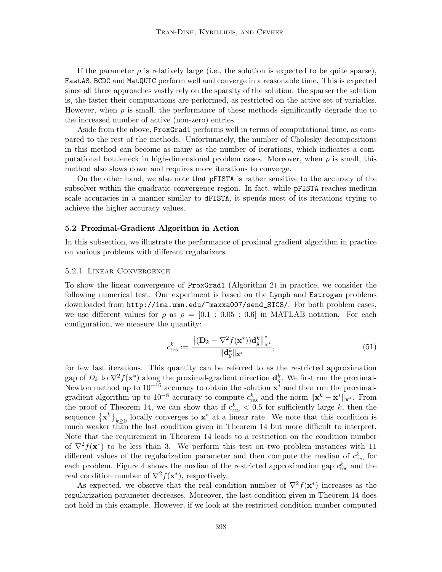If the parameter  $\rho$  is relatively large (i.e., the solution is expected to be quite sparse), FastAS, BCDC and MatQUIC perform well and converge in a reasonable time. This is expected since all three approaches vastly rely on the sparsity of the solution: the sparser the solution is, the faster their computations are performed, as restricted on the active set of variables. However, when  $\rho$  is small, the performance of these methods significantly degrade due to the increased number of active (non-zero) entries.

Aside from the above, ProxGrad1 performs well in terms of computational time, as compared to the rest of the methods. Unfortunately, the number of Cholesky decompositions in this method can become as many as the number of iterations, which indicates a computational bottleneck in high-dimensional problem cases. Moreover, when  $\rho$  is small, this method also slows down and requires more iterations to converge.

On the other hand, we also note that pFISTA is rather sensitive to the accuracy of the subsolver within the quadratic convergence region. In fact, while pFISTA reaches medium scale accuracies in a manner similar to dFISTA, it spends most of its iterations trying to achieve the higher accuracy values.

#### 5.2 Proximal-Gradient Algorithm in Action

In this subsection, we illustrate the performance of proximal gradient algorithm in practice on various problems with different regularizers.

### <span id="page-27-0"></span>5.2.1 Linear Convergence

To show the linear convergence of ProxGrad1 (Algorithm [2\)](#page-16-1) in practice, we consider the following numerical test. Our experiment is based on the Lymph and Estrogen problems downloaded from http://ima.umn.edu/~maxxa007/send\_SICS/. For both problem cases, we use different values for  $\rho$  as  $\rho = [0.1 : 0.05 : 0.6]$  in MATLAB notation. For each configuration, we measure the quantity:

<span id="page-27-1"></span>
$$
c_{\text{res}}^k := \frac{\left\| (\mathbf{D}_k - \nabla^2 f(\mathbf{x}^*)) \mathbf{d}_g^k \right\|_{\mathbf{x}^*}^*}{\|\mathbf{d}_g^k\|_{\mathbf{x}^*}},\tag{51}
$$

for few last iterations. This quantity can be referred to as the restricted approximation gap of  $D_k$  to  $\nabla^2 f(\mathbf{x}^*)$  along the proximal-gradient direction  $\mathbf{d}_g^k$ . We first run the proximal-Newton method up to  $10^{-16}$  accuracy to obtain the solution  $\mathbf{x}^*$  and then run the proximalgradient algorithm up to  $10^{-8}$  accuracy to compute  $c_{\text{res}}^k$  and the norm  $\|\mathbf{x}^k - \mathbf{x}^*\|_{\mathbf{x}^*}$ . From the proof of Theorem [14,](#page-17-2) we can show that if  $c_{\text{res}}^k < 0.5$  for sufficiently large k, then the sequence  $\{\mathbf x^k\}_{k\geq 0}$  locally converges to  $\mathbf x^*$  at a linear rate. We note that this condition is much weaker than the last condition given in Theorem [14](#page-17-2) but more difficult to interpret. Note that the requirement in Theorem [14](#page-17-2) leads to a restriction on the condition number of  $\nabla^2 f(\mathbf{x}^*)$  to be less than 3. We perform this test on two problem instances with 11 different values of the regularization parameter and then compute the median of  $c_{\text{res}}^k$  for each problem. Figure [4](#page-28-0) shows the median of the restricted approximation gap  $c_{\text{res}}^k$  and the real condition number of  $\nabla^2 f(\mathbf{x}^*)$ , respectively.

As expected, we observe that the real condition number of  $\nabla^2 f(\mathbf{x}^*)$  increases as the regularization parameter decreases. Moreover, the last condition given in Theorem [14](#page-17-2) does not hold in this example. However, if we look at the restricted condition number computed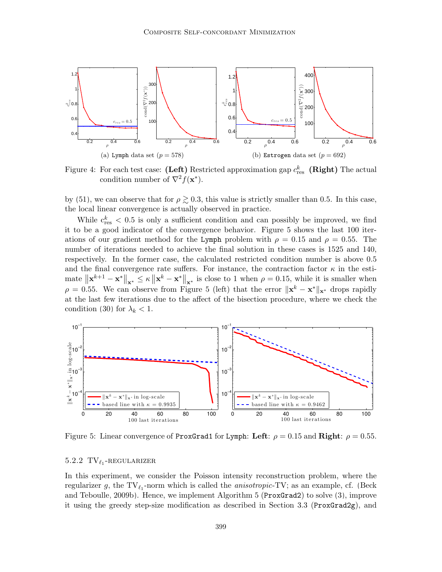<span id="page-28-0"></span>

Figure 4: For each test case: (Left) Restricted approximation gap  $c_{\text{res}}^k$  (Right) The actual condition number of  $\nabla^2 f(\mathbf{x}^*)$ .

by [\(51\)](#page-27-1), we can observe that for  $\rho \gtrsim 0.3$ , this value is strictly smaller than 0.5. In this case, the local linear convergence is actually observed in practice.

While  $c_{res}^k < 0.5$  is only a sufficient condition and can possibly be improved, we find it to be a good indicator of the convergence behavior. Figure [5](#page-28-1) shows the last 100 iterations of our gradient method for the Lymph problem with  $\rho = 0.15$  and  $\rho = 0.55$ . The number of iterations needed to achieve the final solution in these cases is 1525 and 140, respectively. In the former case, the calculated restricted condition number is above 0.5 and the final convergence rate suffers. For instance, the contraction factor  $\kappa$  in the estimate  $\|\mathbf{x}^{k+1} - \mathbf{x}^*\|_{\mathbf{x}^*} \leq \kappa \|\mathbf{x}^k - \mathbf{x}^*\|_{\mathbf{x}^*}$  is close to 1 when  $\rho = 0.15$ , while it is smaller when  $\rho = 0.55$ . We can observe from Figure [5](#page-28-1) (left) that the error  $\|\mathbf{x}^k - \mathbf{x}^*\|_{\mathbf{x}^*}$  drops rapidly at the last few iterations due to the affect of the bisection procedure, where we check the condition [\(30\)](#page-16-0) for  $\lambda_k < 1$ .

<span id="page-28-1"></span>

Figure 5: Linear convergence of ProxGrad1 for Lymph: Left:  $\rho = 0.15$  and Right:  $\rho = 0.55$ .

# 5.2.2  $TV_{\ell_1}$ -regularizer

In this experiment, we consider the Poisson intensity reconstruction problem, where the regularizer g, the TV $_{\ell_1}$ -norm which is called the *anisotropic*-TV; as an example, cf. [\(Beck](#page-41-5) [and Teboulle, 2009b\)](#page-41-5). Hence, we implement Algorithm [5](#page-23-1) (ProxGrad2) to solve [\(3\)](#page-3-1), improve it using the greedy step-size modification as described in Section [3.3](#page-15-2) (ProxGrad2g), and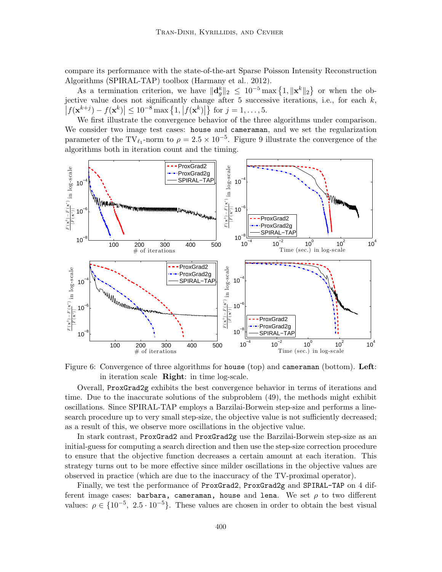compare its performance with the state-of-the-art Sparse Poisson Intensity Reconstruction Algorithms (SPIRAL-TAP) toolbox [\(Harmany et al., 2012\)](#page-43-6).

As a termination criterion, we have  $\|\mathbf{d}_{g}^{k}\|_{2} \leq 10^{-5} \max\left\{1, \|\mathbf{x}^{k}\|_{2}\right\}$  or when the objective value does not significantly change after 5 successive iterations, i.e., for each  $k$ ,  $|f(\mathbf{x}^{k+j})-f(\mathbf{x}^k)| \leq 10^{-8} \max\left\{1, |f(\mathbf{x}^k)|\right\}$  for  $j=1,\ldots,5$ .

We first illustrate the convergence behavior of the three algorithms under comparison. We consider two image test cases: house and cameraman, and we set the regularization parameter of the TV<sub> $\ell_1$ </sub>-norm to  $\rho = 2.5 \times 10^{-5}$ . Figure [9](#page-31-1) illustrate the convergence of the algorithms both in iteration count and the timing.



Figure 6: Convergence of three algorithms for house (top) and cameraman (bottom). Left: in iteration scale Right: in time log-scale.

Overall, ProxGrad2g exhibits the best convergence behavior in terms of iterations and time. Due to the inaccurate solutions of the subproblem [\(49\)](#page-23-0), the methods might exhibit oscillations. Since SPIRAL-TAP employs a Barzilai-Borwein step-size and performs a linesearch procedure up to very small step-size, the objective value is not sufficiently decreased; as a result of this, we observe more oscillations in the objective value.

In stark contrast, ProxGrad2 and ProxGrad2g use the Barzilai-Borwein step-size as an initial-guess for computing a search direction and then use the step-size correction procedure to ensure that the objective function decreases a certain amount at each iteration. This strategy turns out to be more effective since milder oscillations in the objective values are observed in practice (which are due to the inaccuracy of the TV-proximal operator).

Finally, we test the performance of ProxGrad2, ProxGrad2g and SPIRAL-TAP on 4 different image cases: barbara, cameraman, house and lena. We set  $\rho$  to two different values:  $\rho \in \{10^{-5}, 2.5 \cdot 10^{-5}\}$ . These values are chosen in order to obtain the best visual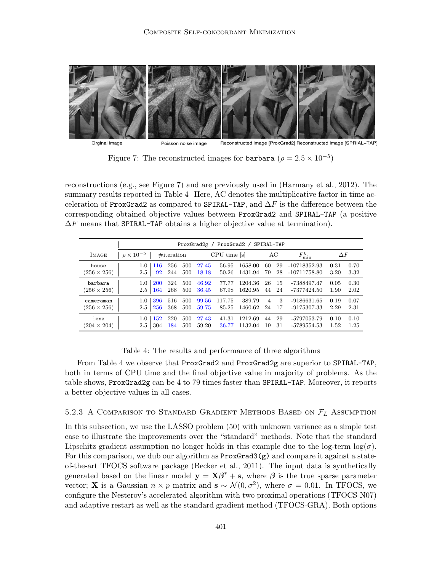<span id="page-30-0"></span>

Figure 7: The reconstructed images for **barbara**  $(\rho = 2.5 \times 10^{-5})$ 

reconstructions (e.g., see Figure [7\)](#page-30-0) and are previously used in [\(Harmany et al., 2012\)](#page-43-6). The summary results reported in Table [4.](#page-30-1) Here, AC denotes the multiplicative factor in time acceleration of ProxGrad2 as compared to SPIRAL-TAP, and  $\Delta F$  is the difference between the corresponding obtained objective values between ProxGrad2 and SPIRAL-TAP (a positive  $\Delta F$  means that SPIRAL-TAP obtains a higher objective value at termination).

<span id="page-30-1"></span>

|                                 | ProxGrad2 / SPIRAL-TAP<br>ProxGrad2g / |                |                              |                 |                    |                      |          |                                |              |              |  |  |  |
|---------------------------------|----------------------------------------|----------------|------------------------------|-----------------|--------------------|----------------------|----------|--------------------------------|--------------|--------------|--|--|--|
| IMAGE                           | $\rho \times 10^{-5}$                  | $\#$ iteration |                              | $CPU time  s $  |                    | АC                   |          | $F_{\min}^k$                   | $\Delta F$   |              |  |  |  |
| house<br>$(256 \times 256)$     | 116<br>1.0<br>92<br>$2.5\,$            | 256<br>244     | 27.45<br>500<br>18.18<br>500 | 56.95<br>50.26  | 1658.00<br>1431.94 | 60<br>79             | 29<br>28 | -10718352.93<br>$-10711758.80$ | 0.31<br>3.20 | 0.70<br>3.32 |  |  |  |
| barbara<br>$(256 \times 256)$   | <b>200</b><br>1.0<br>164<br>2.5        | 324<br>268     | 46.92<br>500<br>500<br>36.45 | 77.77<br>67.98  | 1204.36<br>1620.95 | 26<br>44             | 15<br>24 | -7388497.47<br>-7377424.50     | 0.05<br>1.90 | 0.30<br>2.02 |  |  |  |
| cameraman<br>$(256 \times 256)$ | 396<br>1.0<br>256<br>$2.5\,$           | 516<br>368     | 500<br>99.56<br>500<br>59.75 | 117.75<br>85.25 | 389.79<br>1460.62  | $\overline{4}$<br>24 | 3<br>17  | $-9186631.65$<br>-9175307.33   | 0.19<br>2.29 | 0.07<br>2.31 |  |  |  |
| lena<br>$(204 \times 204)$      | 152<br>1.0<br>304<br>$2.5\,$           | 220<br>184     | 27.43<br>500<br>500<br>59.20 | 41.31<br>36.77  | 1212.69<br>1132.04 | 44<br>19             | 29<br>31 | -5797053.79<br>-5789554.53     | 0.10<br>1.52 | 0.10<br>1.25 |  |  |  |

Table 4: The results and performance of three algorithms

From Table [4](#page-30-1) we observe that ProxGrad2 and ProxGrad2g are superior to SPIRAL-TAP, both in terms of CPU time and the final objective value in majority of problems. As the table shows, ProxGrad2g can be 4 to 79 times faster than SPIRAL-TAP. Moreover, it reports a better objective values in all cases.

### 5.2.3 A COMPARISON TO STANDARD GRADIENT METHODS BASED ON  $\mathcal{F}_L$  ASSUMPTION

In this subsection, we use the LASSO problem [\(50\)](#page-23-2) with unknown variance as a simple test case to illustrate the improvements over the "standard" methods. Note that the standard Lipschitz gradient assumption no longer holds in this example due to the log-term  $log(\sigma)$ . For this comparison, we dub our algorithm as  $ProxGrad3(g)$  and compare it against a stateof-the-art TFOCS software package [\(Becker et al., 2011\)](#page-41-6). The input data is synthetically generated based on the linear model  $y = X\beta^* + s$ , where  $\beta$  is the true sparse parameter vector; **X** is a Gaussian  $n \times p$  matrix and  $\mathbf{s} \sim \mathcal{N}(0, \sigma^2)$ , where  $\sigma = 0.01$ . In TFOCS, we configure the Nesterov's accelerated algorithm with two proximal operations (TFOCS-N07) and adaptive restart as well as the standard gradient method (TFOCS-GRA). Both options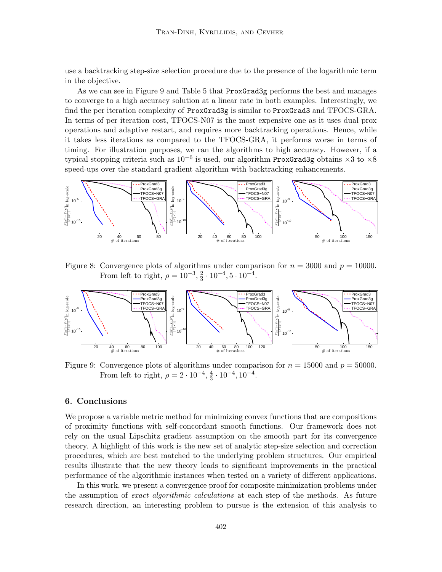use a backtracking step-size selection procedure due to the presence of the logarithmic term in the objective.

As we can see in Figure [9](#page-31-1) and Table [5](#page-32-0) that ProxGrad3g performs the best and manages to converge to a high accuracy solution at a linear rate in both examples. Interestingly, we find the per iteration complexity of ProxGrad3g is similar to ProxGrad3 and TFOCS-GRA. In terms of per iteration cost, TFOCS-N07 is the most expensive one as it uses dual prox operations and adaptive restart, and requires more backtracking operations. Hence, while it takes less iterations as compared to the TFOCS-GRA, it performs worse in terms of timing. For illustration purposes, we ran the algorithms to high accuracy. However, if a typical stopping criteria such as  $10^{-6}$  is used, our algorithm ProxGrad3g obtains  $\times 3$  to  $\times 8$ speed-ups over the standard gradient algorithm with backtracking enhancements.



Figure 8: Convergence plots of algorithms under comparison for  $n = 3000$  and  $p = 10000$ . From left to right,  $\rho = 10^{-3}, \frac{2}{3}$  $\frac{2}{3} \cdot 10^{-4}$ ,  $5 \cdot 10^{-4}$ .

<span id="page-31-1"></span>

Figure 9: Convergence plots of algorithms under comparison for  $n = 15000$  and  $p = 50000$ . From left to right,  $\rho = 2 \cdot 10^{-4}, \frac{4}{3}$  $\frac{4}{3} \cdot 10^{-4}$ , 10<sup>-4</sup>.

### <span id="page-31-0"></span>6. Conclusions

We propose a variable metric method for minimizing convex functions that are compositions of proximity functions with self-concordant smooth functions. Our framework does not rely on the usual Lipschitz gradient assumption on the smooth part for its convergence theory. A highlight of this work is the new set of analytic step-size selection and correction procedures, which are best matched to the underlying problem structures. Our empirical results illustrate that the new theory leads to significant improvements in the practical performance of the algorithmic instances when tested on a variety of different applications.

In this work, we present a convergence proof for composite minimization problems under the assumption of *exact algorithmic calculations* at each step of the methods. As future research direction, an interesting problem to pursue is the extension of this analysis to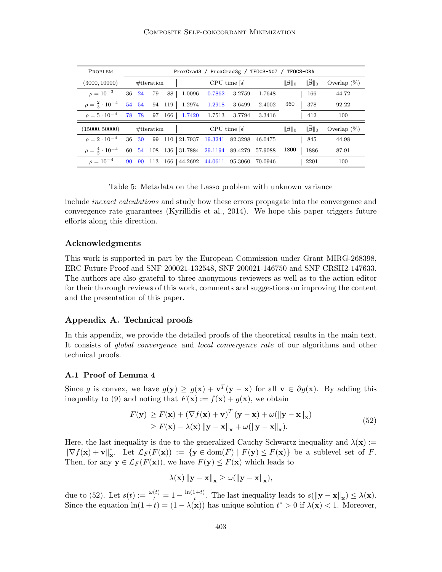<span id="page-32-0"></span>

| PROBLEM                            |                | ProxGrad3 / ProxGrad3g / TFOCS-NO7 / TFOCS-GRA |                |     |                    |                     |              |                 |                            |                            |                |  |  |
|------------------------------------|----------------|------------------------------------------------|----------------|-----|--------------------|---------------------|--------------|-----------------|----------------------------|----------------------------|----------------|--|--|
| (3000, 10000)                      |                |                                                | $\#$ iteration |     |                    |                     | CPU time [s] |                 | $\ \boldsymbol{\beta}\ _0$ | $\ \boldsymbol{\beta}\ _0$ | Overlap $(\%)$ |  |  |
| $\rho = 10^{-3}$                   | 36             | 24                                             | 79             | 88  | 1.0096             | 0.7862              | 3.2759       | 1.7648          |                            | 166                        | 44.72          |  |  |
| $\rho = \frac{2}{3} \cdot 10^{-4}$ | 54             | 54                                             | 94             | 119 | 1.2974             | 1.2918              | 3.6499       | 2.4002          | 360                        | 378                        | 92.22          |  |  |
| $\rho = 5 \cdot 10^{-4}$           | 78             | 78                                             | 97             | 166 | 1.7420             | 1.7513              | 3.7794       | 3.3416          |                            | 412                        | 100            |  |  |
| (15000, 50000)                     | $\#$ iteration |                                                |                |     |                    | $CPU$ time $[s]$    |              |                 | $\ \boldsymbol{\beta}\ _0$ | $\ \boldsymbol{\beta}\ _0$ | Overlap $(\%)$ |  |  |
| $\rho = 2 \cdot 10^{-4}$           | 36             | 30                                             | 99             |     | $110 \mid 21.7937$ | 19.3241             | 82.3298      | 46.0475         |                            | 845                        | 44.98          |  |  |
| $\rho = \frac{4}{3} \cdot 10^{-4}$ | 60             | 54                                             | 108            |     |                    | 136 31.7884 29.1194 |              | 89.4279 57.9088 | 1800                       | 1886                       | 87.91          |  |  |
| $\rho = 10^{-4}$                   | 90             | 90                                             | 113            |     | 166 44.2692        | 44.0611             | 95.3060      | 70.0946         |                            | 2201                       | 100            |  |  |

Table 5: Metadata on the Lasso problem with unknown variance

include inexact calculations and study how these errors propagate into the convergence and convergence rate guarantees [\(Kyrillidis et al., 2014\)](#page-43-14). We hope this paper triggers future efforts along this direction.

### Acknowledgments

This work is supported in part by the European Commission under Grant MIRG-268398, ERC Future Proof and SNF 200021-132548, SNF 200021-146750 and SNF CRSII2-147633. The authors are also grateful to three anonymous reviewers as well as to the action editor for their thorough reviews of this work, comments and suggestions on improving the content and the presentation of this paper.

### Appendix A. Technical proofs

In this appendix, we provide the detailed proofs of the theoretical results in the main text. It consists of global convergence and local convergence rate of our algorithms and other technical proofs.

#### A.1 Proof of Lemma [4](#page-8-3)

Since g is convex, we have  $g(y) \ge g(x) + v^T(y - x)$  for all  $v \in \partial g(x)$ . By adding this inequality to [\(9\)](#page-8-1) and noting that  $F(\mathbf{x}) := f(\mathbf{x}) + g(\mathbf{x})$ , we obtain

<span id="page-32-1"></span>
$$
F(\mathbf{y}) \ge F(\mathbf{x}) + (\nabla f(\mathbf{x}) + \mathbf{v})^T (\mathbf{y} - \mathbf{x}) + \omega(||\mathbf{y} - \mathbf{x}||_{\mathbf{x}})
$$
  
\n
$$
\ge F(\mathbf{x}) - \lambda(\mathbf{x}) ||\mathbf{y} - \mathbf{x}||_{\mathbf{x}} + \omega(||\mathbf{y} - \mathbf{x}||_{\mathbf{x}}).
$$
\n(52)

Here, the last inequality is due to the generalized Cauchy-Schwartz inequality and  $\lambda(\mathbf{x}) :=$  $\|\nabla f(\mathbf{x}) + \mathbf{v}\|_{\mathbf{x}}^*$ **x**. Let  $\mathcal{L}_F(F(\mathbf{x})) := \{ \mathbf{y} \in \text{dom}(F) \mid F(\mathbf{y}) \leq F(\mathbf{x}) \}$  be a sublevel set of F. Then, for any  $y \in \mathcal{L}_F(F(x))$ , we have  $F(y) \leq F(x)$  which leads to

$$
\lambda(\mathbf{x})\|\mathbf{y}-\mathbf{x}\|_{\mathbf{x}} \geq \omega(\|\mathbf{y}-\mathbf{x}\|_{\mathbf{x}}),
$$

due to [\(52\)](#page-32-1). Let  $s(t) := \frac{\omega(t)}{t} = 1 - \frac{\ln(1+t)}{t}$  $\frac{t+t}{t}$ . The last inequality leads to  $s(||\mathbf{y}-\mathbf{x}||_{\mathbf{x}}) \leq \lambda(\mathbf{x}).$ Since the equation  $\ln(1 + t) = (1 - \lambda(\mathbf{x}))$  has unique solution  $t^* > 0$  if  $\lambda(\mathbf{x}) < 1$ . Moreover,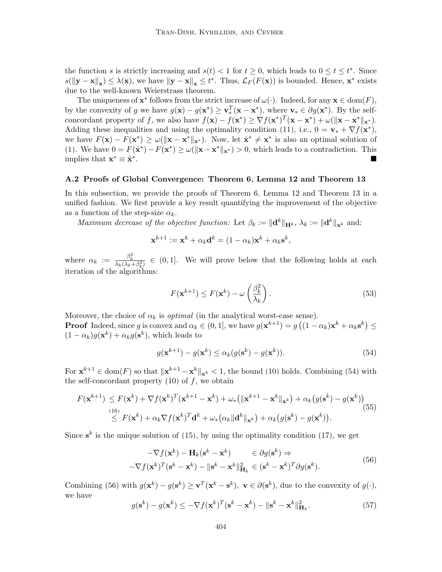the function s is strictly increasing and  $s(t) < 1$  for  $t \geq 0$ , which leads to  $0 \leq t \leq t^*$ . Since  $s(||\mathbf{y} - \mathbf{x}||_{\mathbf{x}})$  ≤  $\lambda(\mathbf{x})$ , we have  $||\mathbf{y} - \mathbf{x}||_{\mathbf{x}} \le t^*$ . Thus,  $\mathcal{L}_F(F(\mathbf{x}))$  is bounded. Hence,  $\mathbf{x}^*$  exists due to the well-known Weierstrass theorem.

The uniqueness of  $\mathbf{x}^*$  follows from the strict increase of  $\omega(\cdot)$ . Indeed, for any  $\mathbf{x} \in \text{dom}(F)$ , by the convexity of g we have  $g(\mathbf{x}) - g(\mathbf{x}^*) \geq \mathbf{v}_*^T(\mathbf{x} - \mathbf{x}^*)$ , where  $\mathbf{v}_* \in \partial g(\mathbf{x}^*)$ . By the selfconcordant property of f, we also have  $f(\mathbf{x}) - f(\mathbf{x}^*) \ge \nabla f(\mathbf{x}^*)^T (\mathbf{x} - \mathbf{x}^*) + \omega(||\mathbf{x} - \mathbf{x}^*||_{\mathbf{x}^*}).$ Adding these inequalities and using the optimality condition [\(11\)](#page-9-0), i.e.,  $0 = \mathbf{v}_* + \nabla f(\mathbf{x}^*),$ we have  $F(\mathbf{x}) - F(\mathbf{x}^*) \ge \omega(||\mathbf{x} - \mathbf{x}^*||_{\mathbf{x}^*})$ . Now, let  $\hat{\mathbf{x}}^* \ne \mathbf{x}^*$  is also an optimal solution of [\(1\)](#page-0-0). We have  $0 = F(\hat{\mathbf{x}}^*) - F(\mathbf{x}^*) \ge \omega(||\mathbf{x} - \mathbf{x}^*||_{\mathbf{x}^*}) > 0$ , which leads to a contradiction. This implies that  $\mathbf{x}^* \equiv \hat{\mathbf{x}}^*$ . A construction of the construction of the construction of the construction of the construction of the construction of the construction of the construction of the construction of the construction of the construction of th

### A.2 Proofs of Global Convergence: Theorem [6,](#page-11-4) Lemma [12](#page-15-1) and Theorem [13](#page-17-3)

In this subsection, we provide the proofs of Theorem [6,](#page-11-4) Lemma [12](#page-15-1) and Theorem [13](#page-17-3) in a unified fashion. We first provide a key result quantifying the improvement of the objective as a function of the step-size  $\alpha_k$ .

Maximum decrease of the objective function: Let  $\beta_k := ||\mathbf{d}^k||_{\mathbf{H}^k}$ ,  $\lambda_k := ||\mathbf{d}^k||_{\mathbf{x}^k}$  and:

$$
\mathbf{x}^{k+1} := \mathbf{x}^k + \alpha_k \mathbf{d}^k = (1 - \alpha_k) \mathbf{x}^k + \alpha_k \mathbf{s}^k,
$$

where  $\alpha_k := \frac{\beta_k^2}{\lambda_k(\lambda_k+\beta_k^2)} \in (0,1]$ . We will prove below that the following holds at each iteration of the algorithms:

<span id="page-33-4"></span><span id="page-33-0"></span>
$$
F(\mathbf{x}^{k+1}) \le F(\mathbf{x}^k) - \omega\left(\frac{\beta_k^2}{\lambda_k}\right). \tag{53}
$$

Moreover, the choice of  $\alpha_k$  is *optimal* (in the analytical worst-case sense). **Proof** Indeed, since g is convex and  $\alpha_k \in (0, 1]$ , we have  $g(\mathbf{x}^{k+1}) = g((1 - \alpha_k)\mathbf{x}^k + \alpha_k \mathbf{s}^k) \le$  $(1 - \alpha_k)g(\mathbf{x}^k) + \alpha_k g(\mathbf{s}^k)$ , which leads to

$$
g(\mathbf{x}^{k+1}) - g(\mathbf{x}^k) \le \alpha_k (g(\mathbf{s}^k) - g(\mathbf{x}^k)).
$$
\n(54)

For  $\mathbf{x}^{k+1} \in \text{dom}(F)$  so that  $\|\mathbf{x}^{k+1} - \mathbf{x}^k\|_{\mathbf{x}^k} < 1$ , the bound [\(10\)](#page-8-1) holds. Combining [\(54\)](#page-33-0) with the self-concordant property  $(10)$  of f, we obtain

<span id="page-33-3"></span>
$$
F(\mathbf{x}^{k+1}) \leq F(\mathbf{x}^k) + \nabla f(\mathbf{x}^k)^T(\mathbf{x}^{k+1} - \mathbf{x}^k) + \omega_* \left( \|\mathbf{x}^{k+1} - \mathbf{x}^k\|_{\mathbf{x}^k} \right) + \alpha_k \left( g(\mathbf{s}^k) - g(\mathbf{x}^k) \right)
$$
\n
$$
\stackrel{(16)}{\leq} F(\mathbf{x}^k) + \alpha_k \nabla f(\mathbf{x}^k)^T \mathbf{d}^k + \omega_* \left( \alpha_k \|\mathbf{d}^k\|_{\mathbf{x}^k} \right) + \alpha_k \left( g(\mathbf{s}^k) - g(\mathbf{x}^k) \right).
$$
\n(55)

Since  $s^k$  is the unique solution of [\(15\)](#page-9-2), by using the optimality condition [\(17\)](#page-10-0), we get

<span id="page-33-1"></span>
$$
-\nabla f(\mathbf{x}^k) - \mathbf{H}_k(\mathbf{s}^k - \mathbf{x}^k) \in \partial g(\mathbf{s}^k) \Rightarrow -\nabla f(\mathbf{x}^k)^T(\mathbf{s}^k - \mathbf{x}^k) - \|\mathbf{s}^k - \mathbf{x}^k\|_{\mathbf{H}_k}^2 \in (\mathbf{s}^k - \mathbf{x}^k)^T \partial g(\mathbf{s}^k).
$$
 (56)

Combining [\(56\)](#page-33-1) with  $g(\mathbf{x}^k) - g(\mathbf{s}^k) \geq \mathbf{v}^T(\mathbf{x}^k - \mathbf{s}^k)$ ,  $\mathbf{v} \in \partial(\mathbf{s}^k)$ , due to the convexity of  $g(\cdot)$ , we have

<span id="page-33-2"></span>
$$
g(\mathbf{s}^k) - g(\mathbf{x}^k) \le -\nabla f(\mathbf{x}^k)^T (\mathbf{s}^k - \mathbf{x}^k) - \|\mathbf{s}^k - \mathbf{x}^k\|_{\mathbf{H}_k}^2.
$$
 (57)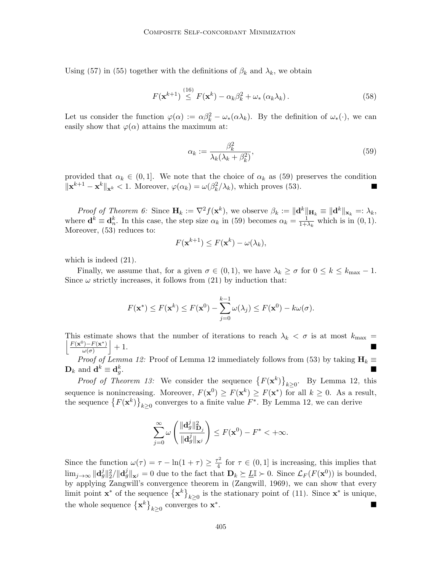Using [\(57\)](#page-33-2) in [\(55\)](#page-33-3) together with the definitions of  $\beta_k$  and  $\lambda_k$ , we obtain

$$
F(\mathbf{x}^{k+1}) \stackrel{(16)}{\leq} F(\mathbf{x}^k) - \alpha_k \beta_k^2 + \omega_* (\alpha_k \lambda_k).
$$
 (58)

Let us consider the function  $\varphi(\alpha) := \alpha \beta_k^2 - \omega_*(\alpha \lambda_k)$ . By the definition of  $\omega_*(\cdot)$ , we can easily show that  $\varphi(\alpha)$  attains the maximum at:

<span id="page-34-0"></span>
$$
\alpha_k := \frac{\beta_k^2}{\lambda_k(\lambda_k + \beta_k^2)},\tag{59}
$$

provided that  $\alpha_k \in (0,1]$ . We note that the choice of  $\alpha_k$  as [\(59\)](#page-34-0) preserves the condition  $\|\mathbf{x}^{k+1} - \mathbf{x}^{k}\|_{\mathbf{x}^{k}} < 1$ . Moreover,  $\varphi(\alpha_k) = \omega(\beta_k^2/\lambda_k)$ , which proves [\(53\)](#page-33-4).

Proof of Theorem [6:](#page-11-4) Since  $\mathbf{H}_k := \nabla^2 f(\mathbf{x}^k)$ , we observe  $\beta_k := ||\mathbf{d}^k||_{\mathbf{H}_k} \equiv ||\mathbf{d}^k||_{\mathbf{x}_k} =: \lambda_k$ , where  $\mathbf{d}^k \equiv \mathbf{d}^k_n$ . In this case, the step size  $\alpha_k$  in [\(59\)](#page-34-0) becomes  $\alpha_k = \frac{1}{1+k}$ .  $\frac{1}{1+\lambda_k}$  which is in  $(0, 1)$ . Moreover,  $(53)$  reduces to:

$$
F(\mathbf{x}^{k+1}) \le F(\mathbf{x}^k) - \omega(\lambda_k),
$$

which is indeed  $(21)$ .

Finally, we assume that, for a given  $\sigma \in (0,1)$ , we have  $\lambda_k \geq \sigma$  for  $0 \leq k \leq k_{\text{max}} - 1$ . Since  $\omega$  strictly increases, it follows from [\(21\)](#page-11-5) by induction that:

$$
F(\mathbf{x}^*) \le F(\mathbf{x}^k) \le F(\mathbf{x}^0) - \sum_{j=0}^{k-1} \omega(\lambda_j) \le F(\mathbf{x}^0) - k\omega(\sigma).
$$

This estimate shows that the number of iterations to reach  $\lambda_k < \sigma$  is at most  $k_{\text{max}} =$  $\overline{1}$  $F(\mathbf{x}^0) - F(\mathbf{x}^*)$  $\frac{D(-F(\mathbf{x}^*))}{\omega(\sigma)}$  $+1.$ 

*Proof of Lemma [12:](#page-15-1)* Proof of Lemma [12](#page-15-1) immediately follows from [\(53\)](#page-33-4) by taking  $\mathbf{H}_k \equiv$  and  $\mathbf{d}^k = \mathbf{d}^k$  $\mathbf{D}_k$  and  $\mathbf{d}^k \equiv \mathbf{d}_g^k$ . In the second control of the second control of the second control of the second control of the second control of

*Proof of Theorem [13:](#page-17-3)* We consider the sequence  $\{F(\mathbf{x}^k)\}_{k\geq 0}$ . By Lemma [12,](#page-15-1) this sequence is nonincreasing. Moreover,  $F(\mathbf{x}^0) \geq F(\mathbf{x}^k) \geq F(\mathbf{x}^*)$  for all  $k \geq 0$ . As a result, the sequence  $\{F(\mathbf{x}^k)\}_{k\geq 0}$  converges to a finite value  $F^*$ . By Lemma [12,](#page-15-1) we can derive

$$
\sum_{j=0}^{\infty} \omega \left( \frac{\|\mathbf{d}_g^j\|_{\mathbf{D}_j}^2}{\|\mathbf{d}_g^j\|_{\mathbf{x}^j}} \right) \le F(\mathbf{x}^0) - F^* < +\infty.
$$

Since the function  $\omega(\tau) = \tau - \ln(1 + \tau) \geq \frac{\tau^2}{4}$  $\frac{f^2}{4}$  for  $\tau \in (0,1]$  is increasing, this implies that  $\lim_{j\to\infty} \|\mathbf{d}_g^j\|_2^2 / \|\mathbf{d}_g^j\|_{\mathbf{x}^j} = 0$  due to the fact that  $\mathbf{D}_k \succeq \underline{L} \mathbb{I} \succ 0$ . Since  $\mathcal{L}_F(F(\mathbf{x}^0))$  is bounded, by applying Zangwill's convergence theorem in [\(Zangwill, 1969\)](#page-45-9), we can show that every limit point  $\mathbf{x}^*$  of the sequence  $\{\mathbf{x}^k\}_{k\geq 0}$  is the stationary point of [\(11\)](#page-9-0). Since  $\mathbf{x}^*$  is unique, the whole sequence  $\{\mathbf x^k\}_{k\geq 0}$  converges to  $\mathbf x^*$ .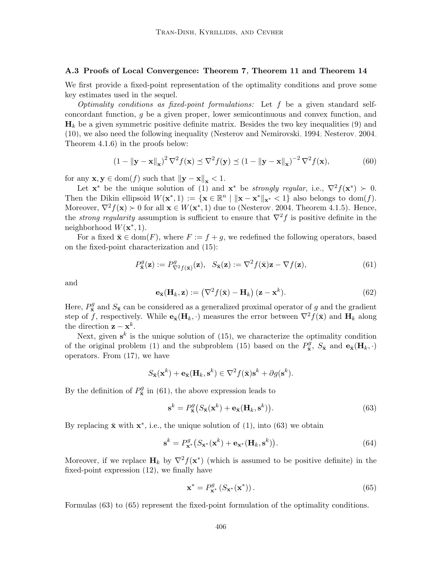### A.3 Proofs of Local Convergence: Theorem [7,](#page-11-3) Theorem [11](#page-14-4) and Theorem [14](#page-17-2)

We first provide a fixed-point representation of the optimality conditions and prove some key estimates used in the sequel.

Optimality conditions as fixed-point formulations: Let f be a given standard selfconcordant function, g be a given proper, lower semicontinuous and convex function, and  $\mathbf{H}_k$  be a given symmetric positive definite matrix. Besides the two key inequalities [\(9\)](#page-8-1) and [\(10\)](#page-8-1), we also need the following inequality [\(Nesterov and Nemirovski, 1994;](#page-44-1) [Nesterov, 2004,](#page-43-2) Theorem 4.1.6) in the proofs below:

$$
(1 - \|\mathbf{y} - \mathbf{x}\|_{\mathbf{x}})^2 \nabla^2 f(\mathbf{x}) \preceq \nabla^2 f(\mathbf{y}) \preceq (1 - \|\mathbf{y} - \mathbf{x}\|_{\mathbf{x}})^{-2} \nabla^2 f(\mathbf{x}),
$$
(60)

for any  $\mathbf{x}, \mathbf{y} \in \text{dom}(f)$  such that  $\|\mathbf{y} - \mathbf{x}\|_{\mathbf{x}} < 1$ .

Let  $\mathbf{x}^*$  be the unique solution of [\(1\)](#page-0-0) and  $\mathbf{x}^*$  be strongly regular, i.e.,  $\nabla^2 f(\mathbf{x}^*) \succ 0$ . Then the Dikin ellipsoid  $W(\mathbf{x}^*, 1) := {\mathbf{x} \in \mathbb{R}^n \mid \|\mathbf{x} - \mathbf{x}^*\|_{\mathbf{x}^*} < 1}$  also belongs to dom(f). Moreover,  $\nabla^2 f(\mathbf{x}) \succ 0$  for all  $\mathbf{x} \in W(\mathbf{x}^*, 1)$  due to [\(Nesterov, 2004,](#page-43-2) Theorem 4.1.5). Hence, the *strong regularity* assumption is sufficient to ensure that  $\nabla^2 f$  is positive definite in the neighborhood  $W(\mathbf{x}^*, 1)$ .

For a fixed  $\bar{\mathbf{x}} \in \text{dom}(F)$ , where  $F := f + g$ , we redefined the following operators, based on the fixed-point characterization and [\(15\)](#page-9-2):

<span id="page-35-0"></span>
$$
P_{\bar{\mathbf{x}}}^{g}(\mathbf{z}) := P_{\nabla^{2} f(\bar{\mathbf{x}})}^{g}(\mathbf{z}), \quad S_{\bar{\mathbf{x}}}(\mathbf{z}) := \nabla^{2} f(\bar{\mathbf{x}}) \mathbf{z} - \nabla f(\mathbf{z}), \tag{61}
$$

and

<span id="page-35-3"></span>
$$
\mathbf{e}_{\bar{\mathbf{x}}}(\mathbf{H}_k, \mathbf{z}) := \left(\nabla^2 f(\bar{\mathbf{x}}) - \mathbf{H}_k\right) (\mathbf{z} - \mathbf{x}^k). \tag{62}
$$

Here,  $P_{\bar{\mathbf{x}}}^g$  and  $S_{\bar{\mathbf{x}}}$  can be considered as a generalized proximal operator of g and the gradient step of f, respectively. While  $\mathbf{e}_{\bar{\mathbf{x}}}(\mathbf{H}_k, \cdot)$  measures the error between  $\nabla^2 f(\bar{\mathbf{x}})$  and  $\mathbf{H}_k$  along the direction  $\mathbf{z} - \mathbf{x}^k$ .

Next, given  $s^k$  is the unique solution of [\(15\)](#page-9-2), we characterize the optimality condition of the original problem [\(1\)](#page-0-0) and the subproblem [\(15\)](#page-9-2) based on the  $P_{\bar{x}}^{\bar{g}}$ ,  $S_{\bar{x}}$  and  $\mathbf{e}_{\bar{x}}(\mathbf{H}_k, \cdot)$ operators. From [\(17\)](#page-10-0), we have

$$
S_{\bar{\mathbf{x}}}(\mathbf{x}^k) + \mathbf{e}_{\bar{\mathbf{x}}}(\mathbf{H}_k, \mathbf{s}^k) \in \nabla^2 f(\bar{\mathbf{x}}) \mathbf{s}^k + \partial g(\mathbf{s}^k).
$$

By the definition of  $P_{\bar{\mathbf{x}}}^{g}$  in [\(61\)](#page-35-0), the above expression leads to

<span id="page-35-1"></span>
$$
\mathbf{s}^{k} = P_{\bar{\mathbf{x}}}^{g} \big( S_{\bar{\mathbf{x}}} (\mathbf{x}^{k}) + \mathbf{e}_{\bar{\mathbf{x}}} (\mathbf{H}_{k}, \mathbf{s}^{k}) \big). \tag{63}
$$

By replacing  $\bar{\mathbf{x}}$  with  $\mathbf{x}^*$ , i.e., the unique solution of [\(1\)](#page-0-0), into [\(63\)](#page-35-1) we obtain

$$
\mathbf{s}^{k} = P_{\mathbf{x}^{*}}^{g} \left( S_{\mathbf{x}^{*}}(\mathbf{x}^{k}) + \mathbf{e}_{\mathbf{x}^{*}}(\mathbf{H}_{k}, \mathbf{s}^{k}) \right). \tag{64}
$$

Moreover, if we replace  $H_k$  by  $\nabla^2 f(x^*)$  (which is assumed to be positive definite) in the fixed-point expression [\(12\)](#page-9-1), we finally have

<span id="page-35-2"></span>
$$
\mathbf{x}^* = P_{\mathbf{x}^*}^g \left( S_{\mathbf{x}^*}(\mathbf{x}^*) \right). \tag{65}
$$

Formulas [\(63\)](#page-35-1) to [\(65\)](#page-35-2) represent the fixed-point formulation of the optimality conditions.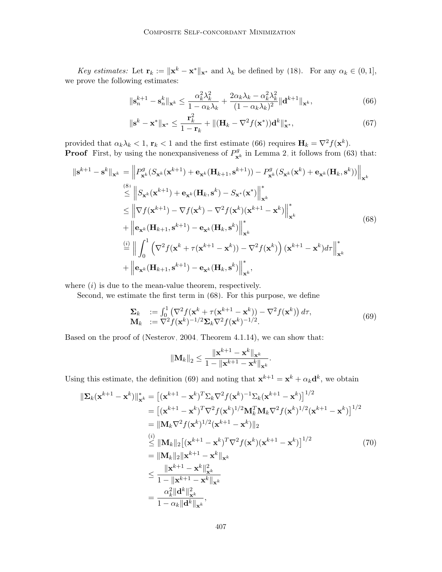Key estimates: Let  $\mathbf{r}_k := ||\mathbf{x}^k - \mathbf{x}^*||_{\mathbf{x}^*}$  and  $\lambda_k$  be defined by [\(18\)](#page-10-3). For any  $\alpha_k \in (0,1],$ we prove the following estimates:

<span id="page-36-0"></span>
$$
\|\mathbf{s}_{n}^{k+1} - \mathbf{s}_{n}^{k}\|_{\mathbf{x}^{k}} \leq \frac{\alpha_{k}^{2}\lambda_{k}^{2}}{1 - \alpha_{k}\lambda_{k}} + \frac{2\alpha_{k}\lambda_{k} - \alpha_{k}^{2}\lambda_{k}^{2}}{(1 - \alpha_{k}\lambda_{k})^{2}} \|\mathbf{d}^{k+1}\|_{\mathbf{x}^{k}},
$$
\n(66)

<span id="page-36-4"></span>
$$
\|\mathbf{s}^{k} - \mathbf{x}^*\|_{\mathbf{x}^*} \le \frac{\mathbf{r}_k^2}{1 - \mathbf{r}_k} + \|(\mathbf{H}_k - \nabla^2 f(\mathbf{x}^*))\mathbf{d}^k\|_{\mathbf{x}^*}^*,\tag{67}
$$

provided that  $\alpha_k \lambda_k < 1$ ,  $\mathbf{r}_k < 1$  and the first estimate [\(66\)](#page-36-0) requires  $\mathbf{H}_k = \nabla^2 f(\mathbf{x}^k)$ . **Proof** First, by using the nonexpansiveness of  $P_x^g$  $\mathbf{x}^k$  in Lemma [2,](#page-7-4) it follows from [\(63\)](#page-35-1) that:

<span id="page-36-1"></span>
$$
\|\mathbf{s}^{k+1} - \mathbf{s}^{k}\|_{\mathbf{x}^{k}} = \left\|P_{\mathbf{x}^{k}}^{g}(S_{\mathbf{x}^{k}}(\mathbf{x}^{k+1}) + \mathbf{e}_{\mathbf{x}^{k}}(\mathbf{H}_{k+1}, \mathbf{s}^{k+1})) - P_{\mathbf{x}^{k}}^{g}(S_{\mathbf{x}^{k}}(\mathbf{x}^{k}) + \mathbf{e}_{\mathbf{x}^{k}}(\mathbf{H}_{k}, \mathbf{s}^{k}))\right\|_{\mathbf{x}^{k}}
$$
\n
$$
\leq \left\|S_{\mathbf{x}^{k}}(\mathbf{x}^{k+1}) + \mathbf{e}_{\mathbf{x}^{k}}(\mathbf{H}_{k}, \mathbf{s}^{k}) - S_{\mathbf{x}^{*}}(\mathbf{x}^{*})\right\|_{\mathbf{x}^{k}}^{*}
$$
\n
$$
\leq \left\|\nabla f(\mathbf{x}^{k+1}) - \nabla f(\mathbf{x}^{k}) - \nabla^{2} f(\mathbf{x}^{k})(\mathbf{x}^{k+1} - \mathbf{x}^{k})\right\|_{\mathbf{x}^{k}}^{*}
$$
\n
$$
+ \left\|\mathbf{e}_{\mathbf{x}^{k}}(\mathbf{H}_{k+1}, \mathbf{s}^{k+1}) - \mathbf{e}_{\mathbf{x}^{k}}(\mathbf{H}_{k}, \mathbf{s}^{k})\right\|_{\mathbf{x}^{k}}^{*}
$$
\n
$$
\stackrel{\text{(68)}}{=} \left\|\int_{0}^{1} \left(\nabla^{2} f(\mathbf{x}^{k} + \tau(\mathbf{x}^{k+1} - \mathbf{x}^{k})) - \nabla^{2} f(\mathbf{x}^{k})\right) (\mathbf{x}^{k+1} - \mathbf{x}^{k}) d\tau\right\|_{\mathbf{x}^{k}}^{*}
$$
\n
$$
+ \left\|\mathbf{e}_{\mathbf{x}^{k}}(\mathbf{H}_{k+1}, \mathbf{s}^{k+1}) - \mathbf{e}_{\mathbf{x}^{k}}(\mathbf{H}_{k}, \mathbf{s}^{k})\right\|_{\mathbf{x}^{k}}^{*},
$$

where  $(i)$  is due to the mean-value theorem, respectively.

Second, we estimate the first term in [\(68\)](#page-36-1). For this purpose, we define

$$
\Sigma_k := \int_0^1 \left( \nabla^2 f(\mathbf{x}^k + \tau(\mathbf{x}^{k+1} - \mathbf{x}^k)) - \nabla^2 f(\mathbf{x}^k) \right) d\tau, \mathbf{M}_k := \nabla^2 f(\mathbf{x}^k)^{-1/2} \Sigma_k \nabla^2 f(\mathbf{x}^k)^{-1/2}.
$$
\n(69)

Based on the proof of [\(Nesterov, 2004,](#page-43-2) Theorem 4.1.14), we can show that:

<span id="page-36-3"></span><span id="page-36-2"></span>
$$
\|\mathbf{M}_{k}\|_{2} \leq \frac{\|\mathbf{x}^{k+1} - \mathbf{x}^{k}\|_{\mathbf{x}^{k}}}{1 - \|\mathbf{x}^{k+1} - \mathbf{x}^{k}\|_{\mathbf{x}^{k}}}.
$$

Using this estimate, the definition [\(69\)](#page-36-2) and noting that  $\mathbf{x}^{k+1} = \mathbf{x}^k + \alpha_k \mathbf{d}^k$ , we obtain

$$
\|\Sigma_{k}(\mathbf{x}^{k+1} - \mathbf{x}^{k})\|_{\mathbf{x}^{k}}^{*} = \left[ (\mathbf{x}^{k+1} - \mathbf{x}^{k})^{T} \Sigma_{k} \nabla^{2} f(\mathbf{x}^{k})^{-1} \Sigma_{k} (\mathbf{x}^{k+1} - \mathbf{x}^{k}) \right]^{1/2}
$$
  
\n
$$
= \left[ (\mathbf{x}^{k+1} - \mathbf{x}^{k})^{T} \nabla^{2} f(\mathbf{x}^{k})^{1/2} \mathbf{M}_{k}^{T} \mathbf{M}_{k} \nabla^{2} f(\mathbf{x}^{k})^{1/2} (\mathbf{x}^{k+1} - \mathbf{x}^{k}) \right]^{1/2}
$$
  
\n
$$
= \|\mathbf{M}_{k} \nabla^{2} f(\mathbf{x}^{k})^{1/2} (\mathbf{x}^{k+1} - \mathbf{x}^{k})\|_{2}
$$
  
\n
$$
\stackrel{(i)}{\leq} \|\mathbf{M}_{k}\|_{2} \left[ (\mathbf{x}^{k+1} - \mathbf{x}^{k})^{T} \nabla^{2} f(\mathbf{x}^{k}) (\mathbf{x}^{k+1} - \mathbf{x}^{k}) \right]^{1/2}
$$
  
\n
$$
= \|\mathbf{M}_{k}\|_{2} \|\mathbf{x}^{k+1} - \mathbf{x}^{k}\|_{\mathbf{x}^{k}}
$$
  
\n
$$
\leq \frac{\|\mathbf{x}^{k+1} - \mathbf{x}^{k}\|_{\mathbf{x}^{k}}^{2}}{1 - \|\mathbf{x}^{k+1} - \mathbf{x}^{k}\|_{\mathbf{x}^{k}}}
$$
  
\n
$$
= \frac{\alpha_{k}^{2} \|\mathbf{d}^{k}\|_{\mathbf{x}^{k}}^{2}}{1 - \alpha_{k} \|\mathbf{d}^{k}\|_{\mathbf{x}^{k}}},
$$
 (70)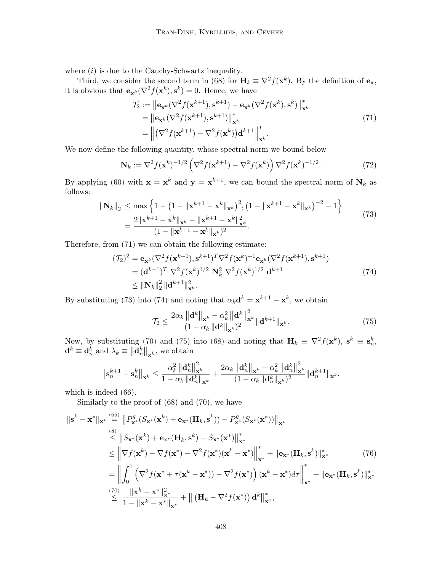where  $(i)$  is due to the Cauchy-Schwartz inequality.

Third, we consider the second term in [\(68\)](#page-36-1) for  $\mathbf{H}_k \equiv \nabla^2 f(\mathbf{x}^k)$ . By the definition of  $\mathbf{e}_{\bar{\mathbf{x}}}$ , it is obvious that  $\mathbf{e}_{\mathbf{x}^k}(\nabla^2 f(\mathbf{x}^k), \mathbf{s}^k) = 0$ . Hence, we have

<span id="page-37-0"></span>
$$
\mathcal{T}_2 := \left\| \mathbf{e}_{\mathbf{x}^k} (\nabla^2 f(\mathbf{x}^{k+1}), \mathbf{s}^{k+1}) - \mathbf{e}_{\mathbf{x}^k} (\nabla^2 f(\mathbf{x}^k), \mathbf{s}^k) \right\|_{\mathbf{x}^k}^*
$$
\n
$$
= \left\| \mathbf{e}_{\mathbf{x}^k} (\nabla^2 f(\mathbf{x}^{k+1}), \mathbf{s}^{k+1}) \right\|_{\mathbf{x}^k}^*
$$
\n
$$
= \left\| (\nabla^2 f(\mathbf{x}^{k+1}) - \nabla^2 f(\mathbf{x}^k)) \mathbf{d}^{k+1} \right\|_{\mathbf{x}^k}^*.
$$
\n(71)

We now define the following quantity, whose spectral norm we bound below

<span id="page-37-4"></span>
$$
\mathbf{N}_k := \nabla^2 f(\mathbf{x}^k)^{-1/2} \left( \nabla^2 f(\mathbf{x}^{k+1}) - \nabla^2 f(\mathbf{x}^k) \right) \nabla^2 f(\mathbf{x}^k)^{-1/2}.
$$
 (72)

By applying [\(60\)](#page-35-3) with  $\mathbf{x} = \mathbf{x}^k$  and  $\mathbf{y} = \mathbf{x}^{k+1}$ , we can bound the spectral norm of  $\mathbf{N}_k$  as follows:

<span id="page-37-1"></span>
$$
\|\mathbf{N}_{k}\|_{2} \leq \max\left\{1 - \left(1 - \|\mathbf{x}^{k+1} - \mathbf{x}^{k}\|_{\mathbf{x}^{k}}\right)^{2}, \left(1 - \|\mathbf{x}^{k+1} - \mathbf{x}^{k}\|_{\mathbf{x}^{k}}\right)^{-2} - 1\right\}
$$
  
= 
$$
\frac{2\|\mathbf{x}^{k+1} - \mathbf{x}^{k}\|_{\mathbf{x}^{k}} - \|\mathbf{x}^{k+1} - \mathbf{x}^{k}\|_{\mathbf{x}^{k}}^{2}}{(1 - \|\mathbf{x}^{k+1} - \mathbf{x}^{k}\|_{\mathbf{x}^{k}})^{2}}.
$$
 (73)

Therefore, from [\(71\)](#page-37-0) we can obtain the following estimate:

$$
(\mathcal{T}_2)^2 = \mathbf{e}_{\mathbf{x}^k} (\nabla^2 f(\mathbf{x}^{k+1}), \mathbf{s}^{k+1})^T \nabla^2 f(\mathbf{x}^k)^{-1} \mathbf{e}_{\mathbf{x}^k} (\nabla^2 f(\mathbf{x}^{k+1}), \mathbf{s}^{k+1})
$$
  
\n
$$
= (\mathbf{d}^{k+1})^T \nabla^2 f(\mathbf{x}^k)^{1/2} \mathbf{N}_k^2 \nabla^2 f(\mathbf{x}^k)^{1/2} \mathbf{d}^{k+1}
$$
  
\n
$$
\leq ||\mathbf{N}_k||_2^2 ||\mathbf{d}^{k+1}||_{\mathbf{x}^k}^2.
$$
\n(74)

By substituting [\(73\)](#page-37-1) into [\(74\)](#page-37-2) and noting that  $\alpha_k \mathbf{d}^k = \mathbf{x}^{k+1} - \mathbf{x}^k$ , we obtain

<span id="page-37-3"></span><span id="page-37-2"></span>
$$
\mathcal{T}_2 \le \frac{2\alpha_k \left\| \mathbf{d}^k \right\|_{\mathbf{x}^k} - \alpha_k^2 \left\| \mathbf{d}^k \right\|_{\mathbf{x}^k}^2}{(1 - \alpha_k \left\| \mathbf{d}^k \right\|_{\mathbf{x}^k})^2} \|\mathbf{d}^{k+1} \|_{\mathbf{x}^k}.
$$
\n(75)

Now, by substituting [\(70\)](#page-36-3) and [\(75\)](#page-37-3) into [\(68\)](#page-36-1) and noting that  $\mathbf{H}_k \equiv \nabla^2 f(\mathbf{x}^k)$ ,  $\mathbf{s}^k \equiv \mathbf{s}_n^k$ ,  $\mathbf{d}^k \equiv \mathbf{d}^k_n$  and  $\lambda_k \equiv ||\mathbf{d}^k_n||_{\mathbf{x}^k}$ , we obtain

$$
\left\| \mathbf{s}_{n}^{k+1} - \mathbf{s}_{n}^{k} \right\|_{\mathbf{x}^{k}} \leq \frac{\alpha_{k}^{2} \left\| \mathbf{d}_{n}^{k} \right\|_{\mathbf{x}^{k}}^{2}}{1 - \alpha_{k} \left\| \mathbf{d}_{n}^{k} \right\|_{\mathbf{x}^{k}} + \frac{2 \alpha_{k} \left\| \mathbf{d}_{n}^{k} \right\|_{\mathbf{x}^{k}} - \alpha_{k}^{2} \left\| \mathbf{d}_{n}^{k} \right\|_{\mathbf{x}^{k}}^{2}}{(1 - \alpha_{k} \left\| \mathbf{d}_{n}^{k} \right\|_{\mathbf{x}^{k}})^{2}} \|\mathbf{d}_{n}^{k+1} \|_{\mathbf{x}^{k}}.
$$

which is indeed [\(66\)](#page-36-0).

Similarly to the proof of [\(68\)](#page-36-1) and [\(70\)](#page-36-3), we have

$$
\|\mathbf{s}^{k} - \mathbf{x}^{*}\|_{\mathbf{x}^{*}} \stackrel{(65)}{=} \|P_{\mathbf{x}^{*}}^{g}(S_{\mathbf{x}^{*}}(\mathbf{x}^{k}) + \mathbf{e}_{\mathbf{x}^{*}}(\mathbf{H}_{k}, \mathbf{s}^{k})) - P_{\mathbf{x}^{*}}^{g}(S_{\mathbf{x}^{*}}(\mathbf{x}^{*}))\|_{\mathbf{x}^{*}} \n\stackrel{(8)}{\leq} \|S_{\mathbf{x}^{*}}(\mathbf{x}^{k}) + \mathbf{e}_{\mathbf{x}^{*}}(\mathbf{H}_{k}, \mathbf{s}^{k}) - S_{\mathbf{x}^{*}}(\mathbf{x}^{*})\|_{\mathbf{x}^{*}}^{*} \n\leq \left\|\nabla f(\mathbf{x}^{k}) - \nabla f(\mathbf{x}^{*}) - \nabla^{2} f(\mathbf{x}^{*})(\mathbf{x}^{k} - \mathbf{x}^{*})\right\|_{\mathbf{x}^{*}}^{*} + \left\|\mathbf{e}_{\mathbf{x}^{*}}(\mathbf{H}_{k}, \mathbf{s}^{k})\right\|_{\mathbf{x}^{*}}^{*} \n= \left\|\int_{0}^{1} \left(\nabla^{2} f(\mathbf{x}^{*} + \tau(\mathbf{x}^{k} - \mathbf{x}^{*})) - \nabla^{2} f(\mathbf{x}^{*})\right) (\mathbf{x}^{k} - \mathbf{x}^{*}) d\tau\right\|_{\mathbf{x}^{*}}^{*} + \left\|\mathbf{e}_{\mathbf{x}^{*}}(\mathbf{H}_{k}, \mathbf{s}^{k})\right\|_{\mathbf{x}^{*}}^{*} \n\stackrel{(70)}{\leq} \frac{\|\mathbf{x}^{k} - \mathbf{x}^{*}\|_{\mathbf{x}^{*}}^{2}}{1 - \|\mathbf{x}^{k} - \mathbf{x}^{*}\|_{\mathbf{x}^{*}}^{*}} + \left\|\left(\mathbf{H}_{k} - \nabla^{2} f(\mathbf{x}^{*})\right) \mathbf{d}^{k}\right\|_{\mathbf{x}^{*}}^{*},
$$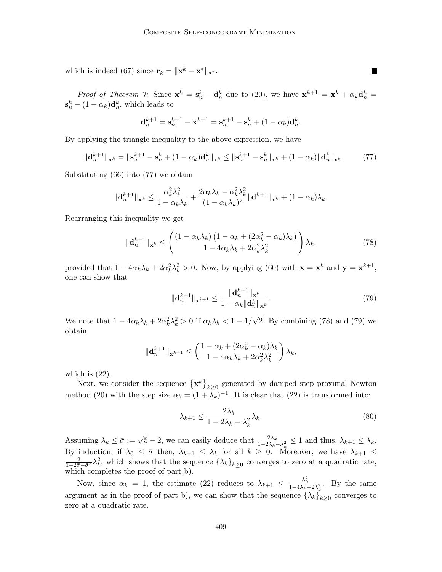which is indeed [\(67\)](#page-36-4) since  $\mathbf{r}_k = ||\mathbf{x}^k - \mathbf{x}^*||_{\mathbf{x}^*}.$ 

*Proof of Theorem [7:](#page-11-3)* Since  $\mathbf{x}^k = \mathbf{s}_n^k - \mathbf{d}_n^k$  due to [\(20\)](#page-11-0), we have  $\mathbf{x}^{k+1} = \mathbf{x}^k + \alpha_k \mathbf{d}_n^k =$  $\mathbf{s}_n^k - (1 - \alpha_k) \mathbf{d}_n^k$ , which leads to

$$
\mathbf{d}_n^{k+1} = \mathbf{s}_n^{k+1} - \mathbf{x}^{k+1} = \mathbf{s}_n^{k+1} - \mathbf{s}_n^k + (1 - \alpha_k)\mathbf{d}_n^k.
$$

By applying the triangle inequality to the above expression, we have

$$
\|\mathbf{d}_n^{k+1}\|_{\mathbf{x}^k} = \|\mathbf{s}_n^{k+1} - \mathbf{s}_n^k + (1 - \alpha_k)\mathbf{d}_n^k\|_{\mathbf{x}^k} \le \|\mathbf{s}_n^{k+1} - \mathbf{s}_n^k\|_{\mathbf{x}^k} + (1 - \alpha_k)\|\mathbf{d}_n^k\|_{\mathbf{x}^k}.\tag{77}
$$

Substituting [\(66\)](#page-36-0) into [\(77\)](#page-38-0) we obtain

$$
\|\mathbf{d}_{n}^{k+1}\|_{\mathbf{x}^{k}} \leq \frac{\alpha_{k}^{2}\lambda_{k}^{2}}{1-\alpha_{k}\lambda_{k}} + \frac{2\alpha_{k}\lambda_{k} - \alpha_{k}^{2}\lambda_{k}^{2}}{(1-\alpha_{k}\lambda_{k})^{2}} \|\mathbf{d}^{k+1}\|_{\mathbf{x}^{k}} + (1-\alpha_{k})\lambda_{k}.
$$

Rearranging this inequality we get

$$
\|\mathbf{d}_{n}^{k+1}\|_{\mathbf{x}^{k}} \leq \left(\frac{\left(1-\alpha_{k}\lambda_{k}\right)\left(1-\alpha_{k}+(2\alpha_{k}^{2}-\alpha_{k})\lambda_{k}\right)}{1-4\alpha_{k}\lambda_{k}+2\alpha_{k}^{2}\lambda_{k}^{2}}\right)\lambda_{k},\tag{78}
$$

provided that  $1 - 4\alpha_k \lambda_k + 2\alpha_k^2 \lambda_k^2 > 0$ . Now, by applying [\(60\)](#page-35-3) with  $\mathbf{x} = \mathbf{x}^k$  and  $\mathbf{y} = \mathbf{x}^{k+1}$ , one can show that

<span id="page-38-2"></span>
$$
\|\mathbf{d}_n^{k+1}\|_{\mathbf{x}^{k+1}} \le \frac{\|\mathbf{d}_n^{k+1}\|_{\mathbf{x}^k}}{1 - \alpha_k \|\mathbf{d}_n^k\|_{\mathbf{x}^k}}.\tag{79}
$$

We note that  $1 - 4\alpha_k \lambda_k + 2\alpha_k^2 \lambda_k^2 > 0$  if  $\alpha_k \lambda_k < 1 - 1/\sqrt{2}$ . By combining [\(78\)](#page-38-1) and [\(79\)](#page-38-2) we obtain

$$
\|\mathbf{d}_{n}^{k+1}\|_{\mathbf{x}^{k+1}} \leq \left(\frac{1-\alpha_{k}+(2\alpha_{k}^{2}-\alpha_{k})\lambda_{k}}{1-4\alpha_{k}\lambda_{k}+2\alpha_{k}^{2}\lambda_{k}^{2}}\right)\lambda_{k},
$$

which is  $(22)$ .

Next, we consider the sequence  $\{\mathbf x^k\}_{k\geq 0}$  generated by damped step proximal Newton method [\(20\)](#page-11-0) with the step size  $\alpha_k = (1 + \overline{\lambda_k})^{-1}$ . It is clear that [\(22\)](#page-11-2) is transformed into:

$$
\lambda_{k+1} \le \frac{2\lambda_k}{1 - 2\lambda_k - \lambda_k^2} \lambda_k. \tag{80}
$$

Assuming  $\lambda_k \leq \bar{\sigma} := \sqrt{5} - 2$ , we can easily deduce that  $\frac{2\lambda_k}{1 - 2\lambda_k - \lambda_k^2} \leq 1$  and thus,  $\lambda_{k+1} \leq \lambda_k$ . By induction, if  $\lambda_0 \leq \bar{\sigma}$  then,  $\lambda_{k+1} \leq \lambda_k$  for all  $k \geq 0$ . Moreover, we have  $\lambda_{k+1} \leq$ <br> $\lambda_1$  and  $\lambda_2$  which shows that the sequence  $\{\lambda_1\}$  converges to zero at a quadratic rate  $\frac{2}{1-2\bar{\sigma}-\bar{\sigma}^2}\lambda_k^2$ , which shows that the sequence  $\{\lambda_k\}_{k\geq 0}$  converges to zero at a quadratic rate, which completes the proof of part b).

Now, since  $\alpha_k = 1$ , the estimate [\(22\)](#page-11-2) reduces to  $\lambda_{k+1} \leq \frac{\lambda_k^2}{1-4\lambda_k+2\lambda_k^2}$ . By the same argument as in the proof of part b), we can show that the sequence  $\{\lambda_k\}_{k\geq 0}$  converges to zero at a quadratic rate.

<span id="page-38-1"></span><span id="page-38-0"></span> $\blacksquare$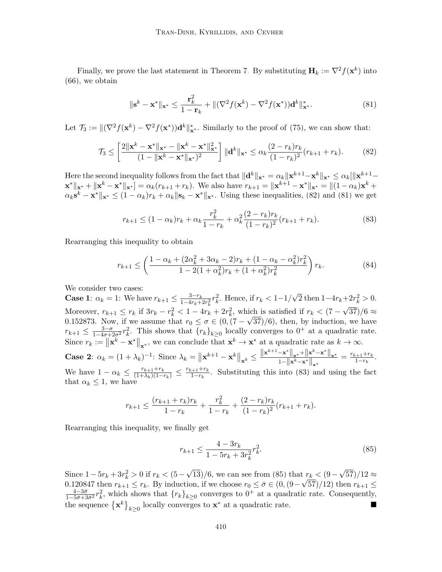Finally, we prove the last statement in Theorem [7.](#page-11-3) By substituting  $\mathbf{H}_k := \nabla^2 f(\mathbf{x}^k)$  into [\(66\)](#page-36-0), we obtain

<span id="page-39-2"></span>
$$
\|\mathbf{s}^{k} - \mathbf{x}^*\|_{\mathbf{x}^*} \le \frac{\mathbf{r}_k^2}{1 - \mathbf{r}_k} + \|(\nabla^2 f(\mathbf{x}^k) - \nabla^2 f(\mathbf{x}^*))\mathbf{d}^k\|_{\mathbf{x}^*}^*.
$$
 (81)

Let  $\mathcal{T}_3 := ||(\nabla^2 f(\mathbf{x}^k) - \nabla^2 f(\mathbf{x}^*)) \mathbf{d}^k||_{\mathbf{x}^*}^*$ . Similarly to the proof of [\(75\)](#page-37-3), we can show that:

<span id="page-39-1"></span>
$$
\mathcal{T}_3 \le \left[ \frac{2\|\mathbf{x}^k - \mathbf{x}^*\|_{\mathbf{x}^*} - \|\mathbf{x}^k - \mathbf{x}^*\|_{\mathbf{x}^*}^2}{(1 - \|\mathbf{x}^k - \mathbf{x}^*\|_{\mathbf{x}^*})^2} \right] \|\mathbf{d}^k\|_{\mathbf{x}^*} \le \alpha_k \frac{(2 - r_k)r_k}{(1 - r_k)^2} (r_{k+1} + r_k). \tag{82}
$$

Here the second inequality follows from the fact that  $\|\mathbf{d}^k\|_{\mathbf{x}^*} = \alpha_k \|\mathbf{x}^{k+1} - \mathbf{x}^k\|_{\mathbf{x}^*} \leq \alpha_k \|\mathbf{x}^{k+1} - \mathbf{x}^k\|_{\mathbf{x}^*}$  $\mathbf{x}^* \|_{\mathbf{x}^*} + \| \mathbf{x}^k - \mathbf{x}^* \|_{\mathbf{x}^*} = \alpha_k (r_{k+1} + r_k)$ . We also have  $r_{k+1} = \| \mathbf{x}^{k+1} - \mathbf{x}^* \|_{\mathbf{x}^*} = \| (1 - \alpha_k) \mathbf{x}^k + \alpha_k$  $\alpha_k \mathbf{s}^k - \mathbf{x}^* \Vert_{\mathbf{x}^*} \leq (1 - \alpha_k) r_k + \alpha_k \Vert \mathbf{s}_k - \mathbf{x}^* \Vert_{\mathbf{x}^*}$ . Using these inequalities, [\(82\)](#page-39-1) and [\(81\)](#page-39-2) we get

<span id="page-39-3"></span><span id="page-39-0"></span>
$$
r_{k+1} \le (1 - \alpha_k)r_k + \alpha_k \frac{r_k^2}{1 - r_k} + \alpha_k^2 \frac{(2 - r_k)r_k}{(1 - r_k)^2}(r_{k+1} + r_k). \tag{83}
$$

Rearranging this inequality to obtain

$$
r_{k+1} \leq \left(\frac{1 - \alpha_k + (2\alpha_k^2 + 3\alpha_k - 2)r_k + (1 - \alpha_k - \alpha_k^2)r_k^2}{1 - 2(1 + \alpha_k^2)r_k + (1 + \alpha_k^2)r_k^2}\right)r_k.
$$
\n(84)

We consider two cases:

**Case 1:**  $\alpha_k = 1$ : We have  $r_{k+1} \leq \frac{3 - r_k}{1 - 4r_k + 1}$  $\frac{3-r_k}{1-4r_k+2r_k^2}r_k^2$ . Hence, if  $r_k < 1-1/\sqrt{2}$  then  $1-4r_k+2r_k^2 > 0$ . Moreover,  $r_{k+1} \leq r_k$  if  $3r_k - r_k^2 < 1 - 4r_k + 2r_k^2$ , which is satisfied if  $r_k < (7 - \sqrt{37})/6 \approx$ 0.152873. Now, if we assume that  $r_0 \leq \sigma \in (0, (7 - \sqrt{37})/6)$ , then, by induction, we have  $r_{k+1} \leq \frac{3-\sigma}{1-4\sigma+2\sigma^2} r_k^2$ . This shows that  $\{r_k\}_{k\geq 0}$  locally converges to  $0^+$  at a quadratic rate. Since  $r_k := ||\mathbf{x}^k - \mathbf{x}^*||_{\mathbf{x}^*}$ , we can conclude that  $\mathbf{x}^k \to \mathbf{x}^*$  at a quadratic rate as  $k \to \infty$ .  $\parallel$ x<sup>∗</sup> Case 2:  $\alpha_k = (1 + \lambda_k)^{-1}$ : Since  $\lambda_k = ||\mathbf{x}^{k+1} - \mathbf{x}^k||_{\mathbf{x}^k} \le \frac{||\mathbf{x}^{k+1} - \mathbf{x}^*||_{\mathbf{x}^*} + ||\mathbf{x}^k - \mathbf{x}^*||_{\mathbf{x}^*}}{1 - ||\mathbf{x}^k - \mathbf{x}^*||_{\mathbf{x}^*}}$  $\frac{-\mathbf{x}^* \|\mathbf{x}^* + \|\mathbf{x}^k - \mathbf{x}^*\|_{\mathbf{x}^*}}{1 - \|\mathbf{x}^k - \mathbf{x}^*\|_{\mathbf{x}^*}} = \frac{r_{k+1} + r_k}{1 - r_k}$  $\frac{1+1+rk}{1-r_k}$ . We have  $1 - \alpha_k \leq \frac{r_{k+1} + r_k}{(1 + \lambda_k)(1 - r_k)} \leq \frac{r_{k+1} + r_k}{1 - r_k}$  $\frac{1+1+r_k}{1-r_k}$ . Substituting this into [\(83\)](#page-39-3) and using the fact that  $\alpha_k \leq 1$ , we have

$$
r_{k+1} \le \frac{(r_{k+1} + r_k)r_k}{1 - r_k} + \frac{r_k^2}{1 - r_k} + \frac{(2 - r_k)r_k}{(1 - r_k)^2}(r_{k+1} + r_k).
$$

Rearranging this inequality, we finally get

<span id="page-39-4"></span>
$$
r_{k+1} \le \frac{4 - 3r_k}{1 - 5r_k + 3r_k^2} r_k^2. \tag{85}
$$

Since  $1 - 5r_k + 3r_k^2 > 0$  if  $r_k < (5 - \sqrt{13})/6$ , we can see from [\(85\)](#page-39-4) that  $r_k < (9 - \sqrt{57})/12 \approx$ 0.120847 then  $r_{k+1} \leq r_k$ . By induction, if we choose  $r_0 \leq \bar{\sigma} \in (0, (9-\sqrt{57})/12)$  then  $r_{k+1} \leq$  $\frac{4-3\bar{\sigma}}{1-5\bar{\sigma}+3\bar{\sigma}^2}r_k^2$ , which shows that  $\{r_k\}_{k\geq 0}$  converges to  $0^+$  at a quadratic rate. Consequently, the sequence  $\{\mathbf x^k\}_{k\geq 0}$  locally converges to  $\mathbf x^*$  at a quadratic rate.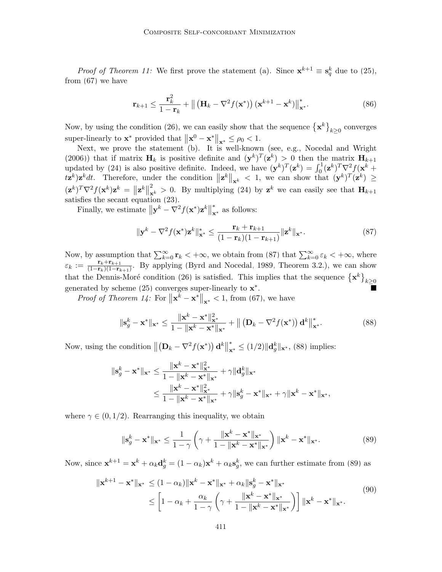*Proof of Theorem [11:](#page-14-4)* We first prove the statement (a). Since  $\mathbf{x}^{k+1} \equiv \mathbf{s}_q^k$  due to [\(25\)](#page-14-1), from [\(67\)](#page-36-4) we have

$$
\mathbf{r}_{k+1} \leq \frac{\mathbf{r}_k^2}{1 - \mathbf{r}_k} + \left\| \left( \mathbf{H}_k - \nabla^2 f(\mathbf{x}^*) \right) (\mathbf{x}^{k+1} - \mathbf{x}^k) \right\|_{\mathbf{x}^*}^*.
$$
 (86)

Now, by using the condition [\(26\)](#page-14-2), we can easily show that the sequence  $\{\mathbf x^k\}_{k\geq 0}$  converges super-linearly to  $\mathbf{x}^*$  provided that  $\|\mathbf{x}^0 - \mathbf{x}^*\|_{\mathbf{x}^*} \leq \rho_0 < 1$ .

Next, we prove the statement (b). It is well-known (see, e.g., [Nocedal and Wright](#page-44-15) [\(2006\)](#page-44-15)) that if matrix  $H_k$  is positive definite and  $({\bf y}^k)^T({\bf z}^k) > 0$  then the matrix  $H_{k+1}$ updated by [\(24\)](#page-14-3) is also positive definite. Indeed, we have  $(\mathbf{y}^k)^T(\mathbf{z}^k) = \int_0^1 (\mathbf{z}^k)^T \nabla^2 f(\mathbf{x}^k +$  $(z^k)z^k dt$ . Therefore, under the condition  $||z^k||_{x^k} < 1$ , we can show that  $(y^k)^\mathsf{T}(z^k) \geq 1$  $(\mathbf{z}^k)^T \nabla^2 f(\mathbf{x}^k) \mathbf{z}^k = ||\mathbf{z}^k||$  $\mathbf{x}^2_{\mathbf{x}^k} > 0$ . By multiplying [\(24\)](#page-14-3) by  $\mathbf{z}^k$  we can easily see that  $\mathbf{H}_{k+1}$ satisfies the secant equation [\(23\)](#page-14-0).

Finally, we estimate  $\|\mathbf{y}^k - \nabla^2 f(\mathbf{x}^*)\mathbf{z}^k\|$  $\frac{*}{\mathbf{x}^*}$  as follows:

<span id="page-40-0"></span>
$$
\|\mathbf{y}^{k} - \nabla^{2} f(\mathbf{x}^{*}) \mathbf{z}^{k}\|_{\mathbf{x}^{*}}^{*} \leq \frac{\mathbf{r}_{k} + \mathbf{r}_{k+1}}{(1 - \mathbf{r}_{k})(1 - \mathbf{r}_{k+1})} \|\mathbf{z}^{k}\|_{\mathbf{x}^{*}}.
$$
 (87)

Now, by assumption that  $\sum_{k=0}^{\infty} \mathbf{r}_k < +\infty$ , we obtain from [\(87\)](#page-40-0) that  $\sum_{k=0}^{\infty} \varepsilon_k < +\infty$ , where  $\varepsilon_k := \frac{\mathbf{r}_k + \mathbf{r}_{k+1}}{(1-\mathbf{r}_k)(1-\mathbf{r}_k)}$  $\frac{r_k+r_{k+1}}{(1-r_k)(1-r_{k+1})}$ . By applying [\(Byrd and Nocedal, 1989,](#page-42-14) Theorem 3.2.), we can show that the Dennis-Moré condition [\(26\)](#page-14-2) is satisfied. This implies that the sequence  $\{\mathbf x^k\}_{k\geq 0}$ generated by scheme  $(25)$  converges super-linearly to  $\mathbf{x}^*$ .

*Proof of Theorem [14:](#page-17-2)* For  $||\mathbf{x}^k - \mathbf{x}^*||_{\mathbf{x}^*} < 1$ , from [\(67\)](#page-36-4), we have

<span id="page-40-1"></span>
$$
\|\mathbf{s}_g^k - \mathbf{x}^*\|_{\mathbf{x}^*} \le \frac{\|\mathbf{x}^k - \mathbf{x}^*\|_{\mathbf{x}^*}^2}{1 - \|\mathbf{x}^k - \mathbf{x}^*\|_{\mathbf{x}^*}} + \left\| \left(\mathbf{D}_k - \nabla^2 f(\mathbf{x}^*)\right) \mathbf{d}^k \right\|_{\mathbf{x}^*}^*.
$$
 (88)

Now, using the condition  $\left\| \left( \mathbf{D}_{k} - \nabla^2 f(\mathbf{x}^*) \right) \mathbf{d}^k \right\|$  $_{\mathbf{x}^*}^* \leq (1/2) \|\mathbf{d}_{g}^{k}\|_{\mathbf{x}^*},$  [\(88\)](#page-40-1) implies:

$$
\|{\mathbf{s}}_g^k - {\mathbf{x}}^*\|_{\mathbf{x}^*} \leq \frac{\|{\mathbf{x}}^k - {\mathbf{x}}^*\|_{\mathbf{x}^*}^2}{1 - \|{\mathbf{x}}^k - {\mathbf{x}}^*\|_{\mathbf{x}^*}} + \gamma \|{\mathbf{d}}_g^k\|_{\mathbf{x}^*} \leq \frac{\|{\mathbf{x}}^k - {\mathbf{x}}^*\|_{\mathbf{x}^*}^2}{1 - \|{\mathbf{x}}^k - {\mathbf{x}}^*\|_{\mathbf{x}^*}} + \gamma \|{\mathbf{s}}_g^k - {\mathbf{x}}^*\|_{\mathbf{x}^*} + \gamma \|{\mathbf{x}}^k - {\mathbf{x}}^*\|_{\mathbf{x}^*},
$$

where  $\gamma \in (0, 1/2)$ . Rearranging this inequality, we obtain

<span id="page-40-2"></span>
$$
\|\mathbf{s}_g^k - \mathbf{x}^*\|_{\mathbf{x}^*} \le \frac{1}{1-\gamma} \left(\gamma + \frac{\|\mathbf{x}^k - \mathbf{x}^*\|_{\mathbf{x}^*}}{1 - \|\mathbf{x}^k - \mathbf{x}^*\|_{\mathbf{x}^*}}\right) \|\mathbf{x}^k - \mathbf{x}^*\|_{\mathbf{x}^*}.
$$
 (89)

Now, since  $\mathbf{x}^{k+1} = \mathbf{x}^k + \alpha_k \mathbf{d}_g^k = (1 - \alpha_k) \mathbf{x}^k + \alpha_k \mathbf{s}_g^k$ , we can further estimate from [\(89\)](#page-40-2) as

$$
\|\mathbf{x}^{k+1} - \mathbf{x}^*\|_{\mathbf{x}^*} \le (1 - \alpha_k) \|\mathbf{x}^k - \mathbf{x}^*\|_{\mathbf{x}^*} + \alpha_k \|\mathbf{s}_g^k - \mathbf{x}^*\|_{\mathbf{x}^*}
$$
  
\n
$$
\le \left[1 - \alpha_k + \frac{\alpha_k}{1 - \gamma} \left(\gamma + \frac{\|\mathbf{x}^k - \mathbf{x}^*\|_{\mathbf{x}^*}}{1 - \|\mathbf{x}^k - \mathbf{x}^*\|_{\mathbf{x}^*}}\right)\right] \|\mathbf{x}^k - \mathbf{x}^*\|_{\mathbf{x}^*}.
$$
\n(90)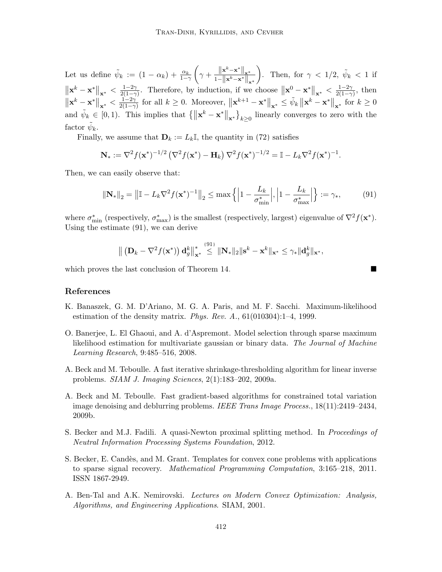Let us define  $\tilde{\psi}_k := (1 - \alpha_k) + \frac{\alpha_k}{1 - \gamma_k}$  $\left( \gamma + \frac{\| \mathbf{x}^k - \mathbf{x}^* \|_{\mathbf{x}^*}}{1 - \| \mathbf{x}^k - \mathbf{x}^* \|_{\mathbf{x}^*}} \right)$  $1-\|\mathbf{x}^k-\mathbf{x}^*\|_{\mathbf{x}^*}$ ). Then, for  $\gamma < 1/2$ ,  $\tilde{\psi}_k < 1$  if  $\left\| \mathbf{x}^k - \mathbf{x}^* \right\|_{\mathbf{x}^*} < \frac{1-2\gamma}{2(1-\gamma)}$  $rac{1-2\gamma}{2(1-\gamma)}$ . Therefore, by induction, if we choose  $||\mathbf{x}^0 - \mathbf{x}^*||_{\mathbf{x}^*} < \frac{1-2\gamma}{2(1-\gamma)}$  $\frac{1-2\gamma}{2(1-\gamma)}$ , then  $\left\| \mathbf{x}^k - \mathbf{x}^* \right\|_{\mathbf{x}^*} < \frac{1-2\gamma}{2(1-\gamma)}$  $\frac{1-2\gamma}{2(1-\gamma)}$  for all  $k \geq 0$ . Moreover,  $\|\mathbf{x}^{k+1} - \mathbf{x}^*\|_{\mathbf{x}^*} \leq \tilde{\psi}_k \|\mathbf{x}^k - \mathbf{x}^*\|_{\mathbf{x}^*}$  for  $k \geq 0$ and  $\tilde{\psi}_k \in [0, 1)$ . This implies that  $\{\|\mathbf{x}^k - \mathbf{x}^*\|_{\mathbf{x}^*}\}_{k\geq 0}$  linearly converges to zero with the factor  $\tilde{\psi}_k$ .

Finally, we assume that  $\mathbf{D}_k := L_k \mathbb{I}$ , the quantity in [\(72\)](#page-37-4) satisfies

$$
\mathbf{N}_{*} := \nabla^{2} f(\mathbf{x}^{*})^{-1/2} \left( \nabla^{2} f(\mathbf{x}^{*}) - \mathbf{H}_{k} \right) \nabla^{2} f(\mathbf{x}^{*})^{-1/2} = \mathbb{I} - L_{k} \nabla^{2} f(\mathbf{x}^{*})^{-1}.
$$

Then, we can easily observe that:

<span id="page-41-7"></span>
$$
\|\mathbf{N}_{*}\|_{2} = \left\|\mathbb{I} - L_{k}\nabla^{2} f(\mathbf{x}^{*})^{-1}\right\|_{2} \leq \max\left\{\left|1 - \frac{L_{k}}{\sigma_{\min}^{*}}\right|, \left|1 - \frac{L_{k}}{\sigma_{\max}^{*}}\right|\right\} := \gamma_{*},\tag{91}
$$

where  $\sigma_{\min}^*$  (respectively,  $\sigma_{\max}^*$ ) is the smallest (respectively, largest) eigenvalue of  $\nabla^2 f(\mathbf{x}^*)$ . Using the estimate [\(91\)](#page-41-7), we can derive

$$
\left\|\left(\mathbf{D}_{k} - \nabla^2 f(\mathbf{x}^*)\right) \mathbf{d}_{g}^k\right\|_{\mathbf{x}^*}^* \stackrel{(91)}{\leq} \|\mathbf{N}_*\|_2 \|\mathbf{s}^k - \mathbf{x}^k\|_{\mathbf{x}^*} \leq \gamma_* \|\mathbf{d}_{g}^k\|_{\mathbf{x}^*},
$$

which proves the last conclusion of Theorem [14.](#page-17-2)

#### References

- <span id="page-41-4"></span>K. Banaszek, G. M. D'Ariano, M. G. A. Paris, and M. F. Sacchi. Maximum-likelihood estimation of the density matrix. Phys. Rev. A.,  $61(010304):1-4$ , 1999.
- <span id="page-41-3"></span>O. Banerjee, L. El Ghaoui, and A. d'Aspremont. Model selection through sparse maximum likelihood estimation for multivariate gaussian or binary data. The Journal of Machine Learning Research, 9:485–516, 2008.
- <span id="page-41-1"></span>A. Beck and M. Teboulle. A fast iterative shrinkage-thresholding algorithm for linear inverse problems. SIAM J. Imaging Sciences, 2(1):183–202, 2009a.
- <span id="page-41-5"></span>A. Beck and M. Teboulle. Fast gradient-based algorithms for constrained total variation image denoising and deblurring problems. IEEE Trans Image Process., 18(11):2419–2434, 2009b.
- <span id="page-41-2"></span>S. Becker and M.J. Fadili. A quasi-Newton proximal splitting method. In *Proceedings of* Neutral Information Processing Systems Foundation, 2012.
- <span id="page-41-6"></span>S. Becker, E. Candès, and M. Grant. Templates for convex cone problems with applications to sparse signal recovery. Mathematical Programming Computation, 3:165–218, 2011. ISSN 1867-2949.
- <span id="page-41-0"></span>A. Ben-Tal and A.K. Nemirovski. Lectures on Modern Convex Optimization: Analysis, Algorithms, and Engineering Applications. SIAM, 2001.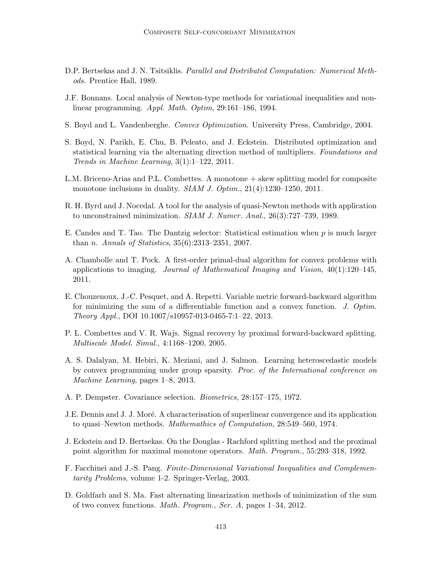- <span id="page-42-15"></span>D.P. Bertsekas and J. N. Tsitsiklis. Parallel and Distributed Computation: Numerical Methods. Prentice Hall, 1989.
- <span id="page-42-11"></span>J.F. Bonnans. Local analysis of Newton-type methods for variational inequalities and nonlinear programming. Appl. Math. Optim, 29:161–186, 1994.
- <span id="page-42-2"></span>S. Boyd and L. Vandenberghe. Convex Optimization. University Press, Cambridge, 2004.
- <span id="page-42-9"></span>S. Boyd, N. Parikh, E. Chu, B. Peleato, and J. Eckstein. Distributed optimization and statistical learning via the alternating direction method of multipliers. Foundations and Trends in Machine Learning, 3(1):1–122, 2011.
- <span id="page-42-7"></span>L.M. Briceno-Arias and P.L. Combettes. A monotone + skew splitting model for composite monotone inclusions in duality. *SIAM J. Optim.*, 21(4):1230–1250, 2011.
- <span id="page-42-14"></span>R. H. Byrd and J. Nocedal. A tool for the analysis of quasi-Newton methods with application to unconstrained minimization. SIAM J. Numer. Anal., 26(3):727–739, 1989.
- <span id="page-42-5"></span>E. Candes and T. Tao. The Dantzig selector: Statistical estimation when p is much larger than n. Annals of Statistics, 35(6):2313–2351, 2007.
- <span id="page-42-0"></span>A. Chambolle and T. Pock. A first-order primal-dual algorithm for convex problems with applications to imaging. Journal of Mathematical Imaging and Vision,  $40(1):120-145$ , 2011.
- <span id="page-42-13"></span>E. Chouzenoux, J.-C. Pesquet, and A. Repetti. Variable metric forward-backward algorithm for minimizing the sum of a differentiable function and a convex function.  $J.$  Optim. Theory Appl., DOI 10.1007/s10957-013-0465-7:1–22, 2013.
- <span id="page-42-6"></span>P. L. Combettes and V. R. Wajs. Signal recovery by proximal forward-backward splitting. Multiscale Model. Simul., 4:1168–1200, 2005.
- <span id="page-42-4"></span>A. S. Dalalyan, M. Hebiri, K. Meziani, and J. Salmon. Learning heteroscedastic models by convex programming under group sparsity. Proc. of the International conference on Machine Learning, pages 1–8, 2013.
- <span id="page-42-3"></span>A. P. Dempster. Covariance selection. Biometrics, 28:157–175, 1972.
- <span id="page-42-12"></span>J.E. Dennis and J. J. Moré. A characterisation of superlinear convergence and its application to quasi–Newton methods. Mathemathics of Computation, 28:549–560, 1974.
- <span id="page-42-1"></span>J. Eckstein and D. Bertsekas. On the Douglas - Rachford splitting method and the proximal point algorithm for maximal monotone operators. Math. Program., 55:293–318, 1992.
- <span id="page-42-8"></span>F. Facchinei and J.-S. Pang. Finite-Dimensional Variational Inequalities and Complementarity Problems, volume 1-2. Springer-Verlag, 2003.
- <span id="page-42-10"></span>D. Goldfarb and S. Ma. Fast alternating linearization methods of minimization of the sum of two convex functions. Math. Program., Ser. A, pages 1–34, 2012.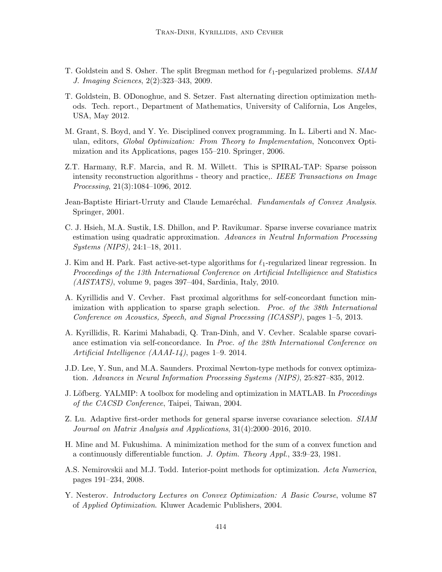- <span id="page-43-7"></span>T. Goldstein and S. Osher. The split Bregman method for  $\ell_1$ -pegularized problems. SIAM J. Imaging Sciences, 2(2):323–343, 2009.
- <span id="page-43-9"></span>T. Goldstein, B. ODonoghue, and S. Setzer. Fast alternating direction optimization methods. Tech. report., Department of Mathematics, University of California, Los Angeles, USA, May 2012.
- <span id="page-43-0"></span>M. Grant, S. Boyd, and Y. Ye. Disciplined convex programming. In L. Liberti and N. Maculan, editors, Global Optimization: From Theory to Implementation, Nonconvex Optimization and its Applications, pages 155–210. Springer, 2006.
- <span id="page-43-6"></span>Z.T. Harmany, R.F. Marcia, and R. M. Willett. This is SPIRAL-TAP: Sparse poisson intensity reconstruction algorithms - theory and practice,. IEEE Transactions on Image Processing, 21(3):1084–1096, 2012.
- <span id="page-43-11"></span>Jean-Baptiste Hiriart-Urruty and Claude Lemaréchal. Fundamentals of Convex Analysis. Springer, 2001.
- <span id="page-43-4"></span>C. J. Hsieh, M.A. Sustik, I.S. Dhillon, and P. Ravikumar. Sparse inverse covariance matrix estimation using quadratic approximation. Advances in Neutral Information Processing Systems (NIPS), 24:1–18, 2011.
- <span id="page-43-13"></span>J. Kim and H. Park. Fast active-set-type algorithms for  $\ell_1$ -regularized linear regression. In Proceedings of the 13th International Conference on Artificial Intelligience and Statistics (AISTATS), volume 9, pages 397–404, Sardinia, Italy, 2010.
- <span id="page-43-12"></span>A. Kyrillidis and V. Cevher. Fast proximal algorithms for self-concordant function minimization with application to sparse graph selection. Proc. of the 38th International Conference on Acoustics, Speech, and Signal Processing (ICASSP), pages 1–5, 2013.
- <span id="page-43-14"></span>A. Kyrillidis, R. Karimi Mahabadi, Q. Tran-Dinh, and V. Cevher. Scalable sparse covariance estimation via self-concordance. In Proc. of the 28th International Conference on Artificial Intelligence (AAAI-14), pages 1–9. 2014.
- <span id="page-43-1"></span>J.D. Lee, Y. Sun, and M.A. Saunders. Proximal Newton-type methods for convex optimization. Advances in Neural Information Processing Systems (NIPS), 25:827–835, 2012.
- <span id="page-43-10"></span>J. Löfberg. YALMIP: A toolbox for modeling and optimization in MATLAB. In *Proceedings* of the CACSD Conference, Taipei, Taiwan, 2004.
- <span id="page-43-5"></span>Z. Lu. Adaptive first-order methods for general sparse inverse covariance selection. SIAM Journal on Matrix Analysis and Applications, 31(4):2000–2016, 2010.
- <span id="page-43-8"></span>H. Mine and M. Fukushima. A minimization method for the sum of a convex function and a continuously differentiable function. J. Optim. Theory Appl., 33:9–23, 1981.
- <span id="page-43-3"></span>A.S. Nemirovskii and M.J. Todd. Interior-point methods for optimization. Acta Numerica, pages 191–234, 2008.
- <span id="page-43-2"></span>Y. Nesterov. Introductory Lectures on Convex Optimization: A Basic Course, volume 87 of Applied Optimization. Kluwer Academic Publishers, 2004.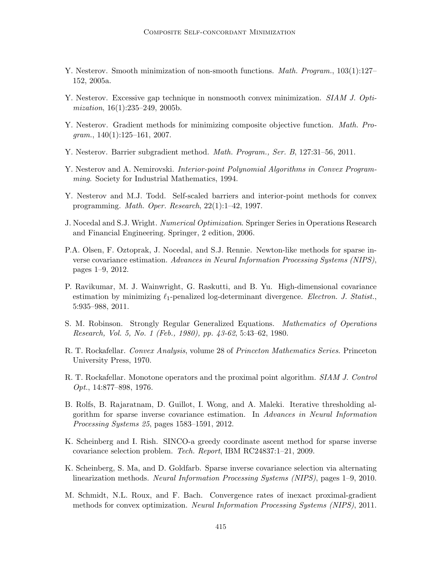- <span id="page-44-2"></span>Y. Nesterov. Smooth minimization of non-smooth functions. *Math. Program.*, 103(1):127– 152, 2005a.
- <span id="page-44-3"></span>Y. Nesterov. Excessive gap technique in nonsmooth convex minimization. SIAM J. Optimization,  $16(1):235-249$ ,  $2005b$ .
- <span id="page-44-0"></span>Y. Nesterov. Gradient methods for minimizing composite objective function. Math. Pro $gram., 140(1):125-161, 2007.$
- <span id="page-44-4"></span>Y. Nesterov. Barrier subgradient method. Math. Program., Ser. B, 127:31–56, 2011.
- <span id="page-44-1"></span>Y. Nesterov and A. Nemirovski. *Interior-point Polynomial Algorithms in Convex Program*ming. Society for Industrial Mathematics, 1994.
- <span id="page-44-12"></span>Y. Nesterov and M.J. Todd. Self-scaled barriers and interior-point methods for convex programming. Math. Oper. Research, 22(1):1–42, 1997.
- <span id="page-44-15"></span>J. Nocedal and S.J. Wright. Numerical Optimization. Springer Series in Operations Research and Financial Engineering. Springer, 2 edition, 2006.
- <span id="page-44-6"></span>P.A. Olsen, F. Oztoprak, J. Nocedal, and S.J. Rennie. Newton-like methods for sparse inverse covariance estimation. Advances in Neural Information Processing Systems (NIPS), pages 1–9, 2012.
- <span id="page-44-5"></span>P. Ravikumar, M. J. Wainwright, G. Raskutti, and B. Yu. High-dimensional covariance estimation by minimizing  $\ell_1$ -penalized log-determinant divergence. Electron. J. Statist., 5:935–988, 2011.
- <span id="page-44-10"></span>S. M. Robinson. Strongly Regular Generalized Equations. Mathematics of Operations Research, Vol. 5, No. 1 (Feb., 1980), pp. 43-62, 5:43–62, 1980.
- <span id="page-44-13"></span>R. T. Rockafellar. Convex Analysis, volume 28 of Princeton Mathematics Series. Princeton University Press, 1970.
- <span id="page-44-14"></span>R. T. Rockafellar. Monotone operators and the proximal point algorithm. SIAM J. Control Opt., 14:877–898, 1976.
- <span id="page-44-7"></span>B. Rolfs, B. Rajaratnam, D. Guillot, I. Wong, and A. Maleki. Iterative thresholding algorithm for sparse inverse covariance estimation. In Advances in Neural Information Processing Systems 25, pages 1583–1591, 2012.
- <span id="page-44-8"></span>K. Scheinberg and I. Rish. SINCO-a greedy coordinate ascent method for sparse inverse covariance selection problem. Tech. Report, IBM RC24837:1–21, 2009.
- <span id="page-44-9"></span>K. Scheinberg, S. Ma, and D. Goldfarb. Sparse inverse covariance selection via alternating linearization methods. Neural Information Processing Systems (NIPS), pages 1–9, 2010.
- <span id="page-44-11"></span>M. Schmidt, N.L. Roux, and F. Bach. Convergence rates of inexact proximal-gradient methods for convex optimization. Neural Information Processing Systems (NIPS), 2011.